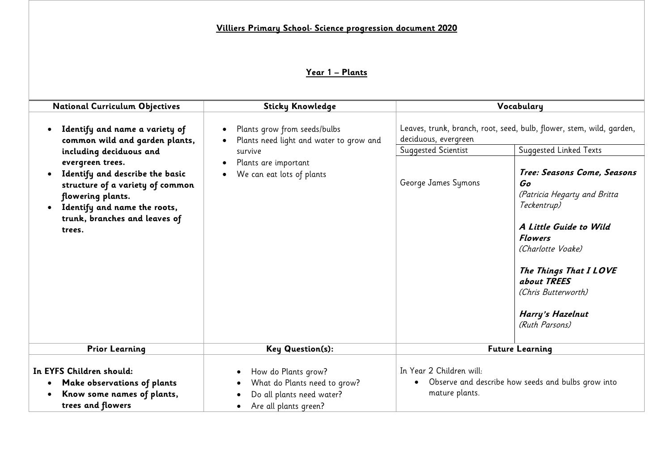# **Year 1 – Plants**

| <b>National Curriculum Objectives</b>                                                                                                                                                   | <b>Sticky Knowledge</b>                                                                                   |                                                                                                                                                      | Vocabulary                                                                                                                                                                                                                                              |  |
|-----------------------------------------------------------------------------------------------------------------------------------------------------------------------------------------|-----------------------------------------------------------------------------------------------------------|------------------------------------------------------------------------------------------------------------------------------------------------------|---------------------------------------------------------------------------------------------------------------------------------------------------------------------------------------------------------------------------------------------------------|--|
| Identify and name a variety of<br>common wild and garden plants,<br>including deciduous and                                                                                             | Plants grow from seeds/bulbs<br>Plants need light and water to grow and<br>survive                        | Leaves, trunk, branch, root, seed, bulb, flower, stem, wild, garden,<br>deciduous, evergreen<br>Suggested Scientist<br><b>Suggested Linked Texts</b> |                                                                                                                                                                                                                                                         |  |
| evergreen trees.<br>Identify and describe the basic<br>structure of a variety of common<br>flowering plants.<br>Identify and name the roots,<br>trunk, branches and leaves of<br>trees. | Plants are important<br>$\bullet$<br>We can eat lots of plants<br>$\bullet$                               | George James Symons                                                                                                                                  | Tree: Seasons Come, Seasons<br>Go<br>(Patricia Hegarty and Britta<br>Teckentrup)<br>A Little Guide to Wild<br><b>Flowers</b><br>(Charlotte Voake)<br>The Things That I LOVE<br>about TREES<br>(Chris Butterworth)<br>Harry's Hazelnut<br>(Ruth Parsons) |  |
| <b>Prior Learning</b>                                                                                                                                                                   | <b>Key Question(s):</b>                                                                                   |                                                                                                                                                      | <b>Future Learning</b>                                                                                                                                                                                                                                  |  |
| In EYFS Children should:<br>Make observations of plants<br>$\bullet$<br>Know some names of plants,<br>trees and flowers                                                                 | How do Plants grow?<br>What do Plants need to grow?<br>Do all plants need water?<br>Are all plants green? | In Year 2 Children will:<br>$\bullet$<br>mature plants.                                                                                              | Observe and describe how seeds and bulbs grow into                                                                                                                                                                                                      |  |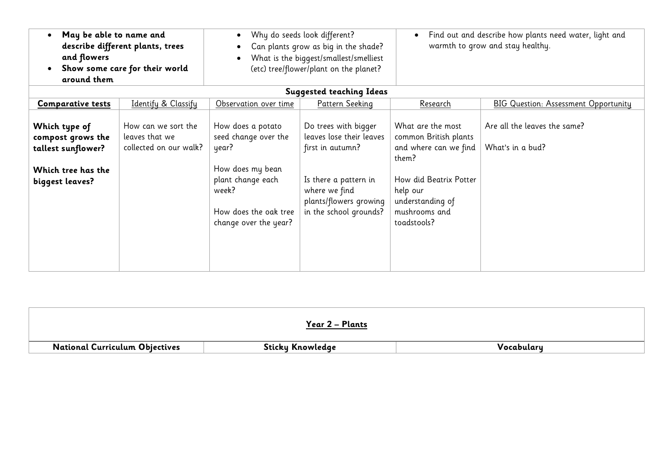| May be able to name and<br>and flowers<br>around them                                             | describe different plants, trees<br>Show some care for their world | Why do seeds look different?<br>$\bullet$<br>Can plants grow as big in the shade?<br>$\bullet$<br>What is the biggest/smallest/smelliest<br>(etc) tree/flower/plant on the planet? |                                                                                                                                                                    | Find out and describe how plants need water, light and<br>warmth to grow and stay healthy.                                                                             |                                                  |
|---------------------------------------------------------------------------------------------------|--------------------------------------------------------------------|------------------------------------------------------------------------------------------------------------------------------------------------------------------------------------|--------------------------------------------------------------------------------------------------------------------------------------------------------------------|------------------------------------------------------------------------------------------------------------------------------------------------------------------------|--------------------------------------------------|
|                                                                                                   |                                                                    |                                                                                                                                                                                    | <b>Suggested teaching Ideas</b>                                                                                                                                    |                                                                                                                                                                        |                                                  |
| <b>Comparative tests</b>                                                                          | Identify & Classify                                                | Observation over time                                                                                                                                                              | <b>Pattern Seeking</b>                                                                                                                                             | <u>Research</u>                                                                                                                                                        | <b>BIG Question: Assessment Opportunity</b>      |
| Which type of<br>compost grows the<br>tallest sunflower?<br>Which tree has the<br>biggest leaves? | How can we sort the<br>leaves that we<br>collected on our walk?    | How does a potato<br>seed change over the<br>year?<br>How does my bean<br>plant change each<br>week?<br>How does the oak tree<br>change over the year?                             | Do trees with bigger<br>leaves lose their leaves<br>first in autumn?<br>Is there a pattern in<br>where we find<br>plants/flowers growing<br>in the school grounds? | What are the most<br>common British plants<br>and where can we find<br>them?<br>How did Beatrix Potter<br>help our<br>understanding of<br>mushrooms and<br>toadstools? | Are all the leaves the same?<br>What's in a bud? |

|                                       | Year 2 – Plants  |            |
|---------------------------------------|------------------|------------|
| <b>National Curriculum Objectives</b> | Sticky Knowledge | Vocabulary |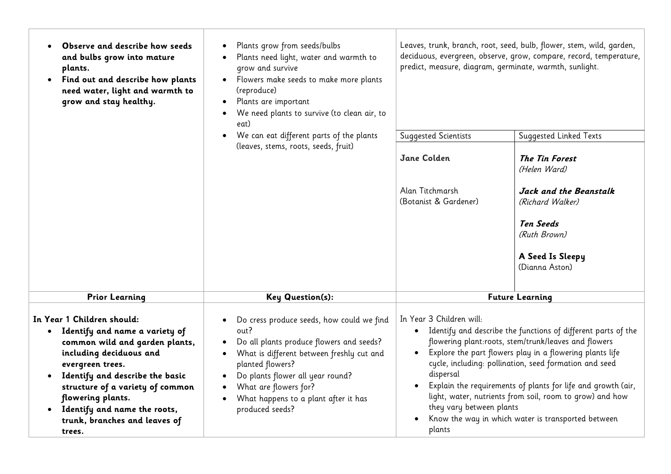| Observe and describe how seeds<br>and bulbs grow into mature<br>plants.<br>Find out and describe how plants<br>need water, light and warmth to<br>grow and stay healthy.                                                                                                                                                            | Plants grow from seeds/bulbs<br>Plants need light, water and warmth to<br>grow and survive<br>Flowers make seeds to make more plants<br>(reproduce)<br>Plants are important<br>We need plants to survive (to clean air, to<br>eat)                                                     | Leaves, trunk, branch, root, seed, bulb, flower, stem, wild, garden,<br>deciduous, evergreen, observe, grow, compare, record, temperature,<br>predict, measure, diagram, germinate, warmth, sunlight.                                                                                                                                                                                                                                                                                                          |                                                                 |  |
|-------------------------------------------------------------------------------------------------------------------------------------------------------------------------------------------------------------------------------------------------------------------------------------------------------------------------------------|----------------------------------------------------------------------------------------------------------------------------------------------------------------------------------------------------------------------------------------------------------------------------------------|----------------------------------------------------------------------------------------------------------------------------------------------------------------------------------------------------------------------------------------------------------------------------------------------------------------------------------------------------------------------------------------------------------------------------------------------------------------------------------------------------------------|-----------------------------------------------------------------|--|
|                                                                                                                                                                                                                                                                                                                                     | We can eat different parts of the plants<br>(leaves, stems, roots, seeds, fruit)                                                                                                                                                                                                       | <b>Suggested Scientists</b><br>Jane Colden                                                                                                                                                                                                                                                                                                                                                                                                                                                                     | Suggested Linked Texts<br><b>The Tin Forest</b><br>(Helen Ward) |  |
|                                                                                                                                                                                                                                                                                                                                     |                                                                                                                                                                                                                                                                                        | Alan Titchmarsh<br>(Botanist & Gardener)                                                                                                                                                                                                                                                                                                                                                                                                                                                                       | Jack and the Beanstalk<br>(Richard Walker)                      |  |
|                                                                                                                                                                                                                                                                                                                                     |                                                                                                                                                                                                                                                                                        |                                                                                                                                                                                                                                                                                                                                                                                                                                                                                                                | <b>Ten Seeds</b><br>(Ruth Brown)                                |  |
|                                                                                                                                                                                                                                                                                                                                     |                                                                                                                                                                                                                                                                                        |                                                                                                                                                                                                                                                                                                                                                                                                                                                                                                                | A Seed Is Sleepy<br>(Dianna Aston)                              |  |
| <b>Prior Learning</b>                                                                                                                                                                                                                                                                                                               | <b>Key Question(s):</b>                                                                                                                                                                                                                                                                |                                                                                                                                                                                                                                                                                                                                                                                                                                                                                                                | <b>Future Learning</b>                                          |  |
| In Year 1 Children should:<br>Identify and name a variety of<br>$\bullet$<br>common wild and garden plants,<br>including deciduous and<br>evergreen trees.<br>Identify and describe the basic<br>structure of a variety of common<br>flowering plants.<br>• Identify and name the roots,<br>trunk, branches and leaves of<br>trees. | Do cress produce seeds, how could we find<br>out?<br>Do all plants produce flowers and seeds?<br>What is different between freshly cut and<br>planted flowers?<br>Do plants flower all year round?<br>What are flowers for?<br>What happens to a plant after it has<br>produced seeds? | In Year 3 Children will:<br>• Identify and describe the functions of different parts of the<br>flowering plant:roots, stem/trunk/leaves and flowers<br>Explore the part flowers play in a flowering plants life<br>cycle, including: pollination, seed formation and seed<br>dispersal<br>Explain the requirements of plants for life and growth (air,<br>light, water, nutrients from soil, room to grow) and how<br>they vary between plants<br>Know the way in which water is transported between<br>plants |                                                                 |  |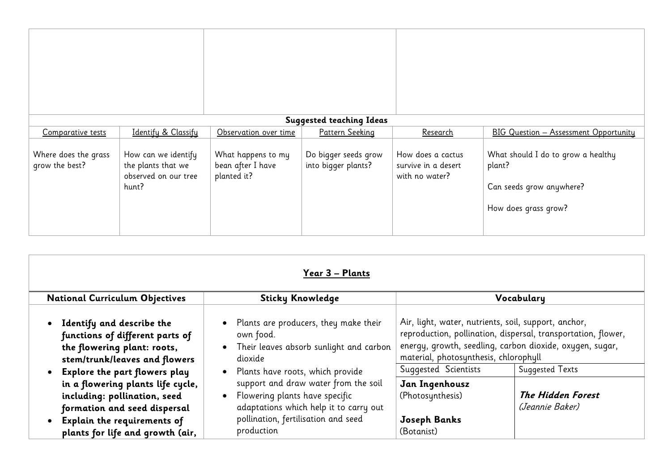|                                        |                                                                            |                                                        | <b>Suggested teaching Ideas</b>             |                                                            |                                                                                                  |
|----------------------------------------|----------------------------------------------------------------------------|--------------------------------------------------------|---------------------------------------------|------------------------------------------------------------|--------------------------------------------------------------------------------------------------|
| Comparative tests                      | Identify & Classify                                                        | Observation over time                                  | Pattern Seeking                             | <u>Research</u>                                            | <b>BIG Question - Assessment Opportunity</b>                                                     |
| Where does the grass<br>grow the best? | How can we identify<br>the plants that we<br>observed on our tree<br>hunt? | What happens to my<br>bean after I have<br>planted it? | Do bigger seeds grow<br>into bigger plants? | How does a cactus<br>survive in a desert<br>with no water? | What should I do to grow a healthy<br>plant?<br>Can seeds grow anywhere?<br>How does grass grow? |

|                                                                                                                              | Year 3 – Plants                                                                                                  |                                                                                                                                                           |                                                               |  |
|------------------------------------------------------------------------------------------------------------------------------|------------------------------------------------------------------------------------------------------------------|-----------------------------------------------------------------------------------------------------------------------------------------------------------|---------------------------------------------------------------|--|
| <b>National Curriculum Objectives</b>                                                                                        | <b>Sticky Knowledge</b>                                                                                          |                                                                                                                                                           | Vocabulary                                                    |  |
| Identify and describe the<br>functions of different parts of<br>the flowering plant: roots,<br>stem/trunk/leaves and flowers | • Plants are producers, they make their<br>own food.<br>Their leaves absorb sunlight and carbon<br>dioxide       | Air, light, water, nutrients, soil, support, anchor,<br>energy, growth, seedling, carbon dioxide, oxygen, sugar,<br>material, photosynthesis, chlorophyll | reproduction, pollination, dispersal, transportation, flower, |  |
| <b>Explore the part flowers play</b>                                                                                         | Plants have roots, which provide                                                                                 | Suggested Scientists<br><b>Suggested Texts</b>                                                                                                            |                                                               |  |
| in a flowering plants life cycle,<br>including: pollination, seed<br>formation and seed dispersal                            | support and draw water from the soil<br>Flowering plants have specific<br>adaptations which help it to carry out | Jan Ingenhousz<br>(Photosynthesis)                                                                                                                        | <b>The Hidden Forest</b><br>(Jeannie Baker)                   |  |
| Explain the requirements of<br>plants for life and growth (air,                                                              | pollination, fertilisation and seed<br>production                                                                | Joseph Banks<br>(Botanist)                                                                                                                                |                                                               |  |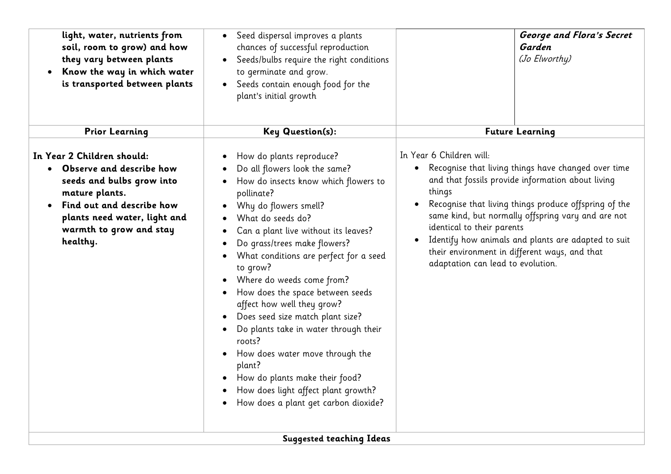| light, water, nutrients from<br>soil, room to grow) and how<br>they vary between plants<br>Know the way in which water<br>is transported between plants                                                     | Seed dispersal improves a plants<br>chances of successful reproduction<br>Seeds/bulbs require the right conditions<br>to germinate and grow.<br>Seeds contain enough food for the<br>plant's initial growth                                                                                                                                                                                                                                                                                                                                                                                                                                     | George and Flora's Secret<br>Garden<br>(Jo Elworthy)                                                                                                                                                                                                                                                                                                                                                                                                               |
|-------------------------------------------------------------------------------------------------------------------------------------------------------------------------------------------------------------|-------------------------------------------------------------------------------------------------------------------------------------------------------------------------------------------------------------------------------------------------------------------------------------------------------------------------------------------------------------------------------------------------------------------------------------------------------------------------------------------------------------------------------------------------------------------------------------------------------------------------------------------------|--------------------------------------------------------------------------------------------------------------------------------------------------------------------------------------------------------------------------------------------------------------------------------------------------------------------------------------------------------------------------------------------------------------------------------------------------------------------|
| <b>Prior Learning</b>                                                                                                                                                                                       | <b>Key Question(s):</b>                                                                                                                                                                                                                                                                                                                                                                                                                                                                                                                                                                                                                         | <b>Future Learning</b>                                                                                                                                                                                                                                                                                                                                                                                                                                             |
| In Year 2 Children should:<br>• Observe and describe how<br>seeds and bulbs grow into<br>mature plants.<br>Find out and describe how<br>plants need water, light and<br>warmth to grow and stay<br>healthy. | How do plants reproduce?<br>Do all flowers look the same?<br>How do insects know which flowers to<br>pollinate?<br>Why do flowers smell?<br>What do seeds do?<br>Can a plant live without its leaves?<br>Do grass/trees make flowers?<br>What conditions are perfect for a seed<br>to grow?<br>Where do weeds come from?<br>How does the space between seeds<br>affect how well they grow?<br>Does seed size match plant size?<br>Do plants take in water through their<br>roots?<br>How does water move through the<br>plant?<br>How do plants make their food?<br>How does light affect plant growth?<br>How does a plant get carbon dioxide? | In Year 6 Children will:<br>Recognise that living things have changed over time<br>$\bullet$<br>and that fossils provide information about living<br>things<br>Recognise that living things produce offspring of the<br>same kind, but normally offspring vary and are not<br>identical to their parents<br>Identify how animals and plants are adapted to suit<br>$\bullet$<br>their environment in different ways, and that<br>adaptation can lead to evolution. |
|                                                                                                                                                                                                             | <b>Suggested teaching Ideas</b>                                                                                                                                                                                                                                                                                                                                                                                                                                                                                                                                                                                                                 |                                                                                                                                                                                                                                                                                                                                                                                                                                                                    |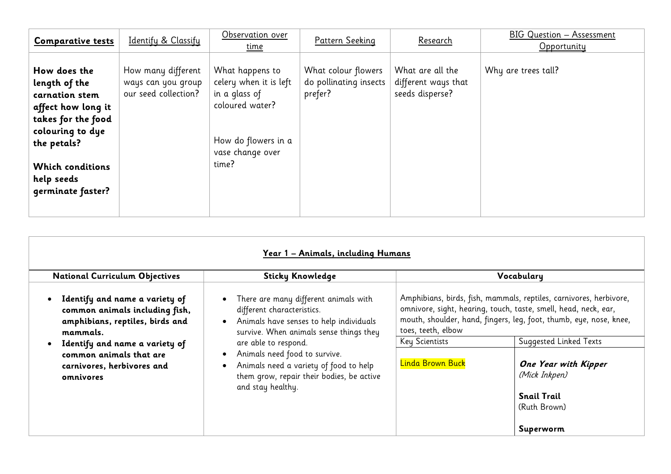| <b>Comparative tests</b>                                                                                                                                                                     | Identify & Classify                                              | Observation over<br><u>time</u>                                                                                                   | Pattern Seeking                                          | Research                                                   | BIG Question - Assessment<br>Opportunity |
|----------------------------------------------------------------------------------------------------------------------------------------------------------------------------------------------|------------------------------------------------------------------|-----------------------------------------------------------------------------------------------------------------------------------|----------------------------------------------------------|------------------------------------------------------------|------------------------------------------|
| How does the<br>length of the<br>carnation stem<br>affect how long it<br>takes for the food<br>colouring to dye<br>the petals?<br><b>Which conditions</b><br>help seeds<br>qerminate faster? | How many different<br>ways can you group<br>our seed collection? | What happens to<br>celery when it is left<br>in a glass of<br>coloured water?<br>How do flowers in a<br>vase change over<br>time? | What colour flowers<br>do pollinating insects<br>prefer? | What are all the<br>different ways that<br>seeds disperse? | Why are trees tall?                      |

| Year 1 – Animals, including Humans                                                                                                                                                                                      |                                                                                                                                                                                                                                                                                                                                                                                    |                                                          |                                                                                                                                                                                                                                                                                                                                          |  |  |  |
|-------------------------------------------------------------------------------------------------------------------------------------------------------------------------------------------------------------------------|------------------------------------------------------------------------------------------------------------------------------------------------------------------------------------------------------------------------------------------------------------------------------------------------------------------------------------------------------------------------------------|----------------------------------------------------------|------------------------------------------------------------------------------------------------------------------------------------------------------------------------------------------------------------------------------------------------------------------------------------------------------------------------------------------|--|--|--|
| <b>National Curriculum Objectives</b>                                                                                                                                                                                   | <b>Sticky Knowledge</b>                                                                                                                                                                                                                                                                                                                                                            |                                                          | Vocabulary                                                                                                                                                                                                                                                                                                                               |  |  |  |
| Identify and name a variety of<br>common animals including fish,<br>amphibians, reptiles, birds and<br>mammals.<br>Identify and name a variety of<br>common animals that are<br>carnivores, herbivores and<br>omnivores | There are many different animals with<br>$\bullet$<br>different characteristics.<br>Animals have senses to help individuals<br>$\bullet$<br>survive. When animals sense things they<br>are able to respond.<br>Animals need food to survive.<br>$\bullet$<br>Animals need a variety of food to help<br>$\bullet$<br>them grow, repair their bodies, be active<br>and stay healthy. | toes, teeth, elbow<br>Key Scientists<br>Linda Brown Buck | Amphibians, birds, fish, mammals, reptiles, carnivores, herbivore,<br>omnivore, sight, hearing, touch, taste, smell, head, neck, ear,<br>mouth, shoulder, hand, fingers, leg, foot, thumb, eye, nose, knee,<br>Suggested Linked Texts<br><b>One Year with Kipper</b><br>(Mick Inkpen)<br><b>Snail Trail</b><br>(Ruth Brown)<br>Superworm |  |  |  |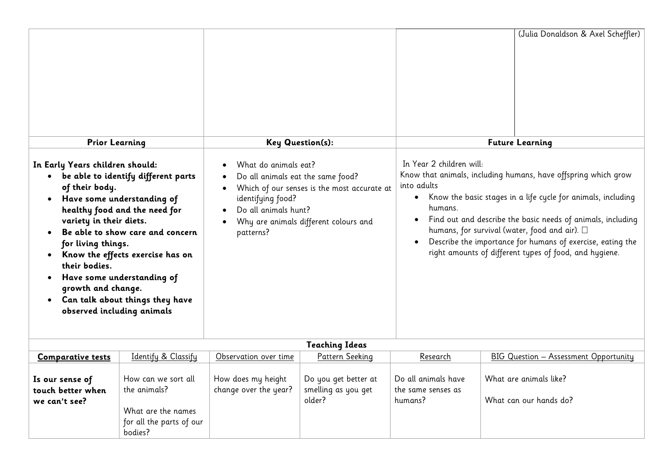|                                                                                                                                                                                                                                                                                                                                                                                                                                                                                          |                                                                                       |                                                                                                                     |                                                                                      |                                                                                                                                                                                                                                                                                                                                                                                                                                                   | (Julia Donaldson & Axel Scheffler)               |
|------------------------------------------------------------------------------------------------------------------------------------------------------------------------------------------------------------------------------------------------------------------------------------------------------------------------------------------------------------------------------------------------------------------------------------------------------------------------------------------|---------------------------------------------------------------------------------------|---------------------------------------------------------------------------------------------------------------------|--------------------------------------------------------------------------------------|---------------------------------------------------------------------------------------------------------------------------------------------------------------------------------------------------------------------------------------------------------------------------------------------------------------------------------------------------------------------------------------------------------------------------------------------------|--------------------------------------------------|
|                                                                                                                                                                                                                                                                                                                                                                                                                                                                                          |                                                                                       |                                                                                                                     | <b>Key Question(s):</b>                                                              |                                                                                                                                                                                                                                                                                                                                                                                                                                                   | <b>Future Learning</b>                           |
| <b>Prior Learning</b><br>In Early Years children should:<br>• be able to identify different parts<br>of their body.<br>Have some understanding of<br>$\bullet$<br>healthy food and the need for<br>variety in their diets.<br>Be able to show care and concern<br>for living things.<br>Know the effects exercise has on<br>$\bullet$<br>their bodies.<br>Have some understanding of<br>growth and change.<br>Can talk about things they have<br>$\bullet$<br>observed including animals |                                                                                       | What do animals eat?<br>Do all animals eat the same food?<br>identifying food?<br>Do all animals hunt?<br>patterns? | Which of our senses is the most accurate at<br>Why are animals different colours and | In Year 2 children will:<br>Know that animals, including humans, have offspring which grow<br>into adults<br>Know the basic stages in a life cycle for animals, including<br>$\bullet$<br>humans.<br>Find out and describe the basic needs of animals, including<br>humans, for survival (water, food and air). $\square$<br>Describe the importance for humans of exercise, eating the<br>right amounts of different types of food, and hygiene. |                                                  |
|                                                                                                                                                                                                                                                                                                                                                                                                                                                                                          |                                                                                       |                                                                                                                     | <b>Teaching Ideas</b>                                                                |                                                                                                                                                                                                                                                                                                                                                                                                                                                   |                                                  |
| <b>Comparative tests</b>                                                                                                                                                                                                                                                                                                                                                                                                                                                                 | Identify & Classify                                                                   | Observation over time                                                                                               | Pattern Seeking                                                                      | Research                                                                                                                                                                                                                                                                                                                                                                                                                                          | <b>BIG Question - Assessment Opportunity</b>     |
| Is our sense of<br>touch better when<br>we can't see?                                                                                                                                                                                                                                                                                                                                                                                                                                    | How can we sort all<br>the animals?<br>What are the names<br>for all the parts of our | How does my height<br>change over the year?                                                                         | Do you get better at<br>smelling as you get<br>older?                                | Do all animals have<br>the same senses as<br>humans?                                                                                                                                                                                                                                                                                                                                                                                              | What are animals like?<br>What can our hands do? |

bodies?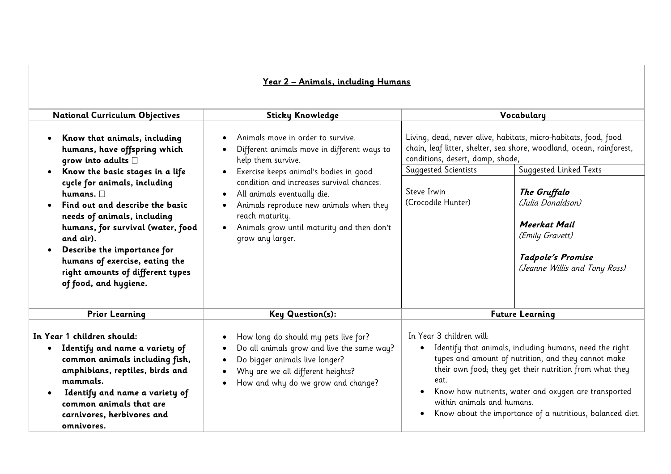## **Year 2 – Animals, including Humans**

| <b>National Curriculum Objectives</b>                                                                                                                                                                                                                                                                                               | <b>Sticky Knowledge</b>                                                                                                                                                                                                                                                                                | Vocabulary                                                                                                                                                                                                                                                                                                                                                                                              |  |  |
|-------------------------------------------------------------------------------------------------------------------------------------------------------------------------------------------------------------------------------------------------------------------------------------------------------------------------------------|--------------------------------------------------------------------------------------------------------------------------------------------------------------------------------------------------------------------------------------------------------------------------------------------------------|---------------------------------------------------------------------------------------------------------------------------------------------------------------------------------------------------------------------------------------------------------------------------------------------------------------------------------------------------------------------------------------------------------|--|--|
|                                                                                                                                                                                                                                                                                                                                     |                                                                                                                                                                                                                                                                                                        |                                                                                                                                                                                                                                                                                                                                                                                                         |  |  |
| Know that animals, including<br>humans, have offspring which<br>grow into adults $\square$                                                                                                                                                                                                                                          | Animals move in order to survive.<br>$\bullet$<br>Different animals move in different ways to<br>help them survive.                                                                                                                                                                                    | Living, dead, never alive, habitats, micro-habitats, food, food<br>chain, leaf litter, shelter, sea shore, woodland, ocean, rainforest,<br>conditions, desert, damp, shade,                                                                                                                                                                                                                             |  |  |
| Know the basic stages in a life<br>cycle for animals, including<br>humans. $\Box$<br>Find out and describe the basic<br>needs of animals, including<br>humans, for survival (water, food<br>and air).<br>Describe the importance for<br>humans of exercise, eating the<br>right amounts of different types<br>of food, and hygiene. | Exercise keeps animal's bodies in good<br>$\bullet$<br>condition and increases survival chances.<br>All animals eventually die.<br>$\bullet$<br>Animals reproduce new animals when they<br>$\bullet$<br>reach maturity.<br>Animals grow until maturity and then don't<br>$\bullet$<br>grow any larger. | Suggested Linked Texts<br><b>Suggested Scientists</b><br>Steve Irwin<br>The Gruffalo<br>(Crocodile Hunter)<br>(Julia Donaldson)<br><b>Meerkat Mail</b><br>(Emily Gravett)<br>Tadpole's Promise<br>(Jeanne Willis and Tony Ross)                                                                                                                                                                         |  |  |
| <b>Prior Learning</b>                                                                                                                                                                                                                                                                                                               | <b>Key Question(s):</b>                                                                                                                                                                                                                                                                                | <b>Future Learning</b>                                                                                                                                                                                                                                                                                                                                                                                  |  |  |
| In Year 1 children should:<br>Identify and name a variety of<br>$\bullet$<br>common animals including fish,<br>amphibians, reptiles, birds and<br>mammals.<br>Identify and name a variety of<br>common animals that are<br>carnivores, herbivores and<br>omnivores.                                                                 | How long do should my pets live for?<br>$\bullet$<br>Do all animals grow and live the same way?<br>$\bullet$<br>Do bigger animals live longer?<br>$\bullet$<br>Why are we all different heights?<br>$\bullet$<br>How and why do we grow and change?<br>$\bullet$                                       | In Year 3 children will:<br>Identify that animals, including humans, need the right<br>$\bullet$<br>types and amount of nutrition, and they cannot make<br>their own food; they get their nutrition from what they<br>eat.<br>Know how nutrients, water and oxygen are transported<br>$\bullet$<br>within animals and humans.<br>Know about the importance of a nutritious, balanced diet.<br>$\bullet$ |  |  |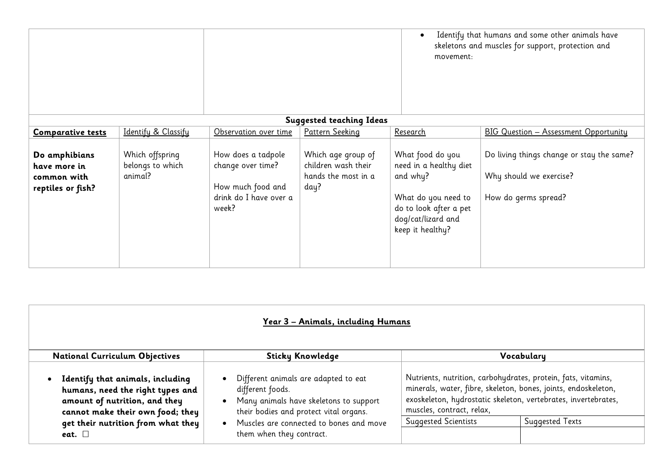|                                                                   |                                                |                                                                                                 |                                                                          | $\bullet$<br>movement:                                                                                                                            | Identify that humans and some other animals have<br>skeletons and muscles for support, protection and |
|-------------------------------------------------------------------|------------------------------------------------|-------------------------------------------------------------------------------------------------|--------------------------------------------------------------------------|---------------------------------------------------------------------------------------------------------------------------------------------------|-------------------------------------------------------------------------------------------------------|
|                                                                   |                                                |                                                                                                 | <b>Suggested teaching Ideas</b>                                          |                                                                                                                                                   |                                                                                                       |
| <b>Comparative tests</b>                                          | Identify & Classify                            | Observation over time                                                                           | Pattern Seeking                                                          | <u>Research</u>                                                                                                                                   | <b>BIG Question - Assessment Opportunity</b>                                                          |
| Do amphibians<br>have more in<br>common with<br>reptiles or fish? | Which offspring<br>belongs to which<br>animal? | How does a tadpole<br>change over time?<br>How much food and<br>drink do I have over a<br>week? | Which age group of<br>children wash their<br>hands the most in a<br>day? | What food do you<br>need in a healthy diet<br>and why?<br>What do you need to<br>do to look after a pet<br>dog/cat/lizard and<br>keep it healthy? | Do living things change or stay the same?<br>Why should we exercise?<br>How do germs spread?          |

|                                                                                                                                           | Year 3 – Animals, including Humans                                                                                                           |                             |                                                                                                                                                                                                   |
|-------------------------------------------------------------------------------------------------------------------------------------------|----------------------------------------------------------------------------------------------------------------------------------------------|-----------------------------|---------------------------------------------------------------------------------------------------------------------------------------------------------------------------------------------------|
| <b>National Curriculum Objectives</b>                                                                                                     | <b>Sticky Knowledge</b>                                                                                                                      |                             | Vocabulary                                                                                                                                                                                        |
| Identify that animals, including<br>humans, need the right types and<br>amount of nutrition, and they<br>cannot make their own food; they | Different animals are adapted to eat<br>different foods.<br>Many animals have skeletons to support<br>their bodies and protect vital organs. | muscles, contract, relax,   | Nutrients, nutrition, carbohydrates, protein, fats, vitamins,<br>minerals, water, fibre, skeleton, bones, joints, endoskeleton,<br>exoskeleton, hydrostatic skeleton, vertebrates, invertebrates, |
| get their nutrition from what they<br>eat. $\square$                                                                                      | Muscles are connected to bones and move<br>them when they contract.                                                                          | <b>Suggested Scientists</b> | Suggested Texts                                                                                                                                                                                   |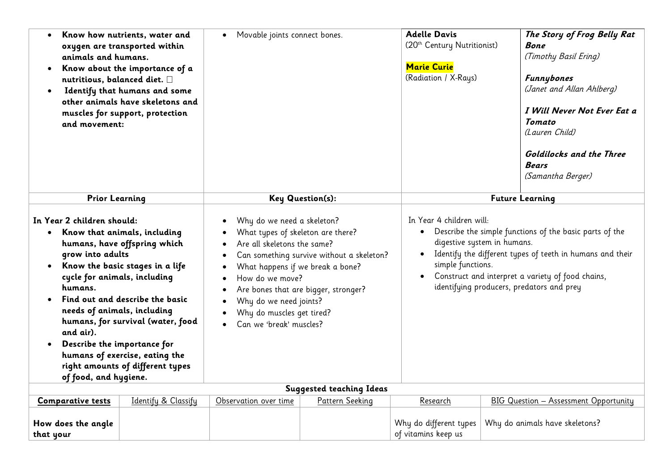| $\bullet$<br>animals and humans.<br>$\bullet$<br>nutritious, balanced diet. $\square$<br>$\bullet$<br>and movement:                                                                                                                                     | Know how nutrients, water and<br>oxygen are transported within<br>Know about the importance of a<br>Identify that humans and some<br>other animals have skeletons and<br>muscles for support, protection      | Movable joints connect bones.                                                                                                                                                                                                                                                                                                |                                 | <b>Adelle Davis</b><br>(20 <sup>th</sup> Century Nutritionist)<br><b>Marie Curie</b><br>(Radiation / X-Rays) | The Story of Frog Belly Rat<br><b>Bone</b><br>(Timothy Basil Ering)<br><b>Funnybones</b><br>(Janet and Allan Ahlberg)<br>I Will Never Not Ever Eat a<br><b>Tomato</b><br>(Lauren Child)<br><b>Goldilocks and the Three</b><br><b>Bears</b><br>(Samantha Berger) |
|---------------------------------------------------------------------------------------------------------------------------------------------------------------------------------------------------------------------------------------------------------|---------------------------------------------------------------------------------------------------------------------------------------------------------------------------------------------------------------|------------------------------------------------------------------------------------------------------------------------------------------------------------------------------------------------------------------------------------------------------------------------------------------------------------------------------|---------------------------------|--------------------------------------------------------------------------------------------------------------|-----------------------------------------------------------------------------------------------------------------------------------------------------------------------------------------------------------------------------------------------------------------|
| <b>Prior Learning</b>                                                                                                                                                                                                                                   |                                                                                                                                                                                                               | Key Question(s):                                                                                                                                                                                                                                                                                                             |                                 | <b>Future Learning</b>                                                                                       |                                                                                                                                                                                                                                                                 |
| In Year 2 children should:<br>Know that animals, including<br>$\bullet$<br>grow into adults<br>$\bullet$<br>cycle for animals, including<br>humans.<br>needs of animals, including<br>and air).<br>Describe the importance for<br>of food, and hygiene. | humans, have offspring which<br>Know the basic stages in a life<br>Find out and describe the basic<br>humans, for survival (water, food<br>humans of exercise, eating the<br>right amounts of different types | Why do we need a skeleton?<br>What types of skeleton are there?<br>Are all skeletons the same?<br>Can something survive without a skeleton?<br>What happens if we break a bone?<br>How do we move?<br>Are bones that are bigger, stronger?<br>Why do we need joints?<br>Why do muscles get tired?<br>Can we 'break' muscles? |                                 | In Year 4 children will:<br>simple functions.                                                                | • Describe the simple functions of the basic parts of the<br>digestive system in humans.<br>Identify the different types of teeth in humans and their<br>Construct and interpret a variety of food chains,<br>identifying producers, predators and prey         |
|                                                                                                                                                                                                                                                         |                                                                                                                                                                                                               |                                                                                                                                                                                                                                                                                                                              | <b>Suggested teaching Ideas</b> |                                                                                                              |                                                                                                                                                                                                                                                                 |
| <b>Comparative tests</b>                                                                                                                                                                                                                                | Identify & Classify                                                                                                                                                                                           | Observation over time                                                                                                                                                                                                                                                                                                        | Pattern Seeking                 | Research                                                                                                     | <b>BIG Question - Assessment Opportunity</b>                                                                                                                                                                                                                    |
| How does the angle<br>that your                                                                                                                                                                                                                         |                                                                                                                                                                                                               |                                                                                                                                                                                                                                                                                                                              |                                 | Why do different types<br>of vitamins keep us                                                                | Why do animals have skeletons?                                                                                                                                                                                                                                  |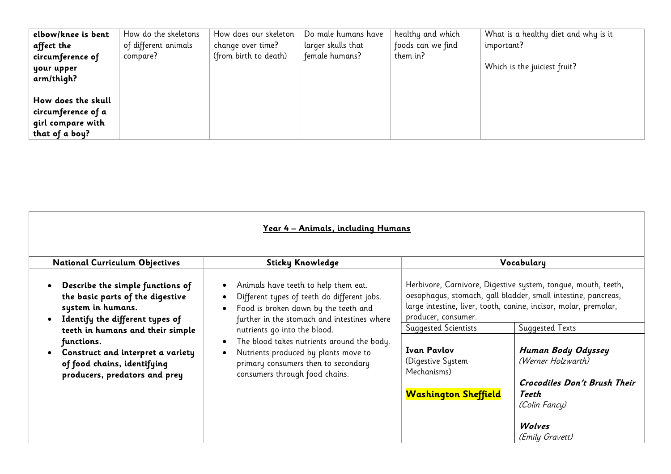| elbow/knee is bent | How do the skeletons | How does our skeleton | Do male humans have | healthy and which | What is a healthy diet and why is it |
|--------------------|----------------------|-----------------------|---------------------|-------------------|--------------------------------------|
| affect the         | of different animals | change over time?     | larger skulls that  | foods can we find | important?                           |
| circumference of   | compare?             | (from birth to death) | female humans?      | them in?          |                                      |
| your upper         |                      |                       |                     |                   | Which is the juiciest fruit?         |
| arm/thigh?         |                      |                       |                     |                   |                                      |
|                    |                      |                       |                     |                   |                                      |
| How does the skull |                      |                       |                     |                   |                                      |
| circumference of a |                      |                       |                     |                   |                                      |
| girl compare with  |                      |                       |                     |                   |                                      |
| that of a boy?     |                      |                       |                     |                   |                                      |

| <b>Sticky Knowledge</b>                                                                                                                                                                                                                                                                                                                                                                                                                    |                                                                                                                                             | Vocabulary                                                                                                                                                                                                                                                                                                                                                             |
|--------------------------------------------------------------------------------------------------------------------------------------------------------------------------------------------------------------------------------------------------------------------------------------------------------------------------------------------------------------------------------------------------------------------------------------------|---------------------------------------------------------------------------------------------------------------------------------------------|------------------------------------------------------------------------------------------------------------------------------------------------------------------------------------------------------------------------------------------------------------------------------------------------------------------------------------------------------------------------|
| Animals have teeth to help them eat.<br>$\bullet$<br>Different types of teeth do different jobs.<br>$\bullet$<br>Food is broken down by the teeth and<br>$\bullet$<br>further in the stomach and intestines where<br>nutrients go into the blood.<br>The blood takes nutrients around the body.<br>$\bullet$<br>Nutrients produced by plants move to<br>$\bullet$<br>primary consumers then to secondary<br>consumers through food chains. | producer, consumer.<br><b>Suggested Scientists</b><br><b>Ivan Pavlov</b><br>(Digestive System<br>Mechanisms)<br><b>Washington Sheffield</b> | Herbivore, Carnivore, Digestive system, tongue, mouth, teeth,<br>oesophagus, stomach, gall bladder, small intestine, pancreas,<br>large intestine, liver, tooth, canine, incisor, molar, premolar,<br><b>Suggested Texts</b><br>Human Body Odyssey<br>(Werner Holzwarth)<br><b>Crocodiles Don't Brush Their</b><br>Teeth<br>(Colin Fancy)<br>Wolves<br>(Emily Gravett) |
|                                                                                                                                                                                                                                                                                                                                                                                                                                            |                                                                                                                                             | Year 4 – Animals, including Humans                                                                                                                                                                                                                                                                                                                                     |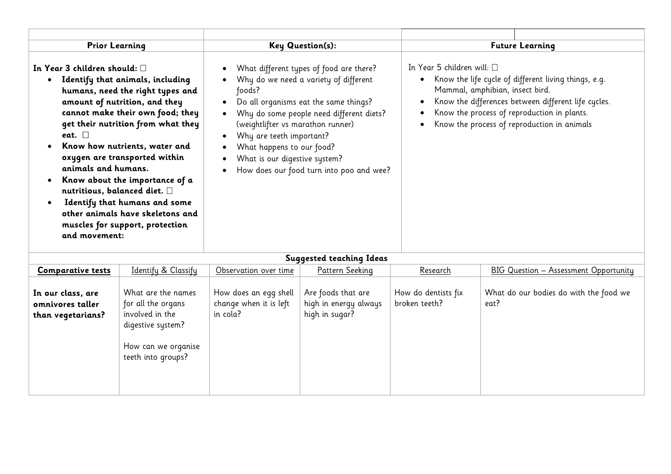| <b>Prior Learning</b>                                                                                                                                                                                                                                                                                                                                                                                                                                                                                                                                        | Key Question(s):                                                                                                                                                                                                                                                   |                                                                                      | <b>Future Learning</b>                                                                          |                                                                                                                                                                                                           |  |
|--------------------------------------------------------------------------------------------------------------------------------------------------------------------------------------------------------------------------------------------------------------------------------------------------------------------------------------------------------------------------------------------------------------------------------------------------------------------------------------------------------------------------------------------------------------|--------------------------------------------------------------------------------------------------------------------------------------------------------------------------------------------------------------------------------------------------------------------|--------------------------------------------------------------------------------------|-------------------------------------------------------------------------------------------------|-----------------------------------------------------------------------------------------------------------------------------------------------------------------------------------------------------------|--|
| In Year 3 children should: $\square$<br>Identify that animals, including<br>$\bullet$<br>humans, need the right types and<br>amount of nutrition, and they<br>cannot make their own food; they<br>get their nutrition from what they<br>eat. $\square$<br>Know how nutrients, water and<br>oxygen are transported within<br>animals and humans.<br>Know about the importance of a<br>nutritious, balanced diet. $\Box$<br>Identify that humans and some<br>$\bullet$<br>other animals have skeletons and<br>muscles for support, protection<br>and movement: | What different types of food are there?<br>Why do we need a variety of different<br>foods?<br>Do all organisms eat the same things?<br>(weightlifter vs marathon runner)<br>Why are teeth important?<br>What happens to our food?<br>What is our digestive system? | Why do some people need different diets?<br>How does our food turn into poo and wee? | In Year 5 children will: $\square$<br>$\bullet$<br>Mammal, amphibian, insect bird.<br>$\bullet$ | Know the life cycle of different living things, e.g.<br>Know the differences between different life cycles.<br>Know the process of reproduction in plants.<br>Know the process of reproduction in animals |  |
|                                                                                                                                                                                                                                                                                                                                                                                                                                                                                                                                                              |                                                                                                                                                                                                                                                                    | <b>Suggested teaching Ideas</b>                                                      |                                                                                                 |                                                                                                                                                                                                           |  |
| $Id_{\text{out}}: f_{\text{out}} \circ \bigcap_{\text{in}} f_{\text{out}}: f_{\text{out}}$<br>$\mathcal{C}$ and a constitution of $\mathcal{C}$                                                                                                                                                                                                                                                                                                                                                                                                              | $\bigcap$ $\bigcap_{n=1}^{\infty}$                                                                                                                                                                                                                                 | Dattawn Cashing                                                                      | $D$ as a quali                                                                                  | $\overline{DIC}$ Question Assessment Questionity                                                                                                                                                          |  |

| <b>Comparative tests</b>                                   | Identify & Classify                                                                                                           | Observation over time                                       | Pattern Seeking                                               | Research                             | BIG Question - Assessment Opportunity          |
|------------------------------------------------------------|-------------------------------------------------------------------------------------------------------------------------------|-------------------------------------------------------------|---------------------------------------------------------------|--------------------------------------|------------------------------------------------|
| In our class, are<br>omnivores taller<br>than vegetarians? | What are the names<br>for all the organs<br>involved in the<br>digestive system?<br>How can we organise<br>teeth into groups? | How does an egg shell<br>change when it is left<br>in cola? | Are foods that are<br>high in energy always<br>high in sugar? | How do dentists fix<br>broken teeth? | What do our bodies do with the food we<br>eat? |
|                                                            |                                                                                                                               |                                                             |                                                               |                                      |                                                |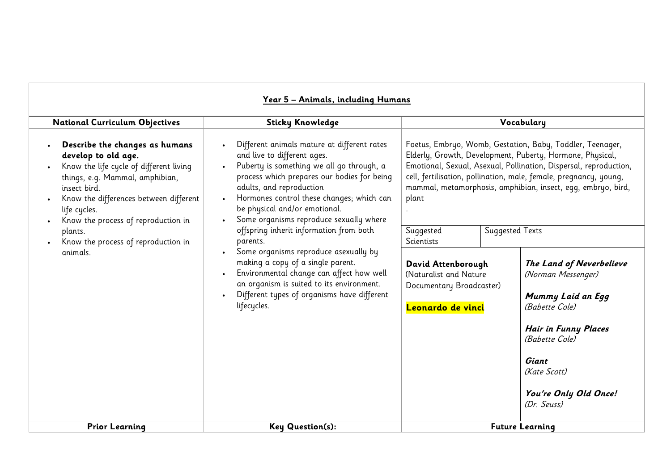|                                                                                                                                                                                                                                                                                                                    | Year 5 - Animals, including Humans                                                                                                                                                                                                                                                                                                                                                                                                                                                                                                                                                                                                                             |                                                                                                                                   |                                                                                                                                                                                                                                                                                                                                                                                                                                                              |                                                                                                       |
|--------------------------------------------------------------------------------------------------------------------------------------------------------------------------------------------------------------------------------------------------------------------------------------------------------------------|----------------------------------------------------------------------------------------------------------------------------------------------------------------------------------------------------------------------------------------------------------------------------------------------------------------------------------------------------------------------------------------------------------------------------------------------------------------------------------------------------------------------------------------------------------------------------------------------------------------------------------------------------------------|-----------------------------------------------------------------------------------------------------------------------------------|--------------------------------------------------------------------------------------------------------------------------------------------------------------------------------------------------------------------------------------------------------------------------------------------------------------------------------------------------------------------------------------------------------------------------------------------------------------|-------------------------------------------------------------------------------------------------------|
| <b>National Curriculum Objectives</b>                                                                                                                                                                                                                                                                              | <b>Sticky Knowledge</b>                                                                                                                                                                                                                                                                                                                                                                                                                                                                                                                                                                                                                                        |                                                                                                                                   | Vocabulary                                                                                                                                                                                                                                                                                                                                                                                                                                                   |                                                                                                       |
| Describe the changes as humans<br>develop to old age.<br>Know the life cycle of different living<br>things, e.g. Mammal, amphibian,<br>insect bird.<br>Know the differences between different<br>life cycles.<br>Know the process of reproduction in<br>plants.<br>Know the process of reproduction in<br>animals. | Different animals mature at different rates<br>and live to different ages.<br>Puberty is something we all go through, a<br>process which prepares our bodies for being<br>adults, and reproduction<br>Hormones control these changes; which can<br>be physical and/or emotional.<br>Some organisms reproduce sexually where<br>$\bullet$<br>offspring inherit information from both<br>parents.<br>Some organisms reproduce asexually by<br>making a copy of a single parent.<br>Environmental change can affect how well<br>$\bullet$<br>an organism is suited to its environment.<br>Different types of organisms have different<br>$\bullet$<br>lifecycles. | plant<br>Suggested<br>Scientists<br>David Attenborough<br>(Naturalist and Nature<br>Documentary Broadcaster)<br>Leonardo de vinci | Foetus, Embryo, Womb, Gestation, Baby, Toddler, Teenager,<br>Elderly, Growth, Development, Puberty, Hormone, Physical,<br>Emotional, Sexual, Asexual, Pollination, Dispersal, reproduction,<br>cell, fertilisation, pollination, male, female, pregnancy, young,<br>mammal, metamorphosis, amphibian, insect, egg, embryo, bird,<br><b>Suggested Texts</b><br>(Norman Messenger)<br>(Babette Cole)<br>(Babette Cole)<br>Giant<br>(Kate Scott)<br>(Dr. Seuss) | The Land of Neverbelieve<br>Mummy Laid an Egg<br><b>Hair in Funny Places</b><br>You're Only Old Once! |
| <b>Prior Learning</b>                                                                                                                                                                                                                                                                                              | <b>Key Question(s):</b>                                                                                                                                                                                                                                                                                                                                                                                                                                                                                                                                                                                                                                        |                                                                                                                                   | <b>Future Learning</b>                                                                                                                                                                                                                                                                                                                                                                                                                                       |                                                                                                       |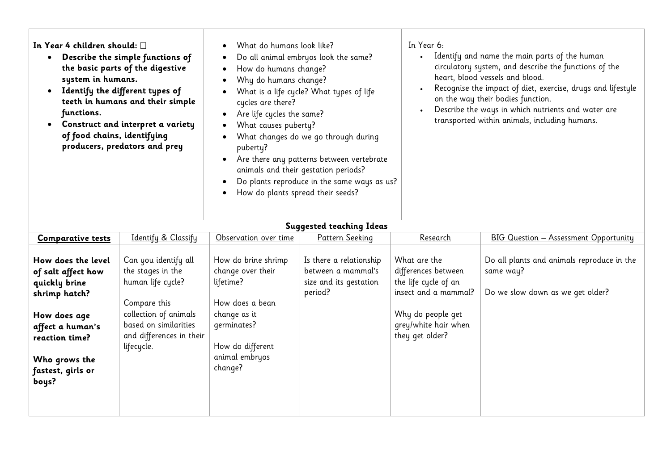| In Year 4 children should: $\square$<br>$\bullet$<br>Describe the simple functions of<br>$\bullet$<br>the basic parts of the digestive<br>system in humans.<br>$\bullet$<br>Identify the different types of<br>teeth in humans and their simple<br>functions.<br>Construct and interpret a variety<br>$\bullet$<br>of food chains, identifying<br>$\bullet$<br>producers, predators and prey<br>$\bullet$<br>$\bullet$ | What do humans look like?<br>Do all animal embryos look the same?<br>How do humans change?<br>Why do humans change?<br>What is a life cycle? What types of life<br>cycles are there?<br>Are life cycles the same?<br>What causes puberty?<br>What changes do we go through during<br>puberty?<br>Are there any patterns between vertebrate<br>animals and their gestation periods?<br>Do plants reproduce in the same ways as us?<br>How do plants spread their seeds? | In Year 6:<br>Identify and name the main parts of the human<br>circulatory system, and describe the functions of the<br>heart, blood vessels and blood.<br>Recognise the impact of diet, exercise, drugs and lifestyle<br>on the way their bodies function.<br>Describe the ways in which nutrients and water are<br>transported within animals, including humans. |
|------------------------------------------------------------------------------------------------------------------------------------------------------------------------------------------------------------------------------------------------------------------------------------------------------------------------------------------------------------------------------------------------------------------------|------------------------------------------------------------------------------------------------------------------------------------------------------------------------------------------------------------------------------------------------------------------------------------------------------------------------------------------------------------------------------------------------------------------------------------------------------------------------|--------------------------------------------------------------------------------------------------------------------------------------------------------------------------------------------------------------------------------------------------------------------------------------------------------------------------------------------------------------------|
|------------------------------------------------------------------------------------------------------------------------------------------------------------------------------------------------------------------------------------------------------------------------------------------------------------------------------------------------------------------------------------------------------------------------|------------------------------------------------------------------------------------------------------------------------------------------------------------------------------------------------------------------------------------------------------------------------------------------------------------------------------------------------------------------------------------------------------------------------------------------------------------------------|--------------------------------------------------------------------------------------------------------------------------------------------------------------------------------------------------------------------------------------------------------------------------------------------------------------------------------------------------------------------|

| <b>Suggested teaching Ideas</b>                                                                                                                                                 |                                                                                                                                                                            |                                                                                                                                                          |                                                                                    |                                                                                                                                                     |                                                                                             |
|---------------------------------------------------------------------------------------------------------------------------------------------------------------------------------|----------------------------------------------------------------------------------------------------------------------------------------------------------------------------|----------------------------------------------------------------------------------------------------------------------------------------------------------|------------------------------------------------------------------------------------|-----------------------------------------------------------------------------------------------------------------------------------------------------|---------------------------------------------------------------------------------------------|
| <b>Comparative tests</b>                                                                                                                                                        | Identify & Classify                                                                                                                                                        | Observation over time                                                                                                                                    | Pattern Seeking                                                                    | Research                                                                                                                                            | BIG Question - Assessment Opportunity                                                       |
| How does the level<br>of salt affect how<br>quickly brine<br>shrimp hatch?<br>How does age<br>affect a human's<br>reaction time?<br>Who grows the<br>fastest, girls or<br>boys? | Can you identify all<br>the stages in the<br>human life cycle?<br>Compare this<br>collection of animals<br>based on similarities<br>and differences in their<br>lifecycle. | How do brine shrimp<br>change over their<br>lifetime?<br>How does a bean<br>change as it<br>qerminates?<br>How do different<br>animal embryos<br>change? | Is there a relationship<br>between a mammal's<br>size and its gestation<br>period? | What are the<br>differences between<br>the life cycle of an<br>insect and a mammal?<br>Why do people get<br>grey/white hair when<br>they get older? | Do all plants and animals reproduce in the<br>same way?<br>Do we slow down as we get older? |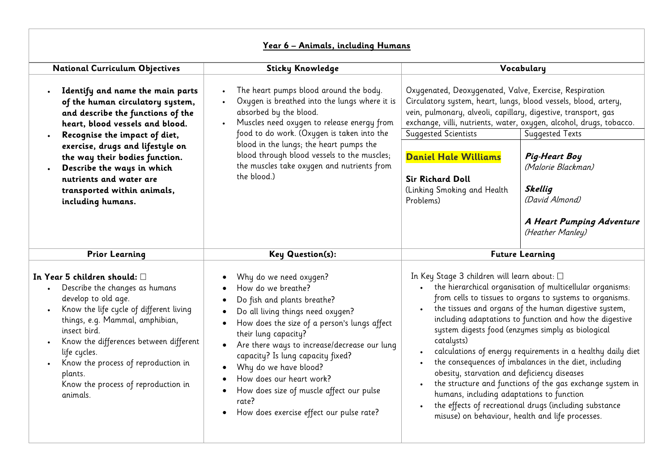|                                                                                                                                                                                                                                                                                                                                                                         | Year 6 - Animals, including Humans                                                                                                                                                                                                                                                                                                                                                                                                                                                                   |                                                                                                                                                                                                                                                                                                                                                                                                                                                                                                                                                                                                                                                                                                                                                                         |  |  |
|-------------------------------------------------------------------------------------------------------------------------------------------------------------------------------------------------------------------------------------------------------------------------------------------------------------------------------------------------------------------------|------------------------------------------------------------------------------------------------------------------------------------------------------------------------------------------------------------------------------------------------------------------------------------------------------------------------------------------------------------------------------------------------------------------------------------------------------------------------------------------------------|-------------------------------------------------------------------------------------------------------------------------------------------------------------------------------------------------------------------------------------------------------------------------------------------------------------------------------------------------------------------------------------------------------------------------------------------------------------------------------------------------------------------------------------------------------------------------------------------------------------------------------------------------------------------------------------------------------------------------------------------------------------------------|--|--|
| <b>National Curriculum Objectives</b>                                                                                                                                                                                                                                                                                                                                   | <b>Sticky Knowledge</b>                                                                                                                                                                                                                                                                                                                                                                                                                                                                              | Vocabulary                                                                                                                                                                                                                                                                                                                                                                                                                                                                                                                                                                                                                                                                                                                                                              |  |  |
| Identify and name the main parts<br>of the human circulatory system,<br>and describe the functions of the<br>heart, blood vessels and blood.<br>Recognise the impact of diet,<br>exercise, drugs and lifestyle on<br>the way their bodies function.<br>Describe the ways in which<br>nutrients and water are<br>transported within animals,<br>including humans.        | The heart pumps blood around the body.<br>$\bullet$<br>Oxygen is breathed into the lungs where it is<br>$\bullet$<br>absorbed by the blood.<br>Muscles need oxygen to release energy from<br>food to do work. (Oxygen is taken into the<br>blood in the lungs; the heart pumps the<br>blood through blood vessels to the muscles;<br>the muscles take oxygen and nutrients from<br>the blood.)                                                                                                       | Oxygenated, Deoxygenated, Valve, Exercise, Respiration<br>Circulatory system, heart, lungs, blood vessels, blood, artery,<br>vein, pulmonary, alveoli, capillary, digestive, transport, gas<br>exchange, villi, nutrients, water, oxygen, alcohol, drugs, tobacco.<br>Suggested Scientists<br>Suggested Texts<br><b>Daniel Hale Williams</b><br><b>Pig-Heart Boy</b><br>(Malorie Blackman)<br><b>Sir Richard Doll</b><br><b>Skellig</b><br>(Linking Smoking and Health<br>(David Almond)<br>Problems)<br>A Heart Pumping Adventure<br>(Heather Manley)                                                                                                                                                                                                                  |  |  |
| <b>Prior Learning</b>                                                                                                                                                                                                                                                                                                                                                   | Key Question(s):                                                                                                                                                                                                                                                                                                                                                                                                                                                                                     | <b>Future Learning</b>                                                                                                                                                                                                                                                                                                                                                                                                                                                                                                                                                                                                                                                                                                                                                  |  |  |
| In Year 5 children should: $\square$<br>Describe the changes as humans<br>develop to old age.<br>Know the life cycle of different living<br>$\bullet$<br>things, e.g. Mammal, amphibian,<br>insect bird.<br>Know the differences between different<br>life cycles.<br>Know the process of reproduction in<br>plants.<br>Know the process of reproduction in<br>animals. | Why do we need oxygen?<br>How do we breathe?<br>Do fish and plants breathe?<br>$\bullet$<br>Do all living things need oxygen?<br>How does the size of a person's lungs affect<br>their lung capacity?<br>Are there ways to increase/decrease our lung<br>$\bullet$<br>capacity? Is lung capacity fixed?<br>Why do we have blood?<br>$\bullet$<br>How does our heart work?<br>$\bullet$<br>How does size of muscle affect our pulse<br>rate?<br>How does exercise effect our pulse rate?<br>$\bullet$ | In Key Stage 3 children will learn about: □<br>the hierarchical organisation of multicellular organisms:<br>$\bullet$<br>from cells to tissues to organs to systems to organisms.<br>the tissues and organs of the human digestive system,<br>including adaptations to function and how the digestive<br>system digests food (enzymes simply as biological<br>catalysts)<br>calculations of energy requirements in a healthy daily diet<br>the consequences of imbalances in the diet, including<br>obesity, starvation and deficiency diseases<br>the structure and functions of the gas exchange system in<br>humans, including adaptations to function<br>the effects of recreational drugs (including substance<br>misuse) on behaviour, health and life processes. |  |  |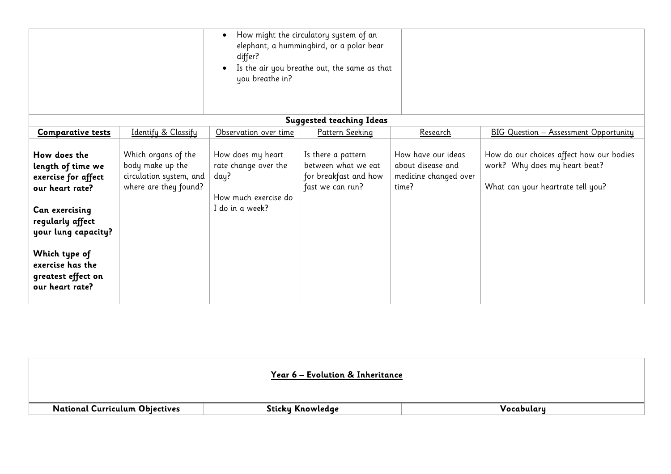|                                                                                                                                                                                                                        |                                                                                             | differ?<br>you breathe in?                                                                   | How might the circulatory system of an<br>elephant, a hummingbird, or a polar bear<br>Is the air you breathe out, the same as that |                                                                           |                                                                                                                |
|------------------------------------------------------------------------------------------------------------------------------------------------------------------------------------------------------------------------|---------------------------------------------------------------------------------------------|----------------------------------------------------------------------------------------------|------------------------------------------------------------------------------------------------------------------------------------|---------------------------------------------------------------------------|----------------------------------------------------------------------------------------------------------------|
|                                                                                                                                                                                                                        |                                                                                             |                                                                                              | <b>Suggested teaching Ideas</b>                                                                                                    |                                                                           |                                                                                                                |
| <b>Comparative tests</b>                                                                                                                                                                                               | Identify & Classify                                                                         | Observation over time                                                                        | Pattern Seeking                                                                                                                    | <u>Research</u>                                                           | <b>BIG Question - Assessment Opportunity</b>                                                                   |
| How does the<br>length of time we<br>exercise for affect<br>our heart rate?<br>Can exercising<br>regularly affect<br>your lung capacity?<br>Which type of<br>exercise has the<br>greatest effect on<br>our heart rate? | Which organs of the<br>body make up the<br>circulation system, and<br>where are they found? | How does my heart<br>rate change over the<br>day?<br>How much exercise do<br>I do in a week? | Is there a pattern<br>between what we eat<br>for breakfast and how<br>fast we can run?                                             | How have our ideas<br>about disease and<br>medicine changed over<br>time? | How do our choices affect how our bodies<br>work? Why does my heart beat?<br>What can your heartrate tell you? |

|                                       | Year 6 – Evolution & Inheritance |            |
|---------------------------------------|----------------------------------|------------|
| <b>National Curriculum Objectives</b> | Sticky Knowledge                 | Vocabulary |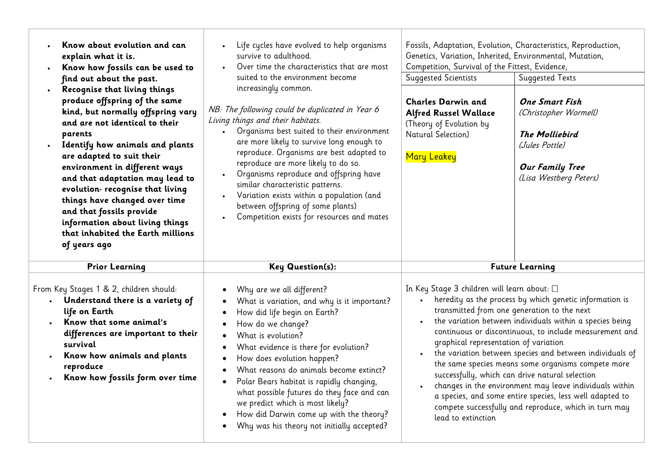| Know about evolution and can<br>explain what it is.<br>Know how fossils can be used to<br>find out about the past.<br>Recognise that living things<br>produce offspring of the same<br>kind, but normally offspring vary<br>and are not identical to their<br>parents<br>Identify how animals and plants<br>are adapted to suit their<br>environment in different ways<br>and that adaptation may lead to<br>evolution- recognise that living<br>things have changed over time<br>and that fossils provide<br>information about living things<br>that inhabited the Earth millions<br>of years ago | Life cycles have evolved to help organisms<br>survive to adulthood.<br>Over time the characteristics that are most<br>suited to the environment become<br>increasingly common.<br>NB: The following could be duplicated in Year 6<br>Living things and their habitats.<br>Organisms best suited to their environment<br>$\bullet$<br>are more likely to survive long enough to<br>reproduce. Organisms are best adapted to<br>reproduce are more likely to do so.<br>Organisms reproduce and offspring have<br>similar characteristic patterns.<br>Variation exists within a population (and<br>between offspring of some plants)<br>Competition exists for resources and mates | Genetics, Variation, Inherited, Environmental, Mutation,<br>Competition, Survival of the Fittest, Evidence,<br><b>Suggested Scientists</b><br><b>Charles Darwin and</b><br><b>Alfred Russel Wallace</b><br>(Theory of Evolution by<br>Natural Selection)<br><b>Mary Leakey</b> | Fossils, Adaptation, Evolution, Characteristics, Reproduction,<br><b>Suggested Texts</b><br><b>One Smart Fish</b><br>(Christopher Wormell)<br><b>The Molliebird</b><br>(Jules Pottle)<br><b>Our Family Tree</b><br>(Lisa Westberg Peters)                                                                                                                                                                                                                                                                                                                                                                    |
|----------------------------------------------------------------------------------------------------------------------------------------------------------------------------------------------------------------------------------------------------------------------------------------------------------------------------------------------------------------------------------------------------------------------------------------------------------------------------------------------------------------------------------------------------------------------------------------------------|---------------------------------------------------------------------------------------------------------------------------------------------------------------------------------------------------------------------------------------------------------------------------------------------------------------------------------------------------------------------------------------------------------------------------------------------------------------------------------------------------------------------------------------------------------------------------------------------------------------------------------------------------------------------------------|--------------------------------------------------------------------------------------------------------------------------------------------------------------------------------------------------------------------------------------------------------------------------------|--------------------------------------------------------------------------------------------------------------------------------------------------------------------------------------------------------------------------------------------------------------------------------------------------------------------------------------------------------------------------------------------------------------------------------------------------------------------------------------------------------------------------------------------------------------------------------------------------------------|
| <b>Prior Learning</b><br>From Key Stages 1 & 2, children should:<br>Understand there is a variety of<br>life on Earth<br>Know that some animal's<br>differences are important to their<br>survival<br>Know how animals and plants<br>reproduce<br>Know how fossils form over time                                                                                                                                                                                                                                                                                                                  | <b>Key Question(s):</b><br>Why are we all different?<br>What is variation, and why is it important?<br>How did life begin on Earth?<br>How do we change?<br>What is evolution?<br>What evidence is there for evolution?<br>How does evolution happen?<br>$\bullet$<br>What reasons do animals become extinct?<br>$\bullet$<br>Polar Bears habitat is rapidly changing,<br>$\bullet$<br>what possible futures do they face and can<br>we predict which is most likely?<br>How did Darwin come up with the theory?<br>Why was his theory not initially accepted?<br>$\bullet$                                                                                                     | In Key Stage 3 children will learn about: □<br>$\bullet$<br>graphical representation of variation<br>lead to extinction                                                                                                                                                        | <b>Future Learning</b><br>heredity as the process by which genetic information is<br>transmitted from one generation to the next<br>the variation between individuals within a species being<br>continuous or discontinuous, to include measurement and<br>the variation between species and between individuals of<br>the same species means some organisms compete more<br>successfully, which can drive natural selection<br>changes in the environment may leave individuals within<br>a species, and some entire species, less well adapted to<br>compete successfully and reproduce, which in turn may |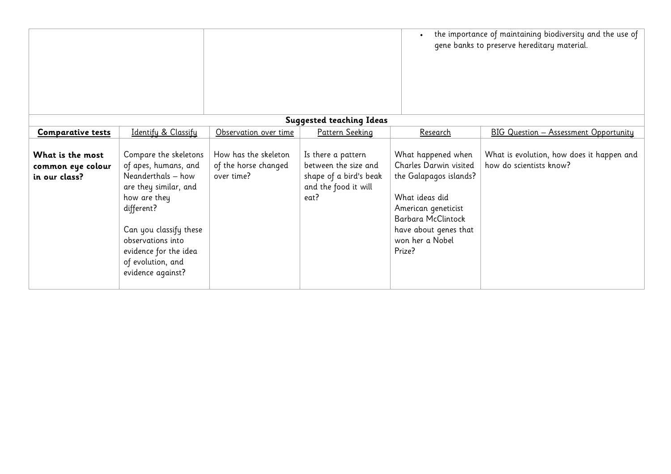|                                                        |                                                                                                                                                                                                                                              |                                                            |                                                                                                      | $\bullet$                                                                                                                                                                                   | the importance of maintaining biodiversity and the use of<br>gene banks to preserve hereditary material. |
|--------------------------------------------------------|----------------------------------------------------------------------------------------------------------------------------------------------------------------------------------------------------------------------------------------------|------------------------------------------------------------|------------------------------------------------------------------------------------------------------|---------------------------------------------------------------------------------------------------------------------------------------------------------------------------------------------|----------------------------------------------------------------------------------------------------------|
|                                                        |                                                                                                                                                                                                                                              |                                                            | <b>Suggested teaching Ideas</b>                                                                      |                                                                                                                                                                                             |                                                                                                          |
| <b>Comparative tests</b>                               | Identify & Classify                                                                                                                                                                                                                          | Observation over time                                      | Pattern Seeking                                                                                      | Research                                                                                                                                                                                    | <b>BIG Question - Assessment Opportunity</b>                                                             |
| What is the most<br>common eye colour<br>in our class? | Compare the skeletons<br>of apes, humans, and<br>Neanderthals - how<br>are they similar, and<br>how are they<br>different?<br>Can you classify these<br>observations into<br>evidence for the idea<br>of evolution, and<br>evidence against? | How has the skeleton<br>of the horse changed<br>over time? | Is there a pattern<br>between the size and<br>shape of a bird's beak<br>and the food it will<br>eat? | What happened when<br>Charles Darwin visited<br>the Galapagos islands?<br>What ideas did<br>American geneticist<br>Barbara McClintock<br>have about genes that<br>won her a Nobel<br>Prize? | What is evolution, how does it happen and<br>how do scientists know?                                     |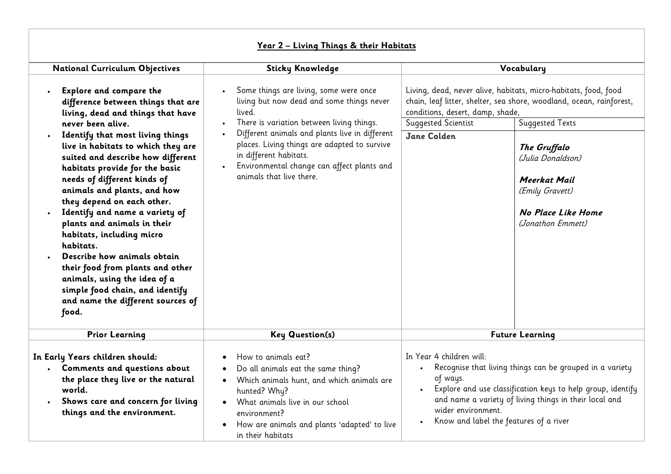|                                                                                                                                                                                                                                                                                                                                                                                                                                                                                                                                                           | $\frac{1}{2}$ $\frac{1}{2}$ $\frac{1}{2}$ $\frac{1}{2}$ $\frac{1}{2}$ $\frac{1}{2}$ $\frac{1}{2}$ $\frac{1}{2}$ $\frac{1}{2}$ $\frac{1}{2}$ $\frac{1}{2}$ $\frac{1}{2}$ $\frac{1}{2}$ $\frac{1}{2}$ $\frac{1}{2}$ $\frac{1}{2}$ $\frac{1}{2}$ $\frac{1}{2}$ $\frac{1}{2}$ $\frac{1}{2}$ $\frac{1}{2}$ $\frac{1}{2}$                                           |                                                                                                                                                                                                                                                                                           |                                                                                                                                                                                                                                                                                             |
|-----------------------------------------------------------------------------------------------------------------------------------------------------------------------------------------------------------------------------------------------------------------------------------------------------------------------------------------------------------------------------------------------------------------------------------------------------------------------------------------------------------------------------------------------------------|---------------------------------------------------------------------------------------------------------------------------------------------------------------------------------------------------------------------------------------------------------------------------------------------------------------------------------------------------------------|-------------------------------------------------------------------------------------------------------------------------------------------------------------------------------------------------------------------------------------------------------------------------------------------|---------------------------------------------------------------------------------------------------------------------------------------------------------------------------------------------------------------------------------------------------------------------------------------------|
| <b>National Curriculum Objectives</b>                                                                                                                                                                                                                                                                                                                                                                                                                                                                                                                     | <b>Sticky Knowledge</b><br>Vocabulary                                                                                                                                                                                                                                                                                                                         |                                                                                                                                                                                                                                                                                           |                                                                                                                                                                                                                                                                                             |
| <b>Explore and compare the</b><br>difference between things that are<br>living, dead and things that have<br>never been alive.<br>Identify that most living things<br>live in habitats to which they are<br>suited and describe how different<br>habitats provide for the basic<br>needs of different kinds of<br>animals and plants, and how<br>they depend on each other.<br>Identify and name a variety of<br>plants and animals in their<br>habitats, including micro<br>habitats.<br>Describe how animals obtain<br>their food from plants and other | Some things are living, some were once<br>living but now dead and some things never<br>lived.<br>There is variation between living things.<br>$\bullet$<br>Different animals and plants live in different<br>places. Living things are adapted to survive<br>in different habitats.<br>Environmental change can affect plants and<br>animals that live there. | conditions, desert, damp, shade,<br>Suggested Scientist<br>Jane Colden                                                                                                                                                                                                                    | Living, dead, never alive, habitats, micro-habitats, food, food<br>chain, leaf litter, shelter, sea shore, woodland, ocean, rainforest,<br><b>Suggested Texts</b><br>The Gruffalo<br>(Julia Donaldson)<br>Meerkat Mail<br>(Emily Gravett)<br><b>No Place Like Home</b><br>(Jonathon Emmett) |
| animals, using the idea of a<br>simple food chain, and identify<br>and name the different sources of<br>food.                                                                                                                                                                                                                                                                                                                                                                                                                                             |                                                                                                                                                                                                                                                                                                                                                               |                                                                                                                                                                                                                                                                                           |                                                                                                                                                                                                                                                                                             |
| <b>Prior Learning</b>                                                                                                                                                                                                                                                                                                                                                                                                                                                                                                                                     | <b>Key Question(s)</b>                                                                                                                                                                                                                                                                                                                                        |                                                                                                                                                                                                                                                                                           | <b>Future Learning</b>                                                                                                                                                                                                                                                                      |
| In Early Years children should:<br>Comments and questions about<br>the place they live or the natural<br>world.<br>Shows care and concern for living<br>things and the environment.                                                                                                                                                                                                                                                                                                                                                                       | How to animals eat?<br>Do all animals eat the same thing?<br>Which animals hunt, and which animals are<br>$\bullet$<br>hunted? Why?<br>What animals live in our school<br>$\bullet$<br>environment?<br>How are animals and plants 'adapted' to live<br>in their habitats                                                                                      | In Year 4 children will:<br>Recognise that living things can be grouped in a variety<br>of ways.<br>Explore and use classification keys to help group, identify<br>and name a variety of living things in their local and<br>wider environment.<br>Know and label the features of a river |                                                                                                                                                                                                                                                                                             |

## **Year 2 – Living Things & their Habitats**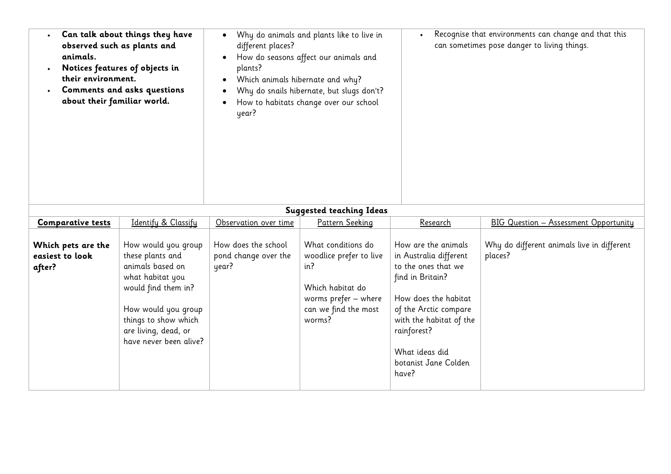| Can talk about things they have<br>observed such as plants and<br>animals.<br>Notices features of objects in<br>their environment.<br>Comments and asks questions<br>about their familiar world. |                                                                                                                                                                                                         | $\bullet$<br>different places?<br>$\bullet$<br>plants?<br>Which animals hibernate and why?<br>$\bullet$<br>year? | Why do animals and plants like to live in<br>How do seasons affect our animals and<br>Why do snails hibernate, but slugs don't?<br>How to habitats change over our school | $\bullet$                                                                                                                                                                                                                              | Recognise that environments can change and that this<br>can sometimes pose danger to living things. |
|--------------------------------------------------------------------------------------------------------------------------------------------------------------------------------------------------|---------------------------------------------------------------------------------------------------------------------------------------------------------------------------------------------------------|------------------------------------------------------------------------------------------------------------------|---------------------------------------------------------------------------------------------------------------------------------------------------------------------------|----------------------------------------------------------------------------------------------------------------------------------------------------------------------------------------------------------------------------------------|-----------------------------------------------------------------------------------------------------|
|                                                                                                                                                                                                  |                                                                                                                                                                                                         |                                                                                                                  | <b>Suggested teaching Ideas</b>                                                                                                                                           |                                                                                                                                                                                                                                        |                                                                                                     |
| <b>Comparative tests</b>                                                                                                                                                                         | Identify & Classify                                                                                                                                                                                     | Observation over time                                                                                            | Pattern Seeking                                                                                                                                                           | Research                                                                                                                                                                                                                               | <b>BIG Question - Assessment Opportunity</b>                                                        |
| Which pets are the<br>easiest to look<br>after?                                                                                                                                                  | How would you group<br>these plants and<br>animals based on<br>what habitat you<br>would find them in?<br>How would you group<br>things to show which<br>are living, dead, or<br>have never been alive? | How does the school<br>pond change over the<br>year?                                                             | What conditions do<br>woodlice prefer to live<br>in?<br>Which habitat do<br>worms prefer - where<br>can we find the most<br>worms?                                        | How are the animals<br>in Australia different<br>to the ones that we<br>find in Britain?<br>How does the habitat<br>of the Arctic compare<br>with the habitat of the<br>rainforest?<br>What ideas did<br>botanist Jane Colden<br>have? | Why do different animals live in different<br>places?                                               |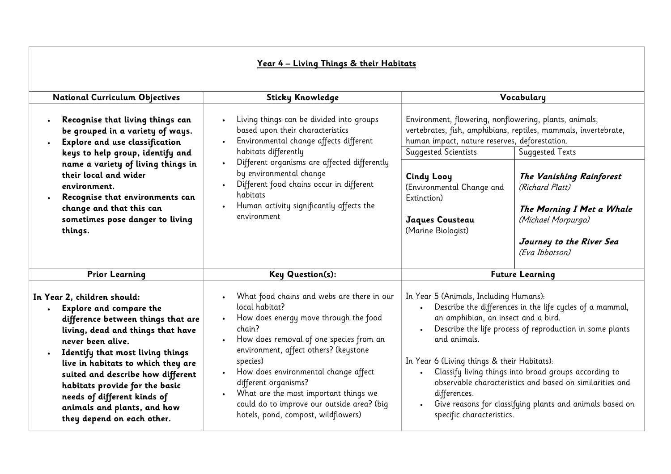|                                                                                                                                                                                                                                                                                                                                                                                                                                      | <u> Year 4 - Living Things &amp; their Habitats</u>                                                                                                                                                                                                                                                                                                                                                           |                                                                                                                                                                                                                                                                                                                                                                                                                                                                                                    |                                                                                                                                                                                                                                                                                                                                                                                                                                                                                        |  |
|--------------------------------------------------------------------------------------------------------------------------------------------------------------------------------------------------------------------------------------------------------------------------------------------------------------------------------------------------------------------------------------------------------------------------------------|---------------------------------------------------------------------------------------------------------------------------------------------------------------------------------------------------------------------------------------------------------------------------------------------------------------------------------------------------------------------------------------------------------------|----------------------------------------------------------------------------------------------------------------------------------------------------------------------------------------------------------------------------------------------------------------------------------------------------------------------------------------------------------------------------------------------------------------------------------------------------------------------------------------------------|----------------------------------------------------------------------------------------------------------------------------------------------------------------------------------------------------------------------------------------------------------------------------------------------------------------------------------------------------------------------------------------------------------------------------------------------------------------------------------------|--|
| <b>National Curriculum Objectives</b>                                                                                                                                                                                                                                                                                                                                                                                                | <b>Sticky Knowledge</b>                                                                                                                                                                                                                                                                                                                                                                                       | Vocabulary                                                                                                                                                                                                                                                                                                                                                                                                                                                                                         |                                                                                                                                                                                                                                                                                                                                                                                                                                                                                        |  |
| Recognise that living things can<br>be grouped in a variety of ways.<br>Explore and use classification<br>keys to help group, identify and<br>name a variety of living things in<br>their local and wider<br>environment.<br>Recognise that environments can<br>$\bullet$<br>change and that this can<br>sometimes pose danger to living<br>things.                                                                                  | Living things can be divided into groups<br>based upon their characteristics<br>Environmental change affects different<br>habitats differently<br>Different organisms are affected differently<br>by environmental change<br>Different food chains occur in different<br>habitats<br>Human activity significantly affects the<br>environment                                                                  |                                                                                                                                                                                                                                                                                                                                                                                                                                                                                                    | Environment, flowering, nonflowering, plants, animals,<br>vertebrates, fish, amphibians, reptiles, mammals, invertebrate,<br>human impact, nature reserves, deforestation.<br><b>Suggested Scientists</b><br>Suggested Texts<br><b>Cindy Looy</b><br>The Vanishing Rainforest<br>(Environmental Change and<br>(Richard Platt)<br>Extinction)<br>The Morning I Met a Whale<br>(Michael Morpurgo)<br>Jaques Cousteau<br>(Marine Biologist)<br>Journey to the River Sea<br>(Eva Ibbotson) |  |
| <b>Prior Learning</b>                                                                                                                                                                                                                                                                                                                                                                                                                | Key Question(s):                                                                                                                                                                                                                                                                                                                                                                                              | <b>Future Learning</b>                                                                                                                                                                                                                                                                                                                                                                                                                                                                             |                                                                                                                                                                                                                                                                                                                                                                                                                                                                                        |  |
| In Year 2, children should:<br><b>Explore and compare the</b><br>$\bullet$<br>difference between things that are<br>living, dead and things that have<br>never been alive.<br>Identify that most living things<br>$\bullet$<br>live in habitats to which they are<br>suited and describe how different<br>habitats provide for the basic<br>needs of different kinds of<br>animals and plants, and how<br>they depend on each other. | What food chains and webs are there in our<br>local habitat?<br>How does energy move through the food<br>chain?<br>How does removal of one species from an<br>environment, affect others? (keystone<br>species)<br>How does environmental change affect<br>different organisms?<br>What are the most important things we<br>could do to improve our outside area? (big<br>hotels, pond, compost, wildflowers) | In Year 5 (Animals, Including Humans):<br>Describe the differences in the life cycles of a mammal,<br>an amphibian, an insect and a bird.<br>Describe the life process of reproduction in some plants<br>and animals.<br>In Year 6 (Living things & their Habitats):<br>Classify living things into broad groups according to<br>observable characteristics and based on similarities and<br>differences.<br>Give reasons for classifying plants and animals based on<br>specific characteristics. |                                                                                                                                                                                                                                                                                                                                                                                                                                                                                        |  |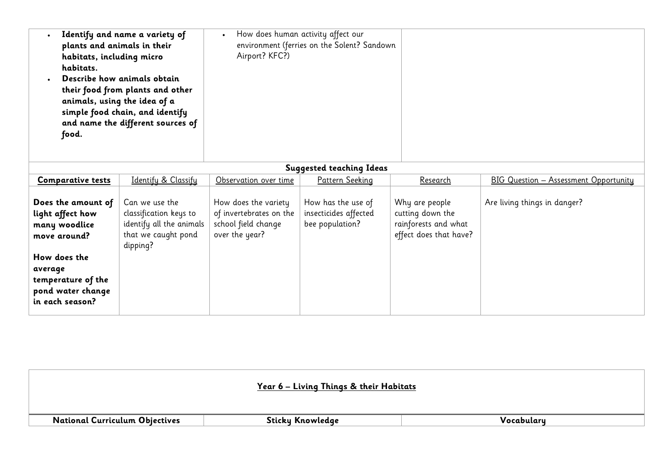| plants and animals in their<br>habitats, including micro<br>habitats.<br>animals, using the idea of a<br>food.                                                   | Identify and name a variety of<br>Describe how animals obtain<br>their food from plants and other<br>simple food chain, and identify<br>and name the different sources of | $\bullet$<br>Airport? KFC?)                                                              | How does human activity affect our<br>environment (ferries on the Solent? Sandown |                                                                                      |                                              |
|------------------------------------------------------------------------------------------------------------------------------------------------------------------|---------------------------------------------------------------------------------------------------------------------------------------------------------------------------|------------------------------------------------------------------------------------------|-----------------------------------------------------------------------------------|--------------------------------------------------------------------------------------|----------------------------------------------|
|                                                                                                                                                                  |                                                                                                                                                                           |                                                                                          | <b>Suggested teaching Ideas</b>                                                   |                                                                                      |                                              |
| <b>Comparative tests</b>                                                                                                                                         | Identify & Classify                                                                                                                                                       | Observation over time                                                                    | Pattern Seeking                                                                   | <b>Research</b>                                                                      | <b>BIG Question - Assessment Opportunity</b> |
| Does the amount of<br>light affect how<br>many woodlice<br>move around?<br>How does the<br>average<br>temperature of the<br>pond water change<br>in each season? | Can we use the<br>classification keys to<br>identify all the animals<br>that we caught pond<br>dipping?                                                                   | How does the variety<br>of invertebrates on the<br>school field change<br>over the year? | How has the use of<br>insecticides affected<br>bee population?                    | Why are people<br>cutting down the<br>rainforests and what<br>effect does that have? | Are living things in danger?                 |

|                                       | Year 6 - Living Things & their Habitats |            |
|---------------------------------------|-----------------------------------------|------------|
| <b>National Curriculum Objectives</b> | Sticky Knowledge                        | Vocabularu |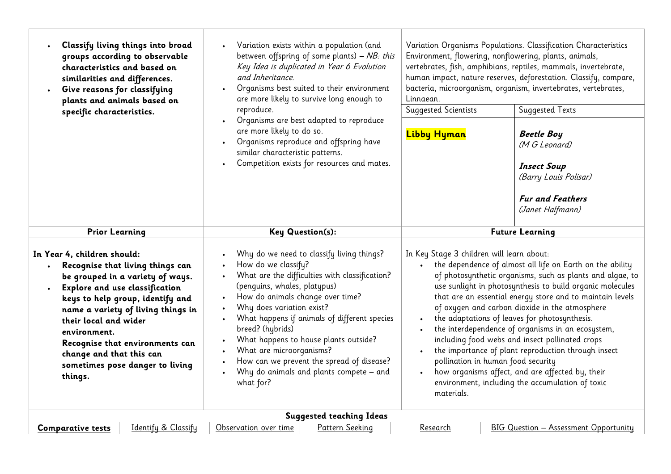| Classify living things into broad<br>groups according to observable<br>characteristics and based on<br>similarities and differences.<br>Give reasons for classifying<br>plants and animals based on<br>specific characteristics.                                                                                                                                      | Variation exists within a population (and<br>between offspring of some plants) $- NB$ : this<br>Key Idea is duplicated in Year 6 Evolution<br>and Inheritance.<br>Organisms best suited to their environment<br>are more likely to survive long enough to<br>reproduce.                                                                                                                                                                                                                                                                         | Variation Organisms Populations. Classification Characteristics<br>Environment, flowering, nonflowering, plants, animals,<br>vertebrates, fish, amphibians, reptiles, mammals, invertebrate,<br>human impact, nature reserves, deforestation. Classify, compare,<br>bacteria, microorganism, organism, invertebrates, vertebrates,<br>Linnaean.<br><b>Suggested Texts</b><br><b>Suggested Scientists</b>                                                                                                                                                                                                                                                                                                                    |  |  |
|-----------------------------------------------------------------------------------------------------------------------------------------------------------------------------------------------------------------------------------------------------------------------------------------------------------------------------------------------------------------------|-------------------------------------------------------------------------------------------------------------------------------------------------------------------------------------------------------------------------------------------------------------------------------------------------------------------------------------------------------------------------------------------------------------------------------------------------------------------------------------------------------------------------------------------------|-----------------------------------------------------------------------------------------------------------------------------------------------------------------------------------------------------------------------------------------------------------------------------------------------------------------------------------------------------------------------------------------------------------------------------------------------------------------------------------------------------------------------------------------------------------------------------------------------------------------------------------------------------------------------------------------------------------------------------|--|--|
|                                                                                                                                                                                                                                                                                                                                                                       | Organisms are best adapted to reproduce<br>are more likely to do so.<br>Organisms reproduce and offspring have<br>similar characteristic patterns.<br>Competition exists for resources and mates.                                                                                                                                                                                                                                                                                                                                               | <b>Beetle Boy</b><br><b>Libby Hyman</b><br>(M G Leonard)<br><b>Insect Soup</b><br>(Barry Louis Polisar)<br><b>Fur and Feathers</b><br>(Janet Halfmann)                                                                                                                                                                                                                                                                                                                                                                                                                                                                                                                                                                      |  |  |
| <b>Prior Learning</b>                                                                                                                                                                                                                                                                                                                                                 | <b>Key Question(s):</b>                                                                                                                                                                                                                                                                                                                                                                                                                                                                                                                         | <b>Future Learning</b>                                                                                                                                                                                                                                                                                                                                                                                                                                                                                                                                                                                                                                                                                                      |  |  |
| In Year 4, children should:<br>Recognise that living things can<br>be grouped in a variety of ways.<br>Explore and use classification<br>keys to help group, identify and<br>name a variety of living things in<br>their local and wider<br>environment.<br>Recognise that environments can<br>change and that this can<br>sometimes pose danger to living<br>things. | Why do we need to classify living things?<br>How do we classify?<br>What are the difficulties with classification?<br>$\bullet$<br>(penguins, whales, platypus)<br>How do animals change over time?<br>$\bullet$<br>Why does variation exist?<br>$\bullet$<br>What happens if animals of different species<br>$\bullet$<br>breed? (hybrids)<br>What happens to house plants outside?<br>What are microorganisms?<br>$\bullet$<br>How can we prevent the spread of disease?<br>Why do animals and plants compete - and<br>$\bullet$<br>what for? | In Key Stage 3 children will learn about:<br>the dependence of almost all life on Earth on the ability<br>of photosynthetic organisms, such as plants and algae, to<br>use sunlight in photosynthesis to build organic molecules<br>that are an essential energy store and to maintain levels<br>of oxygen and carbon dioxide in the atmosphere<br>the adaptations of leaves for photosynthesis.<br>the interdependence of organisms in an ecosystem,<br>including food webs and insect pollinated crops<br>the importance of plant reproduction through insect<br>pollination in human food security<br>how organisms affect, and are affected by, their<br>environment, including the accumulation of toxic<br>materials. |  |  |
|                                                                                                                                                                                                                                                                                                                                                                       | <b>Suggested teaching Ideas</b>                                                                                                                                                                                                                                                                                                                                                                                                                                                                                                                 |                                                                                                                                                                                                                                                                                                                                                                                                                                                                                                                                                                                                                                                                                                                             |  |  |
| Identify & Classify<br><b>Comparative tests</b>                                                                                                                                                                                                                                                                                                                       | Pattern Seeking<br>Observation over time                                                                                                                                                                                                                                                                                                                                                                                                                                                                                                        | BIG Question - Assessment Opportunity<br>Research                                                                                                                                                                                                                                                                                                                                                                                                                                                                                                                                                                                                                                                                           |  |  |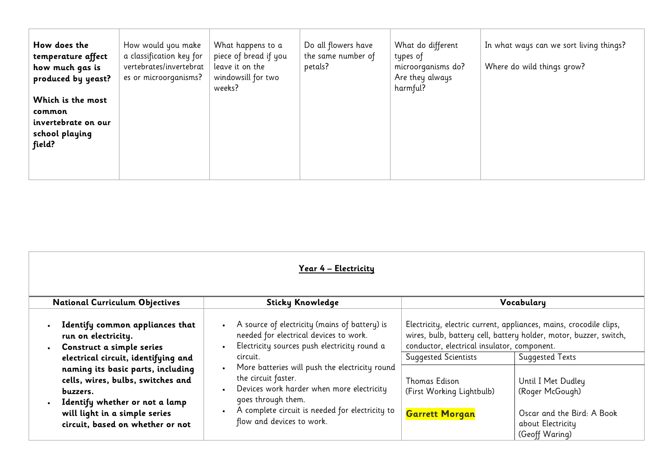| Year 4 - Electricity                                                                                                                                                                                                                                                                                                    |                                                                                                                                                                                                                                                                                                                                                                                 |                                                                                                                                                   |                                                                                                                                                                                                                                                                                 |  |  |  |
|-------------------------------------------------------------------------------------------------------------------------------------------------------------------------------------------------------------------------------------------------------------------------------------------------------------------------|---------------------------------------------------------------------------------------------------------------------------------------------------------------------------------------------------------------------------------------------------------------------------------------------------------------------------------------------------------------------------------|---------------------------------------------------------------------------------------------------------------------------------------------------|---------------------------------------------------------------------------------------------------------------------------------------------------------------------------------------------------------------------------------------------------------------------------------|--|--|--|
| <b>National Curriculum Objectives</b>                                                                                                                                                                                                                                                                                   | <b>Sticky Knowledge</b>                                                                                                                                                                                                                                                                                                                                                         |                                                                                                                                                   | Vocabulary                                                                                                                                                                                                                                                                      |  |  |  |
| Identify common appliances that<br>run on electricity.<br>Construct a simple series<br>electrical circuit, identifying and<br>naming its basic parts, including<br>cells, wires, bulbs, switches and<br>buzzers.<br>Identify whether or not a lamp<br>will light in a simple series<br>circuit, based on whether or not | A source of electricity (mains of battery) is<br>needed for electrical devices to work.<br>Electricity sources push electricity round a<br>circuit.<br>More batteries will push the electricity round<br>the circuit faster.<br>Devices work harder when more electricity<br>goes through them.<br>A complete circuit is needed for electricity to<br>flow and devices to work. | conductor, electrical insulator, component.<br><b>Suggested Scientists</b><br>Thomas Edison<br>(First Working Lightbulb)<br><b>Garrett Morgan</b> | Electricity, electric current, appliances, mains, crocodile clips,<br>wires, bulb, battery cell, battery holder, motor, buzzer, switch,<br><b>Suggested Texts</b><br>Until I Met Dudley<br>(Roger McGough)<br>Oscar and the Bird: A Book<br>about Electricity<br>(Geoff Waring) |  |  |  |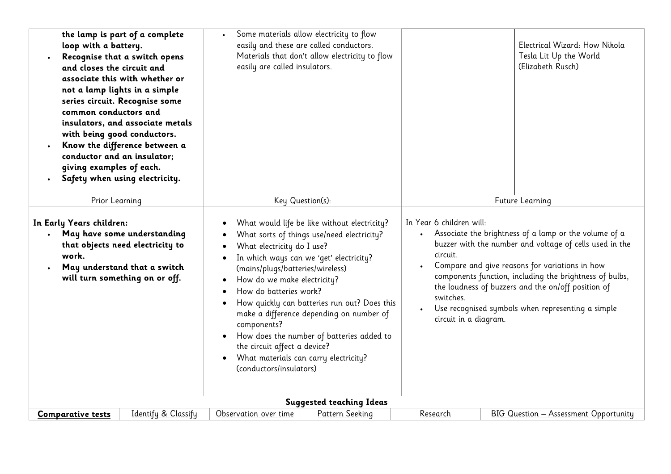| loop with a battery.<br>and closes the circuit and<br>common conductors and<br>with being good conductors.<br>conductor and an insulator;<br>giving examples of each.<br>$\bullet$ | the lamp is part of a complete<br>Recognise that a switch opens<br>associate this with whether or<br>not a lamp lights in a simple<br>series circuit. Recognise some<br>insulators, and associate metals<br>Know the difference between a<br>Safety when using electricity. | easily are called insulators.                                                                                                                                                                                                                                                                                                                                                                                                                                                                                                | Some materials allow electricity to flow<br>easily and these are called conductors.<br>Materials that don't allow electricity to flow |                                                                                         | Electrical Wizard: How Nikola<br>Tesla Lit Up the World<br>(Elizabeth Rusch)                                                                                                                                                                                                                                                             |
|------------------------------------------------------------------------------------------------------------------------------------------------------------------------------------|-----------------------------------------------------------------------------------------------------------------------------------------------------------------------------------------------------------------------------------------------------------------------------|------------------------------------------------------------------------------------------------------------------------------------------------------------------------------------------------------------------------------------------------------------------------------------------------------------------------------------------------------------------------------------------------------------------------------------------------------------------------------------------------------------------------------|---------------------------------------------------------------------------------------------------------------------------------------|-----------------------------------------------------------------------------------------|------------------------------------------------------------------------------------------------------------------------------------------------------------------------------------------------------------------------------------------------------------------------------------------------------------------------------------------|
| Prior Learning                                                                                                                                                                     |                                                                                                                                                                                                                                                                             |                                                                                                                                                                                                                                                                                                                                                                                                                                                                                                                              | Key Question(s):                                                                                                                      |                                                                                         | Future Learning                                                                                                                                                                                                                                                                                                                          |
| In Early Years children:<br>$\bullet$<br>work.                                                                                                                                     | May have some understanding<br>that objects need electricity to<br>May understand that a switch<br>will turn something on or off.                                                                                                                                           | What would life be like without electricity?<br>What sorts of things use/need electricity?<br>What electricity do I use?<br>In which ways can we 'get' electricity?<br>(mains/plugs/batteries/wireless)<br>How do we make electricity?<br>How do batteries work?<br>How quickly can batteries run out? Does this<br>make a difference depending on number of<br>components?<br>How does the number of batteries added to<br>the circuit affect a device?<br>What materials can carry electricity?<br>(conductors/insulators) |                                                                                                                                       | In Year 6 children will:<br>circuit.<br>$\bullet$<br>switches.<br>circuit in a diagram. | Associate the brightness of a lamp or the volume of a<br>buzzer with the number and voltage of cells used in the<br>Compare and give reasons for variations in how<br>components function, including the brightness of bulbs,<br>the loudness of buzzers and the on/off position of<br>Use recognised symbols when representing a simple |
|                                                                                                                                                                                    |                                                                                                                                                                                                                                                                             |                                                                                                                                                                                                                                                                                                                                                                                                                                                                                                                              | <b>Suggested teaching Ideas</b>                                                                                                       |                                                                                         |                                                                                                                                                                                                                                                                                                                                          |
| <b>Comparative tests</b>                                                                                                                                                           | Identify & Classify                                                                                                                                                                                                                                                         | Observation over time                                                                                                                                                                                                                                                                                                                                                                                                                                                                                                        | Pattern Seeking                                                                                                                       | Research                                                                                | <b>BIG Question - Assessment Opportunity</b>                                                                                                                                                                                                                                                                                             |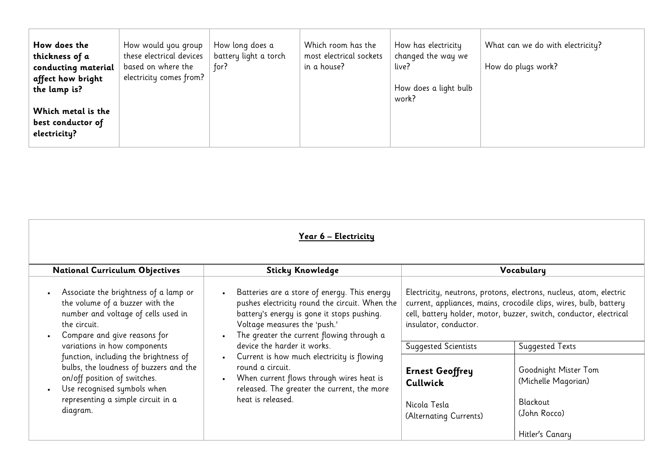| How does the<br>thickness of a<br>conducting material<br>affect how bright | How would you group<br>these electrical devices<br>based on where the<br>electricity comes from? | How long does a<br>battery light a torch<br>for? | Which room has the<br>most electrical sockets<br>in a house? | How has electricity<br>changed the way we<br>live? | What can we do with electricity?<br>How do plugs work? |
|----------------------------------------------------------------------------|--------------------------------------------------------------------------------------------------|--------------------------------------------------|--------------------------------------------------------------|----------------------------------------------------|--------------------------------------------------------|
| the lamp is?                                                               |                                                                                                  |                                                  |                                                              | How does a light bulb<br>work?                     |                                                        |
| Which metal is the<br>best conductor of<br>electricity?                    |                                                                                                  |                                                  |                                                              |                                                    |                                                        |

| Year 6 – Electricity                                                                                                                                                                             |                                                                                                                                                                                                                           |                                                                              |                                                                                                                                                                                                               |  |
|--------------------------------------------------------------------------------------------------------------------------------------------------------------------------------------------------|---------------------------------------------------------------------------------------------------------------------------------------------------------------------------------------------------------------------------|------------------------------------------------------------------------------|---------------------------------------------------------------------------------------------------------------------------------------------------------------------------------------------------------------|--|
| <b>National Curriculum Objectives</b>                                                                                                                                                            | <b>Sticky Knowledge</b>                                                                                                                                                                                                   |                                                                              | Vocabulary                                                                                                                                                                                                    |  |
| Associate the brightness of a lamp or<br>the volume of a buzzer with the<br>number and voltage of cells used in<br>the circuit.<br>Compare and give reasons for                                  | Batteries are a store of energy. This energy<br>pushes electricity round the circuit. When the<br>battery's energy is gone it stops pushing.<br>Voltage measures the 'push.'<br>The greater the current flowing through a | insulator, conductor.                                                        | Electricity, neutrons, protons, electrons, nucleus, atom, electric<br>current, appliances, mains, crocodile clips, wires, bulb, battery<br>cell, battery holder, motor, buzzer, switch, conductor, electrical |  |
| variations in how components                                                                                                                                                                     | device the harder it works.                                                                                                                                                                                               | <b>Suggested Scientists</b>                                                  | Suggested Texts                                                                                                                                                                                               |  |
| function, including the brightness of<br>bulbs, the loudness of buzzers and the<br>on/off position of switches.<br>Use recognised symbols when<br>representing a simple circuit in a<br>diagram. | Current is how much electricity is flowing<br>$\bullet$<br>round a circuit.<br>When current flows through wires heat is<br>released. The greater the current, the more<br>heat is released.                               | <b>Ernest Geoffrey</b><br>Cullwick<br>Nicola Tesla<br>(Alternating Currents) | Goodnight Mister Tom<br>(Michelle Magorian)<br>Blackout<br>(John Rocco)<br>Hitler's Canary                                                                                                                    |  |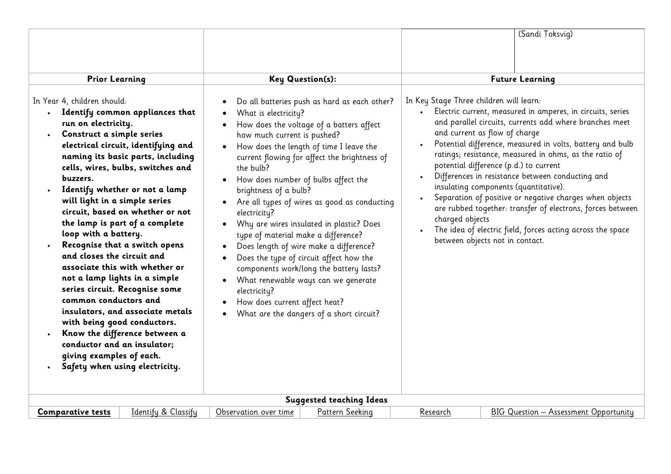|                                                                                                                                                                                                                                                                                                                                                                                                                                                                                                                                                                                                                                                                                                                                                                                                                |                                                                                                                                                                                                                                                                                                                                                                                                                                                                                                                                                                                                                                                                                                                                                             | (Sandi Toksvig)                                                                                                                                                                                                                                                                                                                                                                                                                                                                                                                                                                                                                                                                                              |
|----------------------------------------------------------------------------------------------------------------------------------------------------------------------------------------------------------------------------------------------------------------------------------------------------------------------------------------------------------------------------------------------------------------------------------------------------------------------------------------------------------------------------------------------------------------------------------------------------------------------------------------------------------------------------------------------------------------------------------------------------------------------------------------------------------------|-------------------------------------------------------------------------------------------------------------------------------------------------------------------------------------------------------------------------------------------------------------------------------------------------------------------------------------------------------------------------------------------------------------------------------------------------------------------------------------------------------------------------------------------------------------------------------------------------------------------------------------------------------------------------------------------------------------------------------------------------------------|--------------------------------------------------------------------------------------------------------------------------------------------------------------------------------------------------------------------------------------------------------------------------------------------------------------------------------------------------------------------------------------------------------------------------------------------------------------------------------------------------------------------------------------------------------------------------------------------------------------------------------------------------------------------------------------------------------------|
| <b>Prior Learning</b>                                                                                                                                                                                                                                                                                                                                                                                                                                                                                                                                                                                                                                                                                                                                                                                          | Key Question(s):                                                                                                                                                                                                                                                                                                                                                                                                                                                                                                                                                                                                                                                                                                                                            | <b>Future Learning</b>                                                                                                                                                                                                                                                                                                                                                                                                                                                                                                                                                                                                                                                                                       |
| In Year 4, children should:<br>Identify common appliances that<br>run on electricity.<br>Construct a simple series<br>electrical circuit, identifying and<br>naming its basic parts, including<br>cells, wires, bulbs, switches and<br>buzzers.<br>Identify whether or not a lamp<br>will light in a simple series<br>circuit, based on whether or not<br>the lamp is part of a complete<br>loop with a battery.<br>Recognise that a switch opens<br>and closes the circuit and<br>associate this with whether or<br>not a lamp lights in a simple<br>series circuit. Recognise some<br>common conductors and<br>insulators, and associate metals<br>with being good conductors.<br>Know the difference between a<br>conductor and an insulator;<br>giving examples of each.<br>Safety when using electricity. | Do all batteries push as hard as each other?<br>What is electricity?<br>How does the voltage of a batters affect<br>how much current is pushed?<br>How does the length of time I leave the<br>current flowing for affect the brightness of<br>the bulb?<br>How does number of bulbs affect the<br>brightness of a bulb?<br>Are all types of wires as good as conducting<br>electricity?<br>Why are wires insulated in plastic? Does<br>$\bullet$<br>type of material make a difference?<br>Does length of wire make a difference?<br>Does the type of circuit affect how the<br>components work/long the battery lasts?<br>What renewable ways can we generate<br>electricity?<br>How does current affect heat?<br>What are the dangers of a short circuit? | In Key Stage Three children will learn:<br>Electric current, measured in amperes, in circuits, series<br>and parallel circuits, currents add where branches meet<br>and current as flow of charge<br>Potential difference, measured in volts, battery and bulb<br>ratings; resistance, measured in ohms, as the ratio of<br>potential difference (p.d.) to current<br>Differences in resistance between conducting and<br>insulating components (quantitative).<br>Separation of positive or negative charges when objects<br>are rubbed together: transfer of electrons, forces between<br>charged objects<br>The idea of electric field, forces acting across the space<br>between objects not in contact. |
|                                                                                                                                                                                                                                                                                                                                                                                                                                                                                                                                                                                                                                                                                                                                                                                                                | <b>Suggested teaching Ideas</b>                                                                                                                                                                                                                                                                                                                                                                                                                                                                                                                                                                                                                                                                                                                             |                                                                                                                                                                                                                                                                                                                                                                                                                                                                                                                                                                                                                                                                                                              |
| Identify & Classify<br><b>Comparative tests</b>                                                                                                                                                                                                                                                                                                                                                                                                                                                                                                                                                                                                                                                                                                                                                                | Pattern Seeking<br>Observation over time                                                                                                                                                                                                                                                                                                                                                                                                                                                                                                                                                                                                                                                                                                                    | BIG Question - Assessment Opportunity<br>Research                                                                                                                                                                                                                                                                                                                                                                                                                                                                                                                                                                                                                                                            |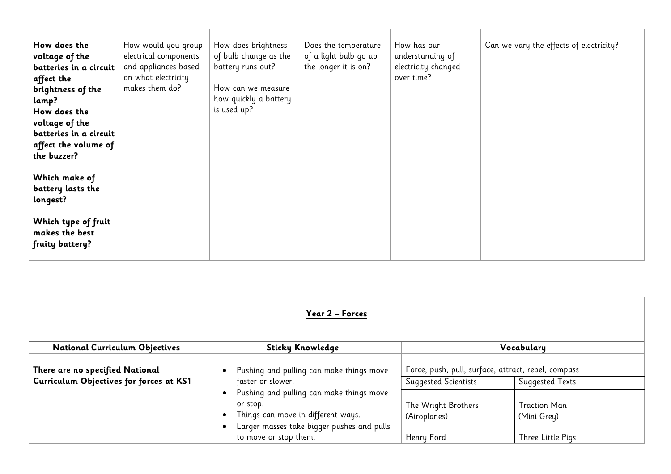| How does the<br>voltage of the<br>batteries in a circuit<br>affect the<br>brightness of the<br>lamp?<br>How does the<br>voltage of the<br>batteries in a circuit<br>affect the volume of<br>the buzzer? | How would you group<br>electrical components<br>and appliances based<br>on what electricity<br>makes them do? | How does brightness<br>of bulb change as the<br>battery runs out?<br>How can we measure<br>how quickly a battery<br>is used up? | Does the temperature<br>of a light bulb go up<br>the longer it is on? | How has our<br>understanding of<br>electricity changed<br>over time? | Can we vary the effects of electricity? |
|---------------------------------------------------------------------------------------------------------------------------------------------------------------------------------------------------------|---------------------------------------------------------------------------------------------------------------|---------------------------------------------------------------------------------------------------------------------------------|-----------------------------------------------------------------------|----------------------------------------------------------------------|-----------------------------------------|
| Which make of<br>battery lasts the<br>longest?                                                                                                                                                          |                                                                                                               |                                                                                                                                 |                                                                       |                                                                      |                                         |
| Which type of fruit<br>makes the best<br>fruity battery?                                                                                                                                                |                                                                                                               |                                                                                                                                 |                                                                       |                                                                      |                                         |

| Year 2 – Forces                                                            |                                                                                                                                          |                                                                                    |                                    |  |
|----------------------------------------------------------------------------|------------------------------------------------------------------------------------------------------------------------------------------|------------------------------------------------------------------------------------|------------------------------------|--|
| <b>National Curriculum Objectives</b>                                      | <b>Sticky Knowledge</b>                                                                                                                  |                                                                                    | Vocabulary                         |  |
| There are no specified National<br>Curriculum Objectives for forces at KS1 | Pushing and pulling can make things move<br>faster or slower.                                                                            | Force, push, pull, surface, attract, repel, compass<br><b>Suggested Scientists</b> | Suggested Texts                    |  |
|                                                                            | Pushing and pulling can make things move<br>or stop.<br>Things can move in different ways.<br>Larger masses take bigger pushes and pulls | The Wright Brothers<br>(Airoplanes)                                                | <b>Traction Man</b><br>(Mini Grey) |  |
|                                                                            | to move or stop them.                                                                                                                    | Henry Ford                                                                         | Three Little Pigs                  |  |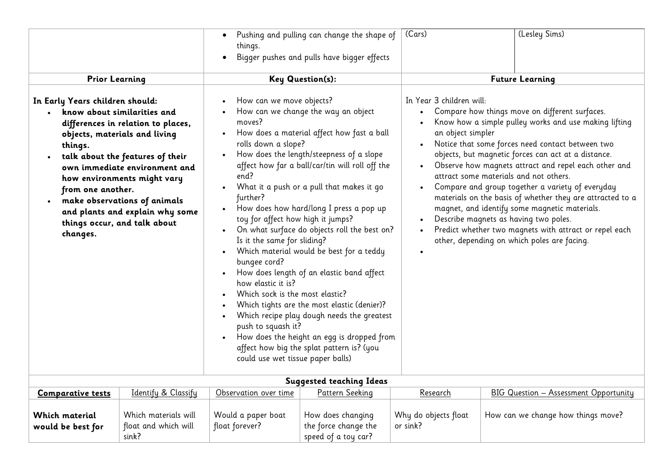|                                                                                                                                                                                                                                                                                                                                                                                                       | (Lesley Sims)<br>(Cars)<br>Pushing and pulling can change the shape of<br>things.<br>Bigger pushes and pulls have bigger effects                                                                                                                                                      |                                                                                                                                                                                                                                                                                                                                                                                                                                                                                                                                                                                                           |                                               |                                                                                                                                                                                                                                                                                                                                                                                                                                                                                                                                                                                                                                          |
|-------------------------------------------------------------------------------------------------------------------------------------------------------------------------------------------------------------------------------------------------------------------------------------------------------------------------------------------------------------------------------------------------------|---------------------------------------------------------------------------------------------------------------------------------------------------------------------------------------------------------------------------------------------------------------------------------------|-----------------------------------------------------------------------------------------------------------------------------------------------------------------------------------------------------------------------------------------------------------------------------------------------------------------------------------------------------------------------------------------------------------------------------------------------------------------------------------------------------------------------------------------------------------------------------------------------------------|-----------------------------------------------|------------------------------------------------------------------------------------------------------------------------------------------------------------------------------------------------------------------------------------------------------------------------------------------------------------------------------------------------------------------------------------------------------------------------------------------------------------------------------------------------------------------------------------------------------------------------------------------------------------------------------------------|
| <b>Prior Learning</b>                                                                                                                                                                                                                                                                                                                                                                                 |                                                                                                                                                                                                                                                                                       | <b>Key Question(s):</b>                                                                                                                                                                                                                                                                                                                                                                                                                                                                                                                                                                                   |                                               | <b>Future Learning</b>                                                                                                                                                                                                                                                                                                                                                                                                                                                                                                                                                                                                                   |
| In Early Years children should:<br>know about similarities and<br>differences in relation to places,<br>objects, materials and living<br>things.<br>talk about the features of their<br>own immediate environment and<br>how environments might vary<br>from one another.<br>make observations of animals<br>$\bullet$<br>and plants and explain why some<br>things occur, and talk about<br>changes. | How can we move objects?<br>moves?<br>rolls down a slope?<br>end?<br>further?<br>toy for affect how high it jumps?<br>Is it the same for sliding?<br>bungee cord?<br>how elastic it is?<br>Which sock is the most elastic?<br>push to squash it?<br>could use wet tissue paper balls) | How can we change the way an object<br>How does a material affect how fast a ball<br>How does the length/steepness of a slope<br>affect how far a ball/car/tin will roll off the<br>What it a push or a pull that makes it go<br>How does how hard/long I press a pop up<br>On what surface do objects roll the best on?<br>Which material would be best for a teddy<br>How does length of an elastic band affect<br>Which tights are the most elastic (denier)?<br>Which recipe play dough needs the greatest<br>How does the height an egg is dropped from<br>affect how big the splat pattern is? (you | In Year 3 children will:<br>an object simpler | Compare how things move on different surfaces.<br>Know how a simple pulley works and use making lifting<br>Notice that some forces need contact between two<br>objects, but magnetic forces can act at a distance.<br>Observe how magnets attract and repel each other and<br>attract some materials and not others.<br>Compare and group together a variety of everyday<br>materials on the basis of whether they are attracted to a<br>magnet, and identify some magnetic materials.<br>Describe magnets as having two poles.<br>Predict whether two magnets with attract or repel each<br>other, depending on which poles are facing. |
|                                                                                                                                                                                                                                                                                                                                                                                                       |                                                                                                                                                                                                                                                                                       | <b>Suggested teaching Ideas</b>                                                                                                                                                                                                                                                                                                                                                                                                                                                                                                                                                                           |                                               |                                                                                                                                                                                                                                                                                                                                                                                                                                                                                                                                                                                                                                          |
| Identify & Classify<br><b>Comparative tests</b>                                                                                                                                                                                                                                                                                                                                                       | Observation over time                                                                                                                                                                                                                                                                 | Pattern Seeking                                                                                                                                                                                                                                                                                                                                                                                                                                                                                                                                                                                           | Research                                      | BIG Question - Assessment Opportunity                                                                                                                                                                                                                                                                                                                                                                                                                                                                                                                                                                                                    |
| <b>Which material</b><br>Which materials will<br>float and which will<br>would be best for<br>sink?                                                                                                                                                                                                                                                                                                   | Would a paper boat<br>float forever?                                                                                                                                                                                                                                                  | How does changing<br>the force change the<br>speed of a toy car?                                                                                                                                                                                                                                                                                                                                                                                                                                                                                                                                          | Why do objects float<br>or sink?              | How can we change how things move?                                                                                                                                                                                                                                                                                                                                                                                                                                                                                                                                                                                                       |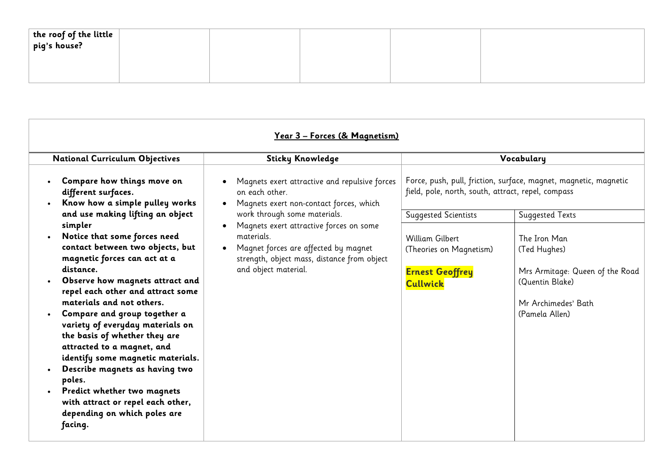| the roof of the little<br>  pig's house? |  |  |  |
|------------------------------------------|--|--|--|
|                                          |  |  |  |
|                                          |  |  |  |
|                                          |  |  |  |
|                                          |  |  |  |

| <u> Year 3 – Forces (&amp; Magnetism)</u>                                                                                                                                                                                                                                                                                                                                                                                                                                                                             |                                                                                                                                                                      |                                                                                         |                                                                                                                             |  |
|-----------------------------------------------------------------------------------------------------------------------------------------------------------------------------------------------------------------------------------------------------------------------------------------------------------------------------------------------------------------------------------------------------------------------------------------------------------------------------------------------------------------------|----------------------------------------------------------------------------------------------------------------------------------------------------------------------|-----------------------------------------------------------------------------------------|-----------------------------------------------------------------------------------------------------------------------------|--|
| <b>National Curriculum Objectives</b>                                                                                                                                                                                                                                                                                                                                                                                                                                                                                 | <b>Sticky Knowledge</b>                                                                                                                                              |                                                                                         | Vocabulary                                                                                                                  |  |
| Compare how things move on<br>different surfaces.<br>Know how a simple pulley works<br>and use making lifting an object                                                                                                                                                                                                                                                                                                                                                                                               | Magnets exert attractive and repulsive forces<br>on each other.<br>Magnets exert non-contact forces, which<br>work through some materials.                           | field, pole, north, south, attract, repel, compass<br><b>Suggested Scientists</b>       | Force, push, pull, friction, surface, magnet, magnetic, magnetic<br><b>Suggested Texts</b>                                  |  |
| simpler<br>Notice that some forces need<br>contact between two objects, but<br>magnetic forces can act at a<br>distance.<br>Observe how magnets attract and<br>repel each other and attract some<br>materials and not others.<br>Compare and group together a<br>variety of everyday materials on<br>the basis of whether they are<br>attracted to a magnet, and<br>identify some magnetic materials.<br>Describe magnets as having two<br>poles.<br>Predict whether two magnets<br>with attract or repel each other, | Magnets exert attractive forces on some<br>materials.<br>Magnet forces are affected by magnet<br>strength, object mass, distance from object<br>and object material. | William Gilbert<br>(Theories on Magnetism)<br><b>Ernest Geoffrey</b><br><b>Cullwick</b> | The Iron Man<br>(Ted Hughes)<br>Mrs Armitage: Queen of the Road<br>(Quentin Blake)<br>Mr Archimedes' Bath<br>(Pamela Allen) |  |
| depending on which poles are<br>facing.                                                                                                                                                                                                                                                                                                                                                                                                                                                                               |                                                                                                                                                                      |                                                                                         |                                                                                                                             |  |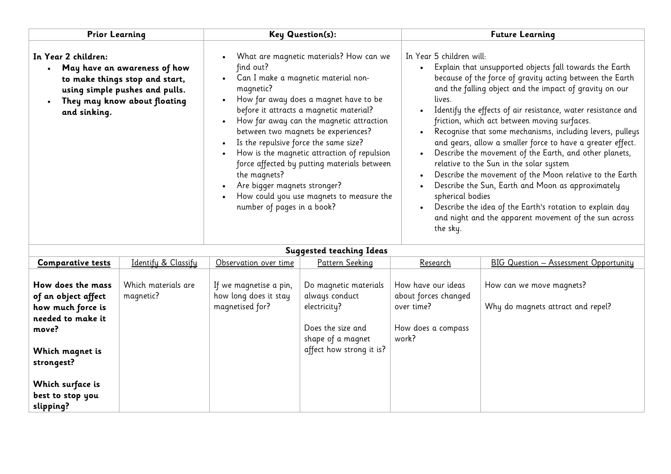| <b>Prior Learning</b>                                                                                                        |                                                                                                                                  |                                                                                                                                                                                                                                                                                                                                                                                                                                                                                                                                                  | <b>Key Question(s):</b>                                                                                                       | <b>Future Learning</b>                                                                                                                                                                                                                                                                                                                                                                                                                                                                                                                                                                                                                                                                                                                                                                                                                                 |                                                               |  |
|------------------------------------------------------------------------------------------------------------------------------|----------------------------------------------------------------------------------------------------------------------------------|--------------------------------------------------------------------------------------------------------------------------------------------------------------------------------------------------------------------------------------------------------------------------------------------------------------------------------------------------------------------------------------------------------------------------------------------------------------------------------------------------------------------------------------------------|-------------------------------------------------------------------------------------------------------------------------------|--------------------------------------------------------------------------------------------------------------------------------------------------------------------------------------------------------------------------------------------------------------------------------------------------------------------------------------------------------------------------------------------------------------------------------------------------------------------------------------------------------------------------------------------------------------------------------------------------------------------------------------------------------------------------------------------------------------------------------------------------------------------------------------------------------------------------------------------------------|---------------------------------------------------------------|--|
| In Year 2 children:<br>and sinking.                                                                                          | May have an awareness of how<br>to make things stop and start,<br>using simple pushes and pulls.<br>They may know about floating | What are magnetic materials? How can we<br>find out?<br>Can I make a magnetic material non-<br>magnetic?<br>How far away does a magnet have to be<br>before it attracts a magnetic material?<br>How far away can the magnetic attraction<br>between two magnets be experiences?<br>Is the repulsive force the same size?<br>How is the magnetic attraction of repulsion<br>force affected by putting materials between<br>the magnets?<br>Are bigger magnets stronger?<br>How could you use magnets to measure the<br>number of pages in a book? |                                                                                                                               | In Year 5 children will:<br>Explain that unsupported objects fall towards the Earth<br>because of the force of gravity acting between the Earth<br>and the falling object and the impact of gravity on our<br>lives.<br>Identify the effects of air resistance, water resistance and<br>friction, which act between moving surfaces.<br>Recognise that some mechanisms, including levers, pulleys<br>and gears, allow a smaller force to have a greater effect.<br>Describe the movement of the Earth, and other planets,<br>relative to the Sun in the solar system<br>Describe the movement of the Moon relative to the Earth<br>Describe the Sun, Earth and Moon as approximately<br>spherical bodies<br>Describe the idea of the Earth's rotation to explain day<br>$\bullet$<br>and night and the apparent movement of the sun across<br>the sky. |                                                               |  |
|                                                                                                                              |                                                                                                                                  |                                                                                                                                                                                                                                                                                                                                                                                                                                                                                                                                                  | <b>Suggested teaching Ideas</b>                                                                                               |                                                                                                                                                                                                                                                                                                                                                                                                                                                                                                                                                                                                                                                                                                                                                                                                                                                        |                                                               |  |
| <b>Comparative tests</b>                                                                                                     | Identify & Classify                                                                                                              | Observation over time                                                                                                                                                                                                                                                                                                                                                                                                                                                                                                                            | Pattern Seeking                                                                                                               | Research                                                                                                                                                                                                                                                                                                                                                                                                                                                                                                                                                                                                                                                                                                                                                                                                                                               | <b>BIG Question - Assessment Opportunity</b>                  |  |
| How does the mass<br>of an object affect<br>how much force is<br>needed to make it<br>move?<br>Which magnet is<br>strongest? | Which materials are<br>magnetic?                                                                                                 | If we magnetise a pin,<br>how long does it stay<br>magnetised for?                                                                                                                                                                                                                                                                                                                                                                                                                                                                               | Do magnetic materials<br>always conduct<br>electricity?<br>Does the size and<br>shape of a magnet<br>affect how strong it is? | How have our ideas<br>about forces changed<br>over time?<br>How does a compass<br>work?                                                                                                                                                                                                                                                                                                                                                                                                                                                                                                                                                                                                                                                                                                                                                                | How can we move magnets?<br>Why do magnets attract and repel? |  |
| Which surface is<br>best to stop you                                                                                         |                                                                                                                                  |                                                                                                                                                                                                                                                                                                                                                                                                                                                                                                                                                  |                                                                                                                               |                                                                                                                                                                                                                                                                                                                                                                                                                                                                                                                                                                                                                                                                                                                                                                                                                                                        |                                                               |  |

**slipping?**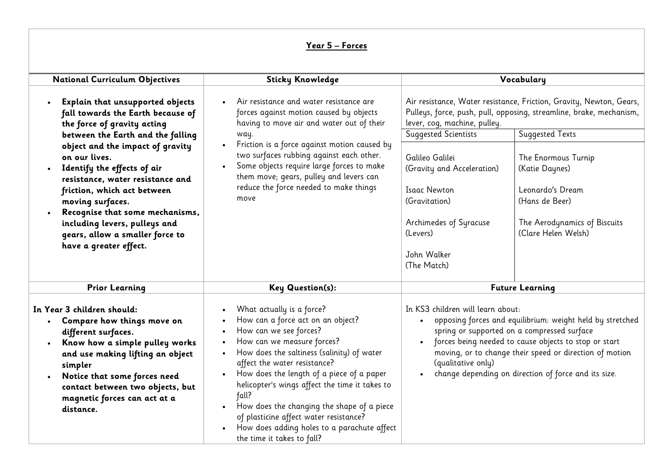# **Year 5 – Forces**

| <b>National Curriculum Objectives</b>                                                                                                                                                                                                                                                                                                                                                                                                                                           | <b>Sticky Knowledge</b>                                                                                                                                                                                                                                                                                                                                                                                                                                                                                                                            |                                                                                                                                                                                                                   | Vocabulary                                                                                                                                                                                                                                                                                                 |
|---------------------------------------------------------------------------------------------------------------------------------------------------------------------------------------------------------------------------------------------------------------------------------------------------------------------------------------------------------------------------------------------------------------------------------------------------------------------------------|----------------------------------------------------------------------------------------------------------------------------------------------------------------------------------------------------------------------------------------------------------------------------------------------------------------------------------------------------------------------------------------------------------------------------------------------------------------------------------------------------------------------------------------------------|-------------------------------------------------------------------------------------------------------------------------------------------------------------------------------------------------------------------|------------------------------------------------------------------------------------------------------------------------------------------------------------------------------------------------------------------------------------------------------------------------------------------------------------|
| Explain that unsupported objects<br>$\bullet$<br>fall towards the Earth because of<br>the force of gravity acting<br>between the Earth and the falling<br>object and the impact of gravity<br>on our lives.<br>Identify the effects of air<br>$\bullet$<br>resistance, water resistance and<br>friction, which act between<br>moving surfaces.<br>Recognise that some mechanisms,<br>including levers, pulleys and<br>gears, allow a smaller force to<br>have a greater effect. | Air resistance and water resistance are<br>forces against motion caused by objects<br>having to move air and water out of their<br>way.<br>Friction is a force against motion caused by<br>$\bullet$<br>two surfaces rubbing against each other.<br>Some objects require large forces to make<br>them move; gears, pulley and levers can<br>reduce the force needed to make things<br>move                                                                                                                                                         | lever, cog, machine, pulley.<br>Suggested Scientists<br>Galileo Galilei<br>(Gravity and Acceleration)<br><b>Isaac Newton</b><br>(Gravitation)<br>Archimedes of Syracuse<br>(Levers)<br>John Walker<br>(The Match) | Air resistance, Water resistance, Friction, Gravity, Newton, Gears,<br>Pulleys, force, push, pull, opposing, streamline, brake, mechanism,<br><b>Suggested Texts</b><br>The Enormous Turnip<br>(Katie Daynes)<br>Leonardo's Dream<br>(Hans de Beer)<br>The Aerodynamics of Biscuits<br>(Clare Helen Welsh) |
| <b>Prior Learning</b>                                                                                                                                                                                                                                                                                                                                                                                                                                                           | <b>Key Question(s):</b>                                                                                                                                                                                                                                                                                                                                                                                                                                                                                                                            |                                                                                                                                                                                                                   | <b>Future Learning</b>                                                                                                                                                                                                                                                                                     |
| In Year 3 children should:<br>Compare how things move on<br>$\bullet$<br>different surfaces.<br>Know how a simple pulley works<br>and use making lifting an object<br>simpler<br>Notice that some forces need<br>$\bullet$<br>contact between two objects, but<br>magnetic forces can act at a<br>distance.                                                                                                                                                                     | What actually is a force?<br>How can a force act on an object?<br>How can we see forces?<br>$\bullet$<br>How can we measure forces?<br>$\bullet$<br>How does the saltiness (salinity) of water<br>$\bullet$<br>affect the water resistance?<br>How does the length of a piece of a paper<br>helicopter's wings affect the time it takes to<br>fall?<br>How does the changing the shape of a piece<br>$\bullet$<br>of plasticine affect water resistance?<br>How does adding holes to a parachute affect<br>$\bullet$<br>the time it takes to fall? | In KS3 children will learn about:<br>$\bullet$<br>$\bullet$<br>(qualitative only)                                                                                                                                 | opposing forces and equilibrium: weight held by stretched<br>spring or supported on a compressed surface<br>forces being needed to cause objects to stop or start<br>moving, or to change their speed or direction of motion<br>change depending on direction of force and its size.                       |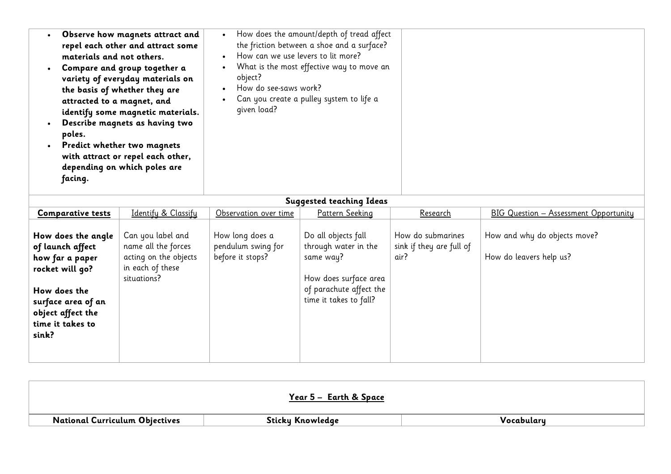| materials and not others.<br>attracted to a magnet, and<br>poles.<br>facing. | Observe how magnets attract and<br>repel each other and attract some<br>Compare and group together a<br>variety of everyday materials on<br>the basis of whether they are<br>identify some magnetic materials.<br>Describe magnets as having two<br>Predict whether two magnets<br>with attract or repel each other,<br>depending on which poles are | How can we use levers to lit more?<br>object?<br>How do see-saws work?<br>given load? | How does the amount/depth of tread affect<br>the friction between a shoe and a surface?<br>What is the most effective way to move an<br>Can you create a pulley system to life a |                                               |                                              |
|------------------------------------------------------------------------------|------------------------------------------------------------------------------------------------------------------------------------------------------------------------------------------------------------------------------------------------------------------------------------------------------------------------------------------------------|---------------------------------------------------------------------------------------|----------------------------------------------------------------------------------------------------------------------------------------------------------------------------------|-----------------------------------------------|----------------------------------------------|
|                                                                              |                                                                                                                                                                                                                                                                                                                                                      |                                                                                       | <b>Suggested teaching Ideas</b>                                                                                                                                                  |                                               |                                              |
| <b>Comparative tests</b>                                                     | Identify & Classify                                                                                                                                                                                                                                                                                                                                  | Observation over time                                                                 | <b>Pattern Seeking</b>                                                                                                                                                           | <u>Research</u>                               | <b>BIG Question - Assessment Opportunity</b> |
| How does the angle<br>.flL.ff                                                | Can you label and<br>nama all the forces                                                                                                                                                                                                                                                                                                             | How long does a<br>nondulum cuing for                                                 | Do all objects fall<br>through water in the                                                                                                                                      | How do submarines<br>cinh if thou are full of | How and why do objects move?                 |

| of launch affect   | name all the forces   | pendulum swing for | through water in the    | sink if they are full of |                         |  |
|--------------------|-----------------------|--------------------|-------------------------|--------------------------|-------------------------|--|
| how far a paper    | acting on the objects | before it stops?   | same way?               | air?                     | How do leavers help us? |  |
| rocket will go?    | in each of these      |                    |                         |                          |                         |  |
|                    | situations?           |                    | How does surface area   |                          |                         |  |
| How does the       |                       |                    | of parachute affect the |                          |                         |  |
| surface area of an |                       |                    | time it takes to fall?  |                          |                         |  |
| object affect the  |                       |                    |                         |                          |                         |  |
| time it takes to   |                       |                    |                         |                          |                         |  |
| sink?              |                       |                    |                         |                          |                         |  |
|                    |                       |                    |                         |                          |                         |  |
|                    |                       |                    |                         |                          |                         |  |

|                                       | <u> Year 5 –  Earth &amp; Space </u> |             |
|---------------------------------------|--------------------------------------|-------------|
| <b>National Curriculum Objectives</b> | Sticky Knowledge                     | _Vocabuları |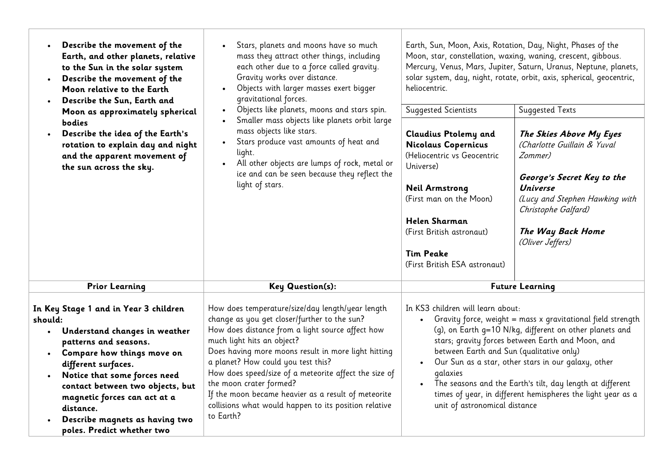| Describe the movement of the<br>$\bullet$<br>Earth, and other planets, relative<br>to the Sun in the solar system<br>Describe the movement of the<br>$\bullet$<br>Moon relative to the Earth<br>Describe the Sun, Earth and<br>$\bullet$<br>Moon as approximately spherical<br>bodies<br>Describe the idea of the Earth's<br>rotation to explain day and night<br>and the apparent movement of<br>the sun across the sky. | Stars, planets and moons have so much<br>$\bullet$<br>mass they attract other things, including<br>each other due to a force called gravity.<br>Gravity works over distance.<br>Objects with larger masses exert bigger<br>gravitational forces.<br>Objects like planets, moons and stars spin.<br>$\bullet$<br>Smaller mass objects like planets orbit large<br>mass objects like stars.<br>Stars produce vast amounts of heat and<br>light.<br>All other objects are lumps of rock, metal or<br>ice and can be seen because they reflect the<br>light of stars. | Earth, Sun, Moon, Axis, Rotation, Day, Night, Phases of the<br>heliocentric.<br><b>Suggested Scientists</b><br><b>Claudius Ptolemy and</b><br>Nicolaus Copernicus<br>(Heliocentric vs Geocentric<br>Universe)<br><b>Neil Armstrong</b><br>(First man on the Moon)<br><b>Helen Sharman</b><br>(First British astronaut)<br><b>Tim Peake</b><br>(First British ESA astronaut)                                                                                                                                                         | Moon, star, constellation, waxing, waning, crescent, gibbous.<br>Mercury, Venus, Mars, Jupiter, Saturn, Uranus, Neptune, planets,<br>solar system, day, night, rotate, orbit, axis, spherical, geocentric,<br><b>Suggested Texts</b><br>The Skies Above My Eyes<br>(Charlotte Guillain & Yuval<br>Zommer)<br>George's Secret Key to the<br><b>Universe</b><br>(Lucy and Stephen Hawking with<br>Christophe Galfard)<br>The Way Back Home<br>(Oliver Jeffers) |
|---------------------------------------------------------------------------------------------------------------------------------------------------------------------------------------------------------------------------------------------------------------------------------------------------------------------------------------------------------------------------------------------------------------------------|-------------------------------------------------------------------------------------------------------------------------------------------------------------------------------------------------------------------------------------------------------------------------------------------------------------------------------------------------------------------------------------------------------------------------------------------------------------------------------------------------------------------------------------------------------------------|-------------------------------------------------------------------------------------------------------------------------------------------------------------------------------------------------------------------------------------------------------------------------------------------------------------------------------------------------------------------------------------------------------------------------------------------------------------------------------------------------------------------------------------|--------------------------------------------------------------------------------------------------------------------------------------------------------------------------------------------------------------------------------------------------------------------------------------------------------------------------------------------------------------------------------------------------------------------------------------------------------------|
| <b>Prior Learning</b>                                                                                                                                                                                                                                                                                                                                                                                                     | Key Question(s):                                                                                                                                                                                                                                                                                                                                                                                                                                                                                                                                                  |                                                                                                                                                                                                                                                                                                                                                                                                                                                                                                                                     | <b>Future Learning</b>                                                                                                                                                                                                                                                                                                                                                                                                                                       |
| In Key Stage 1 and in Year 3 children<br>should:<br>• Understand changes in weather<br>patterns and seasons.<br>Compare how things move on<br>different surfaces.<br>Notice that some forces need<br>$\bullet$<br>contact between two objects, but<br>magnetic forces can act at a<br>distance.<br>Describe magnets as having two<br>poles. Predict whether two                                                           | How does temperature/size/day length/year length<br>change as you get closer/further to the sun?<br>How does distance from a light source affect how<br>much light hits an object?<br>Does having more moons result in more light hitting<br>a planet? How could you test this?<br>How does speed/size of a meteorite affect the size of<br>the moon crater formed?<br>If the moon became heavier as a result of meteorite<br>collisions what would happen to its position relative<br>to Earth?                                                                  | In KS3 children will learn about:<br>Gravity force, weight = mass x gravitational field strength<br>$\bullet$<br>(q), on Earth g=10 N/kg, different on other planets and<br>stars; gravity forces between Earth and Moon, and<br>between Earth and Sun (qualitative only)<br>Our Sun as a star, other stars in our galaxy, other<br>$\bullet$<br>galaxies<br>The seasons and the Earth's tilt, day length at different<br>$\bullet$<br>times of year, in different hemispheres the light year as a<br>unit of astronomical distance |                                                                                                                                                                                                                                                                                                                                                                                                                                                              |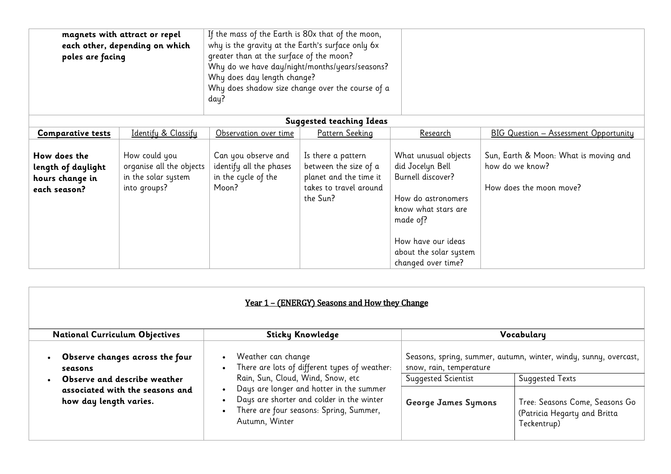| magnets with attract or repel<br>each other, depending on which<br>poles are facing |                                                                                  | If the mass of the Earth is 80x that of the moon,<br>why is the gravity at the Earth's surface only 6x<br>greater than at the surface of the moon?<br>Why do we have day/night/months/years/seasons?<br>Why does day length change?<br>Why does shadow size change over the course of a<br>day? |                                                                                                             |                                                                                                                                                                                              |                                                                                     |
|-------------------------------------------------------------------------------------|----------------------------------------------------------------------------------|-------------------------------------------------------------------------------------------------------------------------------------------------------------------------------------------------------------------------------------------------------------------------------------------------|-------------------------------------------------------------------------------------------------------------|----------------------------------------------------------------------------------------------------------------------------------------------------------------------------------------------|-------------------------------------------------------------------------------------|
|                                                                                     |                                                                                  |                                                                                                                                                                                                                                                                                                 | <b>Suggested teaching Ideas</b>                                                                             |                                                                                                                                                                                              |                                                                                     |
| <b>Comparative tests</b>                                                            | Identify & Classify                                                              | Observation over time                                                                                                                                                                                                                                                                           | Pattern Seeking                                                                                             | <u>Research</u>                                                                                                                                                                              | <b>BIG Question - Assessment Opportunity</b>                                        |
| How does the<br>length of daylight<br>hours change in<br>each season?               | How could you<br>organise all the objects<br>in the solar system<br>into groups? | Can you observe and<br>identify all the phases<br>in the cycle of the<br>Moon?                                                                                                                                                                                                                  | Is there a pattern<br>between the size of a<br>planet and the time it<br>takes to travel around<br>the Sun? | What unusual objects<br>did Jocelyn Bell<br>Burnell discover?<br>How do astronomers<br>know what stars are<br>made of?<br>How have our ideas<br>about the solar system<br>changed over time? | Sun, Earth & Moon: What is moving and<br>how do we know?<br>How does the moon move? |

| <u>Year 1 – (ENERGY) Seasons and How they Change</u>      |                                                                                                                                                                    |                            |                                                                               |  |  |
|-----------------------------------------------------------|--------------------------------------------------------------------------------------------------------------------------------------------------------------------|----------------------------|-------------------------------------------------------------------------------|--|--|
| <b>National Curriculum Objectives</b>                     | <b>Sticky Knowledge</b>                                                                                                                                            |                            | Vocabulary                                                                    |  |  |
| Observe changes across the four<br>seasons                | Weather can change<br>Seasons, spring, summer, autumn, winter, windy, sunny, overcast,<br>There are lots of different types of weather:<br>snow, rain, temperature |                            |                                                                               |  |  |
| Observe and describe weather                              | Rain, Sun, Cloud, Wind, Snow, etc                                                                                                                                  | Suggested Scientist        | Suggested Texts                                                               |  |  |
| associated with the seasons and<br>how day length varies. | Days are longer and hotter in the summer<br>Days are shorter and colder in the winter<br>There are four seasons: Spring, Summer,<br>Autumn, Winter                 | <b>George James Symons</b> | Tree: Seasons Come, Seasons Go<br>(Patricia Hegarty and Britta<br>Teckentrup) |  |  |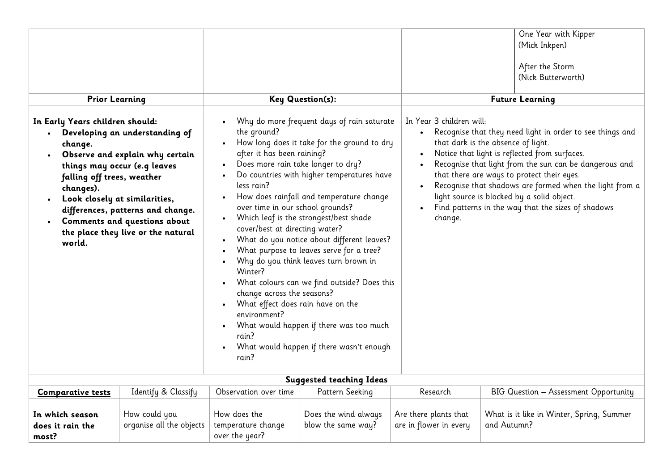| <b>Prior Learning</b>                                                                                                                                                                                                                                                                                                                                                                                                                                                                                                                                                                                                                                                                                                                                                                                                                                                                                                                                                                                                                                                                                                                                              |                                           |                                                      | <b>Key Question(s):</b>                                                                                                                                                                                                                                                                                                                                                                                                 |                                                 | One Year with Kipper<br>(Mick Inkpen)<br>After the Storm<br>(Nick Butterworth)<br><b>Future Learning</b> |
|--------------------------------------------------------------------------------------------------------------------------------------------------------------------------------------------------------------------------------------------------------------------------------------------------------------------------------------------------------------------------------------------------------------------------------------------------------------------------------------------------------------------------------------------------------------------------------------------------------------------------------------------------------------------------------------------------------------------------------------------------------------------------------------------------------------------------------------------------------------------------------------------------------------------------------------------------------------------------------------------------------------------------------------------------------------------------------------------------------------------------------------------------------------------|-------------------------------------------|------------------------------------------------------|-------------------------------------------------------------------------------------------------------------------------------------------------------------------------------------------------------------------------------------------------------------------------------------------------------------------------------------------------------------------------------------------------------------------------|-------------------------------------------------|----------------------------------------------------------------------------------------------------------|
| Why do more frequent days of rain saturate<br>In Early Years children should:<br>the ground?<br>Developing an understanding of<br>How long does it take for the ground to dry<br>change.<br>after it has been raining?<br>Observe and explain why certain<br>Does more rain take longer to dry?<br>things may occur (e.g leaves<br>Do countries with higher temperatures have<br>falling off trees, weather<br>less rain?<br>changes).<br>How does rainfall and temperature change<br>Look closely at similarities,<br>$\bullet$<br>over time in our school grounds?<br>differences, patterns and change.<br>Which leaf is the strongest/best shade<br>$\bullet$<br>Comments and questions about<br>cover/best at directing water?<br>the place they live or the natural<br>What do you notice about different leaves?<br>world.<br>What purpose to leaves serve for a tree?<br>Why do you think leaves turn brown in<br>Winter?<br>What colours can we find outside? Does this<br>change across the seasons?<br>What effect does rain have on the<br>environment?<br>What would happen if there was too much<br>rain?<br>What would happen if there wasn't enough |                                           | In Year 3 children will:<br>change.                  | Recognise that they need light in order to see things and<br>that dark is the absence of light.<br>Notice that light is reflected from surfaces.<br>Recognise that light from the sun can be dangerous and<br>that there are ways to protect their eyes.<br>Recognise that shadows are formed when the light from a<br>light source is blocked by a solid object.<br>Find patterns in the way that the sizes of shadows |                                                 |                                                                                                          |
|                                                                                                                                                                                                                                                                                                                                                                                                                                                                                                                                                                                                                                                                                                                                                                                                                                                                                                                                                                                                                                                                                                                                                                    |                                           |                                                      | <b>Suggested teaching Ideas</b>                                                                                                                                                                                                                                                                                                                                                                                         |                                                 |                                                                                                          |
| <b>Comparative tests</b>                                                                                                                                                                                                                                                                                                                                                                                                                                                                                                                                                                                                                                                                                                                                                                                                                                                                                                                                                                                                                                                                                                                                           | Identify & Classify                       | Observation over time                                | Pattern Seeking                                                                                                                                                                                                                                                                                                                                                                                                         | Research                                        | <b>BIG Question - Assessment Opportunity</b>                                                             |
| In which season<br>does it rain the<br>most?                                                                                                                                                                                                                                                                                                                                                                                                                                                                                                                                                                                                                                                                                                                                                                                                                                                                                                                                                                                                                                                                                                                       | How could you<br>organise all the objects | How does the<br>temperature change<br>over the year? | Does the wind always<br>blow the same way?                                                                                                                                                                                                                                                                                                                                                                              | Are there plants that<br>are in flower in every | What is it like in Winter, Spring, Summer<br>and Autumn?                                                 |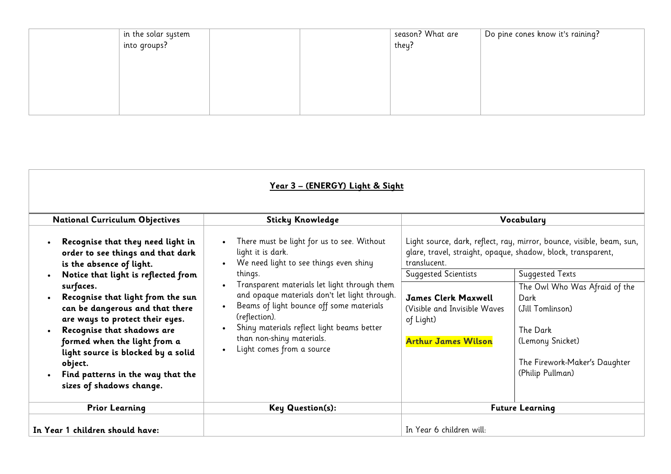| in the solar system<br>into groups? |  | season? What are<br>they? | $\mid$ Do pine cones know it's raining? |
|-------------------------------------|--|---------------------------|-----------------------------------------|
|                                     |  |                           |                                         |
|                                     |  |                           |                                         |
|                                     |  |                           |                                         |

|                                                                                                                                                                                                                                                                                                                                                                                                                                                   | <u> Year 3 – (ENERGY) Light &amp; Sight</u>                                                                                                                                                                                                                                                                                                                                                                                       |                                                                                                                                                                                                                       |                                                                                                                                                                                                                                                   |
|---------------------------------------------------------------------------------------------------------------------------------------------------------------------------------------------------------------------------------------------------------------------------------------------------------------------------------------------------------------------------------------------------------------------------------------------------|-----------------------------------------------------------------------------------------------------------------------------------------------------------------------------------------------------------------------------------------------------------------------------------------------------------------------------------------------------------------------------------------------------------------------------------|-----------------------------------------------------------------------------------------------------------------------------------------------------------------------------------------------------------------------|---------------------------------------------------------------------------------------------------------------------------------------------------------------------------------------------------------------------------------------------------|
| <b>National Curriculum Objectives</b>                                                                                                                                                                                                                                                                                                                                                                                                             | <b>Sticky Knowledge</b>                                                                                                                                                                                                                                                                                                                                                                                                           |                                                                                                                                                                                                                       | Vocabulary                                                                                                                                                                                                                                        |
| Recognise that they need light in<br>order to see things and that dark<br>is the absence of light.<br>Notice that light is reflected from<br>surfaces.<br>Recognise that light from the sun<br>can be dangerous and that there<br>are ways to protect their eyes.<br>Recognise that shadows are<br>formed when the light from a<br>light source is blocked by a solid<br>object.<br>Find patterns in the way that the<br>sizes of shadows change. | There must be light for us to see. Without<br>$\bullet$<br>light it is dark.<br>We need light to see things even shiny<br>things.<br>Transparent materials let light through them<br>and opaque materials don't let light through.<br>Beams of light bounce off some materials<br>(reflection).<br>Shiny materials reflect light beams better<br>$\bullet$<br>than non-shiny materials.<br>Light comes from a source<br>$\bullet$ | glare, travel, straight, opaque, shadow, block, transparent,<br>translucent.<br><b>Suggested Scientists</b><br><b>James Clerk Maxwell</b><br>(Visible and Invisible Waves)<br>of Light)<br><b>Arthur James Wilson</b> | Light source, dark, reflect, ray, mirror, bounce, visible, beam, sun,<br><b>Suggested Texts</b><br>The Owl Who Was Afraid of the<br>Dark<br>(Jill Tomlinson)<br>The Dark<br>(Lemony Snicket)<br>The Firework-Maker's Daughter<br>(Philip Pullman) |
| <b>Prior Learning</b>                                                                                                                                                                                                                                                                                                                                                                                                                             | <b>Key Question(s):</b>                                                                                                                                                                                                                                                                                                                                                                                                           | <b>Future Learning</b>                                                                                                                                                                                                |                                                                                                                                                                                                                                                   |
| In Year 1 children should have:                                                                                                                                                                                                                                                                                                                                                                                                                   |                                                                                                                                                                                                                                                                                                                                                                                                                                   | In Year 6 children will:                                                                                                                                                                                              |                                                                                                                                                                                                                                                   |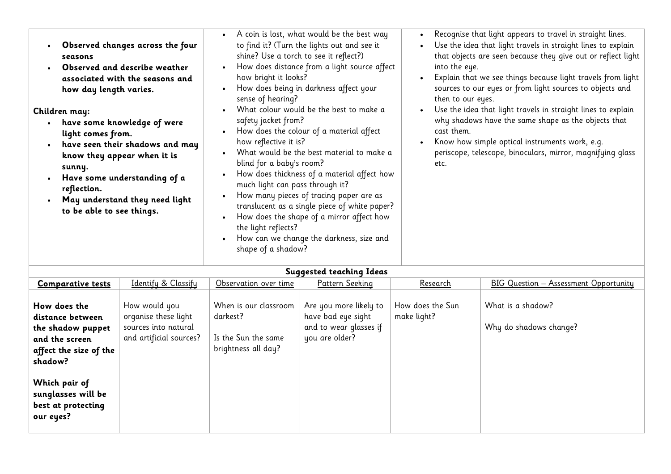| <b>Suggested teaching Ideas</b>                                                                              |                                                                                          |                                                                                 |                                                                                          |                                 |                                             |  |
|--------------------------------------------------------------------------------------------------------------|------------------------------------------------------------------------------------------|---------------------------------------------------------------------------------|------------------------------------------------------------------------------------------|---------------------------------|---------------------------------------------|--|
| <b>Comparative tests</b>                                                                                     | Identify & Classify                                                                      | Observation over time                                                           | Pattern Seeking                                                                          | Research                        | BIG Question - Assessment Opportunity       |  |
| How does the<br>distance between<br>the shadow puppet<br>and the screen<br>affect the size of the<br>shadow? | How would you<br>organise these light<br>sources into natural<br>and artificial sources? | When is our classroom<br>darkest?<br>Is the Sun the same<br>brightness all day? | Are you more likely to<br>have bad eye sight<br>and to wear glasses if<br>you are older? | How does the Sun<br>make light? | What is a shadow?<br>Why do shadows change? |  |
| Which pair of<br>sunglasses will be<br>best at protecting<br>our eyes?                                       |                                                                                          |                                                                                 |                                                                                          |                                 |                                             |  |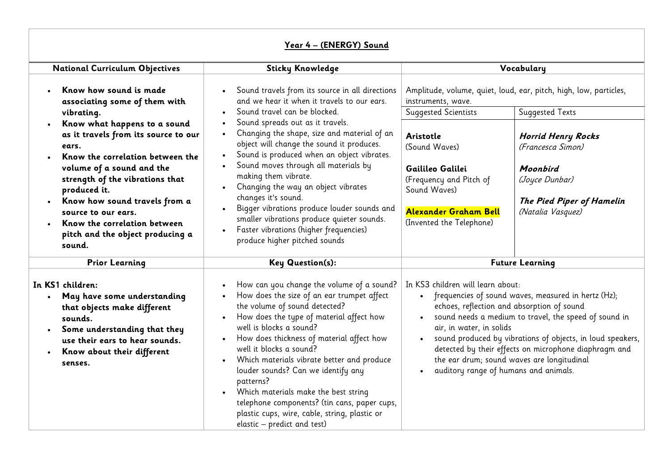## **Year 4 – (ENERGY) Sound**

| <b>National Curriculum Objectives</b>                                                                                                                                                                                                                  | <b>Sticky Knowledge</b>                                                                                                                                                                                                                                                                                                                                                                                                                                                                                                                                                                              |                                                                                                                                                                                                                                                                                                                                                                                                                                           | Vocabulary                                                                                                                                    |
|--------------------------------------------------------------------------------------------------------------------------------------------------------------------------------------------------------------------------------------------------------|------------------------------------------------------------------------------------------------------------------------------------------------------------------------------------------------------------------------------------------------------------------------------------------------------------------------------------------------------------------------------------------------------------------------------------------------------------------------------------------------------------------------------------------------------------------------------------------------------|-------------------------------------------------------------------------------------------------------------------------------------------------------------------------------------------------------------------------------------------------------------------------------------------------------------------------------------------------------------------------------------------------------------------------------------------|-----------------------------------------------------------------------------------------------------------------------------------------------|
| Know how sound is made<br>associating some of them with<br>vibrating.<br>Know what happens to a sound<br>as it travels from its source to our<br>ears.                                                                                                 | Sound travels from its source in all directions<br>$\bullet$<br>and we hear it when it travels to our ears.<br>Sound travel can be blocked.<br>Sound spreads out as it travels.<br>Changing the shape, size and material of an<br>$\bullet$<br>object will change the sound it produces.<br>Sound is produced when an object vibrates.                                                                                                                                                                                                                                                               | instruments, wave.<br><b>Suggested Scientists</b><br>Aristotle<br>(Sound Waves)                                                                                                                                                                                                                                                                                                                                                           | Amplitude, volume, quiet, loud, ear, pitch, high, low, particles,<br><b>Suggested Texts</b><br><b>Horrid Henry Rocks</b><br>(Francesca Simon) |
| Know the correlation between the<br>volume of a sound and the<br>strength of the vibrations that<br>produced it.<br>Know how sound travels from a<br>source to our ears.<br>Know the correlation between<br>pitch and the object producing a<br>sound. | Sound moves through all materials by<br>making them vibrate.<br>Changing the way an object vibrates<br>changes it's sound.<br>Bigger vibrations produce louder sounds and<br>smaller vibrations produce quieter sounds.<br>Faster vibrations (higher frequencies)<br>$\bullet$<br>produce higher pitched sounds                                                                                                                                                                                                                                                                                      | Gailileo Galilei<br>(Frequency and Pitch of<br>Sound Waves)<br>Alexander Graham Bell<br>(Invented the Telephone)                                                                                                                                                                                                                                                                                                                          | Moonbird<br>(Joyce Dunbar)<br>The Pied Piper of Hamelin<br>(Natalia Vasquez)                                                                  |
| <b>Prior Learning</b>                                                                                                                                                                                                                                  | <b>Key Question(s):</b>                                                                                                                                                                                                                                                                                                                                                                                                                                                                                                                                                                              | <b>Future Learning</b>                                                                                                                                                                                                                                                                                                                                                                                                                    |                                                                                                                                               |
| In KS1 children:<br>May have some understanding<br>that objects make different<br>sounds.<br>Some understanding that they<br>use their ears to hear sounds.<br>Know about their different<br>senses.                                                   | How can you change the volume of a sound?<br>$\bullet$<br>How does the size of an ear trumpet affect<br>the volume of sound detected?<br>How does the type of material affect how<br>$\bullet$<br>well is blocks a sound?<br>How does thickness of material affect how<br>well it blocks a sound?<br>Which materials vibrate better and produce<br>$\bullet$<br>louder sounds? Can we identify any<br>patterns?<br>Which materials make the best string<br>$\bullet$<br>telephone components? (tin cans, paper cups,<br>plastic cups, wire, cable, string, plastic or<br>elastic - predict and test) | In KS3 children will learn about:<br>frequencies of sound waves, measured in hertz (Hz);<br>echoes, reflection and absorption of sound<br>sound needs a medium to travel, the speed of sound in<br>air, in water, in solids<br>sound produced by vibrations of objects, in loud speakers,<br>detected by their effects on microphone diaphragm and<br>the ear drum; sound waves are longitudinal<br>auditory range of humans and animals. |                                                                                                                                               |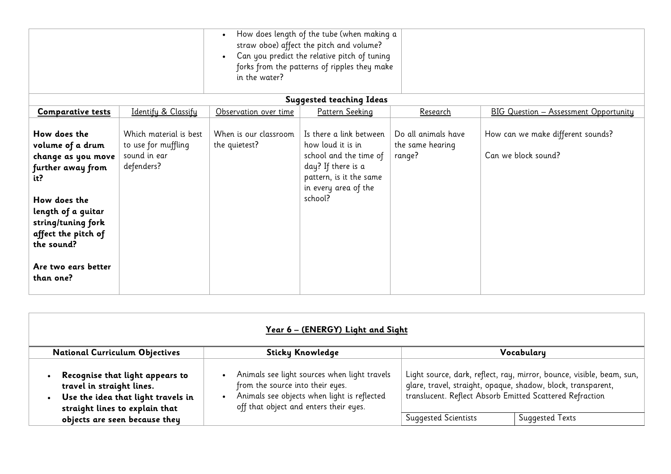|                                                                                                                                                                                                                         |                                                                             | How does length of the tube (when making a<br>straw oboe) affect the pitch and volume?<br>Can you predict the relative pitch of tuning<br>forks from the patterns of ripples they make<br>in the water? |                                                                                                                                                            |                                                   |                                                          |  |
|-------------------------------------------------------------------------------------------------------------------------------------------------------------------------------------------------------------------------|-----------------------------------------------------------------------------|---------------------------------------------------------------------------------------------------------------------------------------------------------------------------------------------------------|------------------------------------------------------------------------------------------------------------------------------------------------------------|---------------------------------------------------|----------------------------------------------------------|--|
|                                                                                                                                                                                                                         |                                                                             |                                                                                                                                                                                                         | <b>Suggested teaching Ideas</b>                                                                                                                            |                                                   |                                                          |  |
| <b>Comparative tests</b>                                                                                                                                                                                                | Identify & Classify                                                         | Observation over time                                                                                                                                                                                   | <b>Pattern Seeking</b>                                                                                                                                     | Research                                          | <b>BIG Question - Assessment Opportunity</b>             |  |
| How does the<br>volume of a drum<br>change as you move<br>further away from<br>it?<br>How does the<br>length of a guitar<br>string/tuning fork<br>affect the pitch of<br>the sound?<br>Are two ears better<br>than one? | Which material is best<br>to use for muffling<br>sound in ear<br>defenders? | When is our classroom<br>the quietest?                                                                                                                                                                  | Is there a link between<br>how loud it is in<br>school and the time of<br>day? If there is a<br>pattern, is it the same<br>in every area of the<br>school? | Do all animals have<br>the same hearing<br>range? | How can we make different sounds?<br>Can we block sound? |  |

| Year 6 - (ENERGY) Light and Sight                                                                                                                                     |                                                                                                                                                                           |                                                                                                                                                         |                                                                                          |  |  |  |
|-----------------------------------------------------------------------------------------------------------------------------------------------------------------------|---------------------------------------------------------------------------------------------------------------------------------------------------------------------------|---------------------------------------------------------------------------------------------------------------------------------------------------------|------------------------------------------------------------------------------------------|--|--|--|
| <b>National Curriculum Objectives</b>                                                                                                                                 | <b>Sticky Knowledge</b>                                                                                                                                                   |                                                                                                                                                         | Vocabulary                                                                               |  |  |  |
| Recognise that light appears to<br>travel in straight lines.<br>Use the idea that light travels in<br>straight lines to explain that<br>objects are seen because they | Animals see light sources when light travels<br>from the source into their eyes.<br>Animals see objects when light is reflected<br>off that object and enters their eyes. | glare, travel, straight, opaque, shadow, block, transparent,<br>translucent. Reflect Absorb Emitted Scattered Refraction<br><b>Suggested Scientists</b> | Light source, dark, reflect, ray, mirror, bounce, visible, beam, sun,<br>Suggested Texts |  |  |  |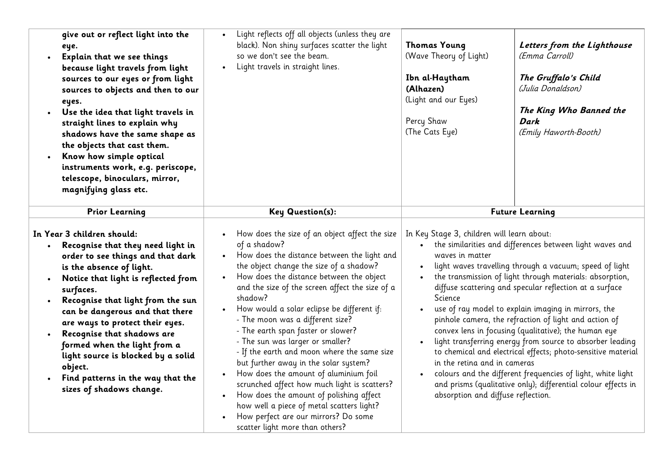| give out or reflect light into the<br>eye.<br>Explain that we see things<br>because light travels from light<br>sources to our eyes or from light<br>sources to objects and then to our<br>eyes.<br>Use the idea that light travels in<br>straight lines to explain why<br>shadows have the same shape as<br>the objects that cast them.<br>Know how simple optical<br>instruments work, e.g. periscope,<br>telescope, binoculars, mirror,<br>magnifying glass etc.                          | Light reflects off all objects (unless they are<br>black). Non shiny surfaces scatter the light<br>so we don't see the beam.<br>Light travels in straight lines.                                                                                                                                                                                                                                                                                                                                                                                                                                                                                                                                                                                                                   | <b>Thomas Young</b><br>(Wave Theory of Light)<br>Ibn al-Haytham<br>(Alhazen)<br>(Light and our Eyes)<br>Percy Shaw<br>(The Cats Eye)                                                                                                                                                                                                                                                                                                                                                                                                                                                                                                                                                                                                                                                                                                                        | Letters from the Lighthouse<br>(Emma Carroll)<br>The Gruffalo's Child<br>(Julia Donaldson)<br>The King Who Banned the<br>Dark<br>(Emily Haworth-Booth) |
|----------------------------------------------------------------------------------------------------------------------------------------------------------------------------------------------------------------------------------------------------------------------------------------------------------------------------------------------------------------------------------------------------------------------------------------------------------------------------------------------|------------------------------------------------------------------------------------------------------------------------------------------------------------------------------------------------------------------------------------------------------------------------------------------------------------------------------------------------------------------------------------------------------------------------------------------------------------------------------------------------------------------------------------------------------------------------------------------------------------------------------------------------------------------------------------------------------------------------------------------------------------------------------------|-------------------------------------------------------------------------------------------------------------------------------------------------------------------------------------------------------------------------------------------------------------------------------------------------------------------------------------------------------------------------------------------------------------------------------------------------------------------------------------------------------------------------------------------------------------------------------------------------------------------------------------------------------------------------------------------------------------------------------------------------------------------------------------------------------------------------------------------------------------|--------------------------------------------------------------------------------------------------------------------------------------------------------|
| <b>Prior Learning</b>                                                                                                                                                                                                                                                                                                                                                                                                                                                                        | <b>Key Question(s):</b>                                                                                                                                                                                                                                                                                                                                                                                                                                                                                                                                                                                                                                                                                                                                                            |                                                                                                                                                                                                                                                                                                                                                                                                                                                                                                                                                                                                                                                                                                                                                                                                                                                             |                                                                                                                                                        |
| In Year 3 children should:<br>Recognise that they need light in<br>$\bullet$<br>order to see things and that dark<br>is the absence of light.<br>Notice that light is reflected from<br>surfaces.<br>Recognise that light from the sun<br>can be dangerous and that there<br>are ways to protect their eyes.<br>Recognise that shadows are<br>formed when the light from a<br>light source is blocked by a solid<br>object.<br>Find patterns in the way that the<br>sizes of shadows change. | How does the size of an object affect the size<br>of a shadow?<br>How does the distance between the light and<br>the object change the size of a shadow?<br>How does the distance between the object<br>and the size of the screen affect the size of a<br>shadow?<br>How would a solar eclipse be different if:<br>- The moon was a different size?<br>- The earth span faster or slower?<br>- The sun was larger or smaller?<br>- If the earth and moon where the same size<br>but further away in the solar system?<br>How does the amount of aluminium foil<br>scrunched affect how much light is scatters?<br>How does the amount of polishing affect<br>how well a piece of metal scatters light?<br>How perfect are our mirrors? Do some<br>scatter light more than others? | <b>Future Learning</b><br>In Key Stage 3, children will learn about:<br>the similarities and differences between light waves and<br>waves in matter<br>light waves travelling through a vacuum; speed of light<br>the transmission of light through materials: absorption,<br>diffuse scattering and specular reflection at a surface<br>Science<br>use of ray model to explain imaging in mirrors, the<br>pinhole camera, the refraction of light and action of<br>convex lens in focusing (qualitative); the human eye<br>light transferring energy from source to absorber leading<br>to chemical and electrical effects; photo-sensitive material<br>in the retina and in cameras<br>colours and the different frequencies of light, white light<br>and prisms (qualitative only); differential colour effects in<br>absorption and diffuse reflection. |                                                                                                                                                        |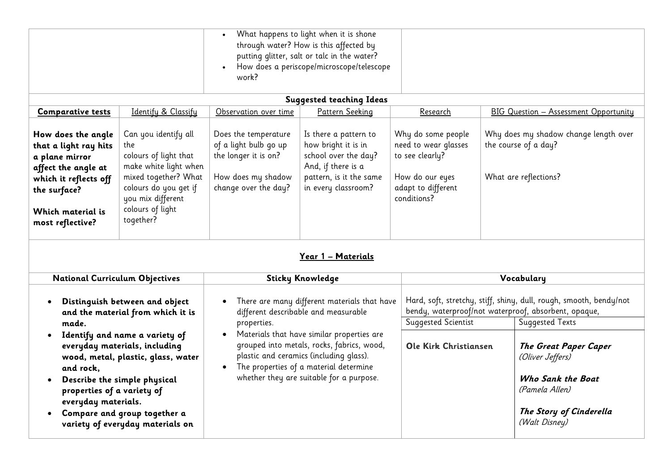| What happens to light when it is shone<br>through water? How is this affected by<br>putting glitter, salt or talc in the water?<br>How does a periscope/microscope/telescope<br>work?                                                                                                                 |                                                                                                                                                                                      |                                                                                                                     |                                                                                                                                                                                                                           |                                                                                                                       |  |                                                                                                                              |
|-------------------------------------------------------------------------------------------------------------------------------------------------------------------------------------------------------------------------------------------------------------------------------------------------------|--------------------------------------------------------------------------------------------------------------------------------------------------------------------------------------|---------------------------------------------------------------------------------------------------------------------|---------------------------------------------------------------------------------------------------------------------------------------------------------------------------------------------------------------------------|-----------------------------------------------------------------------------------------------------------------------|--|------------------------------------------------------------------------------------------------------------------------------|
|                                                                                                                                                                                                                                                                                                       |                                                                                                                                                                                      |                                                                                                                     | <b>Suggested teaching Ideas</b>                                                                                                                                                                                           |                                                                                                                       |  |                                                                                                                              |
| <b>Comparative tests</b>                                                                                                                                                                                                                                                                              | Identify & Classify                                                                                                                                                                  | Observation over time                                                                                               | Pattern Seeking                                                                                                                                                                                                           | Research                                                                                                              |  | <b>BIG Question - Assessment Opportunity</b>                                                                                 |
| How does the angle<br>that a light ray hits<br>a plane mirror<br>affect the angle at<br>which it reflects off<br>the surface?<br>Which material is<br>most reflective?                                                                                                                                | Can you identify all<br>the<br>colours of light that<br>make white light when<br>mixed together? What<br>colours do you get if<br>you mix different<br>colours of light<br>together? | Does the temperature<br>of a light bulb go up<br>the longer it is on?<br>How does my shadow<br>change over the day? | Is there a pattern to<br>how bright it is in<br>school over the day?<br>And, if there is a<br>pattern, is it the same<br>in every classroom?                                                                              | Why do some people<br>need to wear glasses<br>to see clearly?<br>How do our eyes<br>adapt to different<br>conditions? |  | Why does my shadow change length over<br>the course of a day?<br>What are reflections?                                       |
|                                                                                                                                                                                                                                                                                                       |                                                                                                                                                                                      |                                                                                                                     | Year 1 - Materials                                                                                                                                                                                                        |                                                                                                                       |  |                                                                                                                              |
| <b>National Curriculum Objectives</b>                                                                                                                                                                                                                                                                 |                                                                                                                                                                                      |                                                                                                                     | <b>Sticky Knowledge</b>                                                                                                                                                                                                   |                                                                                                                       |  | Vocabulary                                                                                                                   |
| $\bullet$                                                                                                                                                                                                                                                                                             | Distinguish between and object<br>and the material from which it is                                                                                                                  |                                                                                                                     | There are many different materials that have<br>different describable and measurable                                                                                                                                      |                                                                                                                       |  | Hard, soft, stretchy, stiff, shiny, dull, rough, smooth, bendy/not<br>bendy, waterproof/not waterproof, absorbent, opaque,   |
| made.                                                                                                                                                                                                                                                                                                 |                                                                                                                                                                                      | properties.                                                                                                         |                                                                                                                                                                                                                           | Suggested Scientist                                                                                                   |  | <b>Suggested Texts</b>                                                                                                       |
| Identify and name a variety of<br>$\bullet$<br>everyday materials, including<br>wood, metal, plastic, glass, water<br>and rock,<br>Describe the simple physical<br>properties of a variety of<br>everyday materials.<br>Compare and group together a<br>$\bullet$<br>variety of everyday materials on |                                                                                                                                                                                      | $\bullet$<br>$\bullet$                                                                                              | Materials that have similar properties are<br>grouped into metals, rocks, fabrics, wood,<br>plastic and ceramics (including glass).<br>The properties of a material determine<br>whether they are suitable for a purpose. | Ole Kirk Christiansen                                                                                                 |  | The Great Paper Caper<br>(Oliver Jeffers)<br>Who Sank the Boat<br>(Pamela Allen)<br>The Story of Cinderella<br>(Walt Disney) |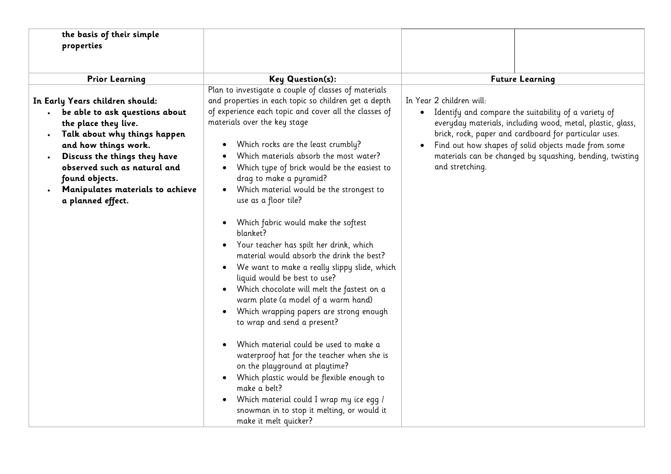| the basis of their simple<br>properties                                                                                                                                                                                                                                                                                             |                                                                                                                                                                                                                                                                                                                                                                                                                                                                                                                                                                                                                                                                                                                                                                                                                                                                                                                                                                                                                                                                                                                                                      |                                                                                                                                                                                                                                                                                                                                               |
|-------------------------------------------------------------------------------------------------------------------------------------------------------------------------------------------------------------------------------------------------------------------------------------------------------------------------------------|------------------------------------------------------------------------------------------------------------------------------------------------------------------------------------------------------------------------------------------------------------------------------------------------------------------------------------------------------------------------------------------------------------------------------------------------------------------------------------------------------------------------------------------------------------------------------------------------------------------------------------------------------------------------------------------------------------------------------------------------------------------------------------------------------------------------------------------------------------------------------------------------------------------------------------------------------------------------------------------------------------------------------------------------------------------------------------------------------------------------------------------------------|-----------------------------------------------------------------------------------------------------------------------------------------------------------------------------------------------------------------------------------------------------------------------------------------------------------------------------------------------|
| <b>Key Question(s):</b><br><b>Prior Learning</b>                                                                                                                                                                                                                                                                                    |                                                                                                                                                                                                                                                                                                                                                                                                                                                                                                                                                                                                                                                                                                                                                                                                                                                                                                                                                                                                                                                                                                                                                      | <b>Future Learning</b>                                                                                                                                                                                                                                                                                                                        |
| In Early Years children should:<br>be able to ask questions about<br>the place they live.<br>Talk about why things happen<br>$\bullet$<br>and how things work.<br>Discuss the things they have<br>$\bullet$<br>observed such as natural and<br>found objects.<br>Manipulates materials to achieve<br>$\bullet$<br>a planned effect. | Plan to investigate a couple of classes of materials<br>and properties in each topic so children get a depth<br>of experience each topic and cover all the classes of<br>materials over the key stage<br>Which rocks are the least crumbly?<br>Which materials absorb the most water?<br>Which type of brick would be the easiest to<br>drag to make a pyramid?<br>Which material would be the strongest to<br>use as a floor tile?<br>Which fabric would make the softest<br>blanket?<br>Your teacher has spilt her drink, which<br>material would absorb the drink the best?<br>We want to make a really slippy slide, which<br>$\bullet$<br>liquid would be best to use?<br>Which chocolate will melt the fastest on a<br>warm plate (a model of a warm hand)<br>Which wrapping papers are strong enough<br>to wrap and send a present?<br>Which material could be used to make a<br>waterproof hat for the teacher when she is<br>on the playground at playtime?<br>Which plastic would be flexible enough to<br>make a belt?<br>Which material could I wrap my ice egg /<br>snowman in to stop it melting, or would it<br>make it melt quicker? | In Year 2 children will:<br>Identify and compare the suitability of a variety of<br>everyday materials, including wood, metal, plastic, glass,<br>brick, rock, paper and cardboard for particular uses.<br>Find out how shapes of solid objects made from some<br>materials can be changed by squashing, bending, twisting<br>and stretching. |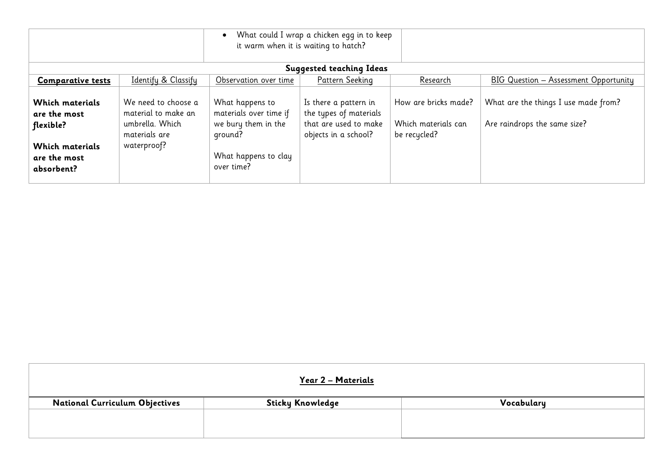|                                                                                                             |                                                                                               |                                                                                                                   | What could I wrap a chicken egg in to keep<br>it warm when it is waiting to hatch?               |                                                             |                                                                      |
|-------------------------------------------------------------------------------------------------------------|-----------------------------------------------------------------------------------------------|-------------------------------------------------------------------------------------------------------------------|--------------------------------------------------------------------------------------------------|-------------------------------------------------------------|----------------------------------------------------------------------|
|                                                                                                             |                                                                                               |                                                                                                                   | <b>Suggested teaching Ideas</b>                                                                  |                                                             |                                                                      |
| <b>Comparative tests</b>                                                                                    | Identify & Classify                                                                           | Observation over time                                                                                             | Pattern Seeking                                                                                  | Research                                                    | BIG Question - Assessment Opportunity                                |
| <b>Which materials</b><br>are the most<br>flexible?<br><b>Which materials</b><br>are the most<br>absorbent? | We need to choose a<br>material to make an<br>umbrella. Which<br>materials are<br>waterproof? | What happens to<br>materials over time if<br>we bury them in the<br>ground?<br>What happens to clay<br>over time? | Is there a pattern in<br>the types of materials<br>that are used to make<br>objects in a school? | How are bricks made?<br>Which materials can<br>be recycled? | What are the things I use made from?<br>Are raindrops the same size? |

| Year 2 - Materials                    |                  |            |  |  |  |  |
|---------------------------------------|------------------|------------|--|--|--|--|
| <b>National Curriculum Objectives</b> | Sticky Knowledge | Vocabulary |  |  |  |  |
|                                       |                  |            |  |  |  |  |
|                                       |                  |            |  |  |  |  |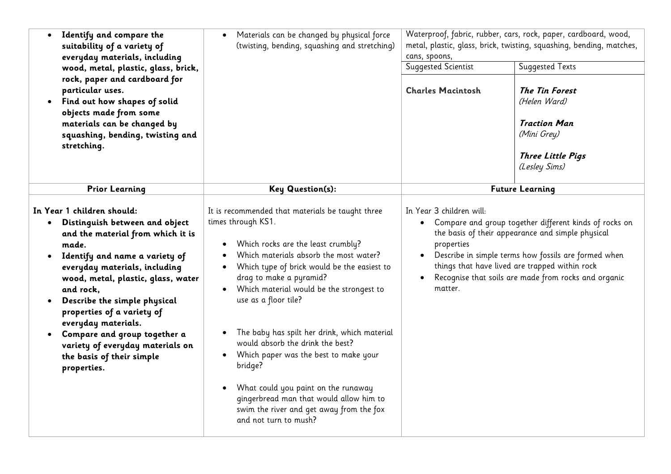| Identify and compare the<br>suitability of a variety of<br>everyday materials, including<br>wood, metal, plastic, glass, brick,<br>rock, paper and cardboard for<br>particular uses.<br>Find out how shapes of solid<br>$\bullet$<br>objects made from some<br>materials can be changed by<br>squashing, bending, twisting and<br>stretching.                                                                                                                                | Materials can be changed by physical force<br>(twisting, bending, squashing and stretching)                                                                                                                                                                                                                                                                                                                                                                                                                                                                                                                                                                          | cans, spoons,<br>Suggested Scientist<br><b>Charles Macintosh</b>                         | Waterproof, fabric, rubber, cars, rock, paper, cardboard, wood,<br>metal, plastic, glass, brick, twisting, squashing, bending, matches,<br>Suggested Texts<br><b>The Tin Forest</b><br>(Helen Ward)<br><b>Traction Man</b><br>(Mini Grey)<br><b>Three Little Pigs</b><br>(Lesley Sims) |
|------------------------------------------------------------------------------------------------------------------------------------------------------------------------------------------------------------------------------------------------------------------------------------------------------------------------------------------------------------------------------------------------------------------------------------------------------------------------------|----------------------------------------------------------------------------------------------------------------------------------------------------------------------------------------------------------------------------------------------------------------------------------------------------------------------------------------------------------------------------------------------------------------------------------------------------------------------------------------------------------------------------------------------------------------------------------------------------------------------------------------------------------------------|------------------------------------------------------------------------------------------|----------------------------------------------------------------------------------------------------------------------------------------------------------------------------------------------------------------------------------------------------------------------------------------|
| <b>Prior Learning</b>                                                                                                                                                                                                                                                                                                                                                                                                                                                        | Key Question(s):                                                                                                                                                                                                                                                                                                                                                                                                                                                                                                                                                                                                                                                     |                                                                                          | <b>Future Learning</b>                                                                                                                                                                                                                                                                 |
| In Year 1 children should:<br>Distinguish between and object<br>$\bullet$<br>and the material from which it is<br>made.<br>Identify and name a variety of<br>$\bullet$<br>everyday materials, including<br>wood, metal, plastic, glass, water<br>and rock,<br>Describe the simple physical<br>properties of a variety of<br>everyday materials.<br>Compare and group together a<br>$\bullet$<br>variety of everyday materials on<br>the basis of their simple<br>properties. | It is recommended that materials be taught three<br>times through KS1.<br>Which rocks are the least crumbly?<br>$\bullet$<br>Which materials absorb the most water?<br>Which type of brick would be the easiest to<br>drag to make a pyramid?<br>Which material would be the strongest to<br>$\bullet$<br>use as a floor tile?<br>The baby has spilt her drink, which material<br>$\bullet$<br>would absorb the drink the best?<br>Which paper was the best to make your<br>$\bullet$<br>bridge?<br>What could you paint on the runaway<br>$\bullet$<br>gingerbread man that would allow him to<br>swim the river and get away from the fox<br>and not turn to mush? | In Year 3 children will:<br>$\bullet$<br>properties<br>$\bullet$<br>$\bullet$<br>matter. | Compare and group together different kinds of rocks on<br>the basis of their appearance and simple physical<br>Describe in simple terms how fossils are formed when<br>things that have lived are trapped within rock<br>Recognise that soils are made from rocks and organic          |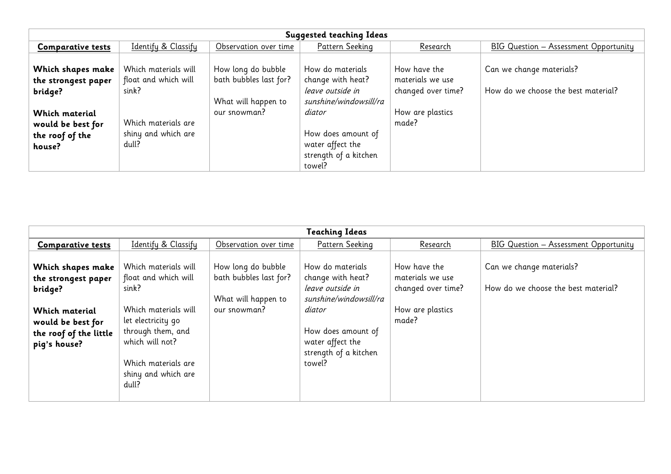| <b>Suggested teaching Ideas</b> |                      |                        |                        |                    |                                       |  |
|---------------------------------|----------------------|------------------------|------------------------|--------------------|---------------------------------------|--|
| <b>Comparative tests</b>        | Identify & Classify  | Observation over time  | Pattern Seeking        | Research           | BIG Question - Assessment Opportunity |  |
|                                 |                      |                        |                        |                    |                                       |  |
| Which shapes make               | Which materials will | How long do bubble     | How do materials       | How have the       | Can we change materials?              |  |
| the strongest paper             | float and which will | bath bubbles last for? | change with heat?      | materials we use   |                                       |  |
| bridge?                         | sink?                |                        | leave outside in       | changed over time? | How do we choose the best material?   |  |
|                                 |                      | What will happen to    | sunshine/windowsill/ra |                    |                                       |  |
| <b>Which material</b>           |                      | our snowman?           | diator                 | How are plastics   |                                       |  |
| would be best for               | Which materials are  |                        |                        | made?              |                                       |  |
| the roof of the                 | shiny and which are  |                        | How does amount of     |                    |                                       |  |
| house?                          | dull?                |                        | water affect the       |                    |                                       |  |
|                                 |                      |                        | strength of a kitchen  |                    |                                       |  |
|                                 |                      |                        | towel?                 |                    |                                       |  |

| <b>Teaching Ideas</b>                                                                                                                |                                                                                                                                                                                                    |                                                                                     |                                                                                                                                                                            |                                                                                     |                                                                 |  |
|--------------------------------------------------------------------------------------------------------------------------------------|----------------------------------------------------------------------------------------------------------------------------------------------------------------------------------------------------|-------------------------------------------------------------------------------------|----------------------------------------------------------------------------------------------------------------------------------------------------------------------------|-------------------------------------------------------------------------------------|-----------------------------------------------------------------|--|
| <b>Comparative tests</b>                                                                                                             | Identify & Classify                                                                                                                                                                                | Observation over time                                                               | Pattern Seeking                                                                                                                                                            | <u>Research</u>                                                                     | BIG Question - Assessment Opportunity                           |  |
| Which shapes make<br>the strongest paper<br>bridge?<br>Which material<br>would be best for<br>the roof of the little<br>pig's house? | Which materials will<br>float and which will<br>sink?<br>Which materials will<br>let electricity go<br>through them, and<br>which will not?<br>Which materials are<br>shiny and which are<br>dull? | How long do bubble<br>bath bubbles last for?<br>What will happen to<br>our snowman? | How do materials<br>change with heat?<br>leave outside in<br>sunshine/windowsill/ra<br>diator<br>How does amount of<br>water affect the<br>strength of a kitchen<br>towel? | How have the<br>materials we use<br>changed over time?<br>How are plastics<br>made? | Can we change materials?<br>How do we choose the best material? |  |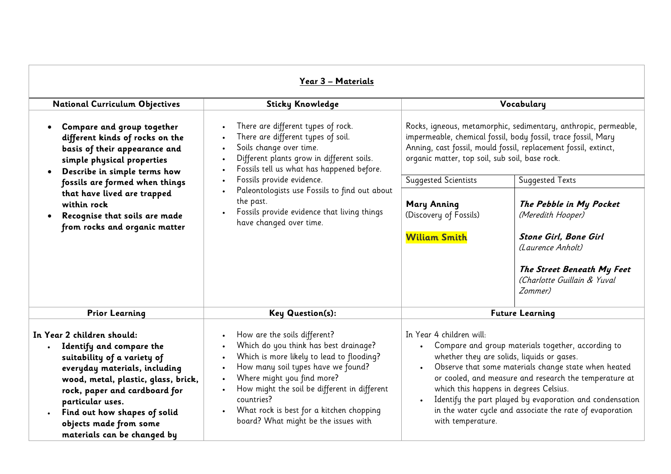| Year 3 - Materials                                                                                                                                                                                                                                                                                                       |                                                                                                                                                                                                                                                                                                                                          |                                                                                                                                                                                                                                                                                                                                                                                                                                                    |                                                                      |  |  |
|--------------------------------------------------------------------------------------------------------------------------------------------------------------------------------------------------------------------------------------------------------------------------------------------------------------------------|------------------------------------------------------------------------------------------------------------------------------------------------------------------------------------------------------------------------------------------------------------------------------------------------------------------------------------------|----------------------------------------------------------------------------------------------------------------------------------------------------------------------------------------------------------------------------------------------------------------------------------------------------------------------------------------------------------------------------------------------------------------------------------------------------|----------------------------------------------------------------------|--|--|
| <b>National Curriculum Objectives</b>                                                                                                                                                                                                                                                                                    | <b>Sticky Knowledge</b>                                                                                                                                                                                                                                                                                                                  |                                                                                                                                                                                                                                                                                                                                                                                                                                                    | Vocabulary                                                           |  |  |
| Compare and group together<br>different kinds of rocks on the<br>basis of their appearance and<br>simple physical properties<br>Describe in simple terms how                                                                                                                                                             | There are different types of rock.<br>There are different types of soil.<br>Soils change over time.<br>Different plants grow in different soils.<br>Fossils tell us what has happened before.                                                                                                                                            | Rocks, igneous, metamorphic, sedimentary, anthropic, permeable,<br>impermeable, chemical fossil, body fossil, trace fossil, Mary<br>Anning, cast fossil, mould fossil, replacement fossil, extinct,<br>organic matter, top soil, sub soil, base rock.                                                                                                                                                                                              |                                                                      |  |  |
| fossils are formed when things                                                                                                                                                                                                                                                                                           | Fossils provide evidence.                                                                                                                                                                                                                                                                                                                | <b>Suggested Scientists</b>                                                                                                                                                                                                                                                                                                                                                                                                                        | <b>Suggested Texts</b>                                               |  |  |
| that have lived are trapped<br>within rock<br>Recognise that soils are made<br>from rocks and organic matter                                                                                                                                                                                                             | Paleontologists use Fossils to find out about<br>the past.<br>Fossils provide evidence that living things<br>have changed over time.                                                                                                                                                                                                     | <b>Mary Anning</b><br>(Discovery of Fossils)                                                                                                                                                                                                                                                                                                                                                                                                       | The Pebble in My Pocket<br>(Meredith Hooper)                         |  |  |
|                                                                                                                                                                                                                                                                                                                          |                                                                                                                                                                                                                                                                                                                                          | <b>Wiliam Smith</b>                                                                                                                                                                                                                                                                                                                                                                                                                                | <b>Stone Girl, Bone Girl</b><br>(Laurence Anholt)                    |  |  |
|                                                                                                                                                                                                                                                                                                                          |                                                                                                                                                                                                                                                                                                                                          |                                                                                                                                                                                                                                                                                                                                                                                                                                                    | The Street Beneath My Feet<br>(Charlotte Guillain & Yuval<br>Zommer) |  |  |
| <b>Prior Learning</b>                                                                                                                                                                                                                                                                                                    | <b>Key Question(s):</b>                                                                                                                                                                                                                                                                                                                  | <b>Future Learning</b>                                                                                                                                                                                                                                                                                                                                                                                                                             |                                                                      |  |  |
| In Year 2 children should:<br>Identify and compare the<br>suitability of a variety of<br>everyday materials, including<br>wood, metal, plastic, glass, brick,<br>rock, paper and cardboard for<br>particular uses.<br>Find out how shapes of solid<br>$\bullet$<br>objects made from some<br>materials can be changed by | How are the soils different?<br>Which do you think has best drainage?<br>Which is more likely to lead to flooding?<br>How many soil types have we found?<br>Where might you find more?<br>How might the soil be different in different<br>countries?<br>What rock is best for a kitchen chopping<br>board? What might be the issues with | In Year 4 children will:<br>Compare and group materials together, according to<br>whether they are solids, liquids or gases.<br>Observe that some materials change state when heated<br>$\bullet$<br>or cooled, and measure and research the temperature at<br>which this happens in degrees Celsius.<br>Identify the part played by evaporation and condensation<br>in the water cycle and associate the rate of evaporation<br>with temperature. |                                                                      |  |  |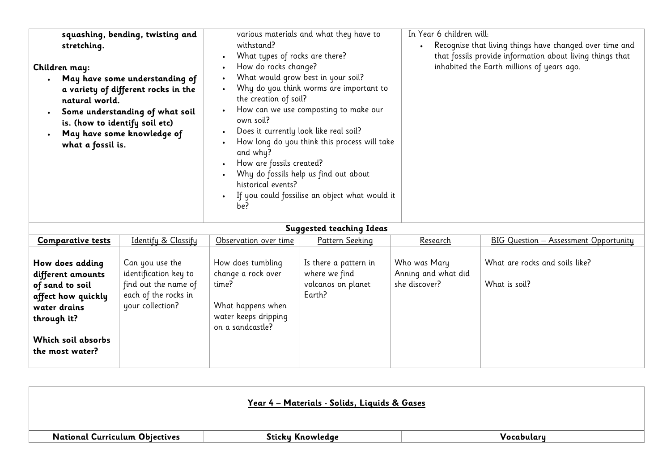| <b>Sundance Continue Treas</b>                                                                                                                        |                                                                                                              |                                                                                                                   |                                                                        |                                                      |                                                 |
|-------------------------------------------------------------------------------------------------------------------------------------------------------|--------------------------------------------------------------------------------------------------------------|-------------------------------------------------------------------------------------------------------------------|------------------------------------------------------------------------|------------------------------------------------------|-------------------------------------------------|
| <b>Comparative tests</b>                                                                                                                              | Identify & Classify                                                                                          | Observation over time                                                                                             | Pattern Seeking                                                        | Research                                             | BIG Question - Assessment Opportunity           |
| How does adding<br>different amounts<br>of sand to soil<br>affect how quickly<br>water drains<br>through it?<br>Which soil absorbs<br>the most water? | Can you use the<br>identification key to<br>find out the name of<br>each of the rocks in<br>your collection? | How does tumbling<br>change a rock over<br>time?<br>What happens when<br>water keeps dripping<br>on a sandcastle? | Is there a pattern in<br>where we find<br>volcanos on planet<br>Earth? | Who was Mary<br>Anning and what did<br>she discover? | What are rocks and soils like?<br>What is soil? |

|                                       | <u> Year 4 - Materials - Solids, Liquids &amp; Gases</u> |            |
|---------------------------------------|----------------------------------------------------------|------------|
| <b>National Curriculum Objectives</b> | Sticky Knowledge                                         | Vocabulary |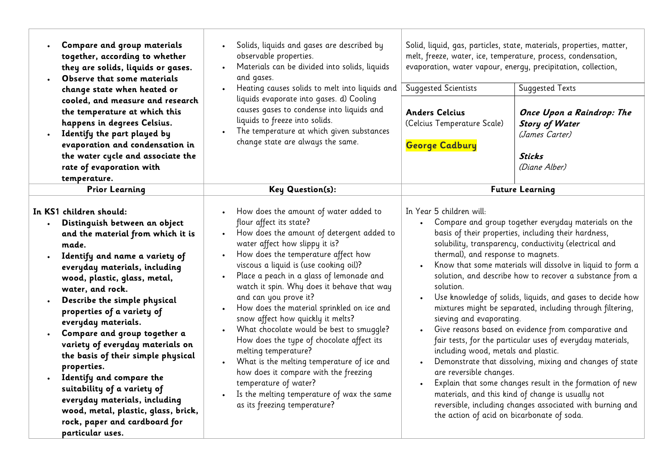| Compare and group materials<br>together, according to whether<br>they are solids, liquids or gases.<br>Observe that some materials<br>change state when heated or<br>cooled, and measure and research<br>the temperature at which this<br>happens in degrees Celsius.<br>Identify the part played by<br>evaporation and condensation in<br>the water cycle and associate the<br>rate of evaporation with<br>temperature.                                                                                                                                                                                                            | Solids, liquids and gases are described by<br>observable properties.<br>Materials can be divided into solids, liquids<br>and gases.<br>Heating causes solids to melt into liquids and<br>liquids evaporate into gases. d) Cooling<br>causes gases to condense into liquids and<br>liquids to freeze into solids.<br>The temperature at which given substances<br>change state are always the same.                                                                                                                                                                                                                                                                                                                                                    | <b>Suggested Scientists</b><br><b>Anders Celcius</b><br>(Celcius Temperature Scale)<br><b>George Cadbury</b>                                                                                                                                                                                                                                                                                                                                                                                                                                                                                                                                                                                                                                                                                                                                                                                                                                                                                                         | Solid, liquid, gas, particles, state, materials, properties, matter,<br>melt, freeze, water, ice, temperature, process, condensation,<br>evaporation, water vapour, energy, precipitation, collection,<br>Suggested Texts<br>Once Upon a Raindrop: The<br><b>Story of Water</b><br>(James Carter)<br>Sticks<br>(Diane Alber) |
|-------------------------------------------------------------------------------------------------------------------------------------------------------------------------------------------------------------------------------------------------------------------------------------------------------------------------------------------------------------------------------------------------------------------------------------------------------------------------------------------------------------------------------------------------------------------------------------------------------------------------------------|-------------------------------------------------------------------------------------------------------------------------------------------------------------------------------------------------------------------------------------------------------------------------------------------------------------------------------------------------------------------------------------------------------------------------------------------------------------------------------------------------------------------------------------------------------------------------------------------------------------------------------------------------------------------------------------------------------------------------------------------------------|----------------------------------------------------------------------------------------------------------------------------------------------------------------------------------------------------------------------------------------------------------------------------------------------------------------------------------------------------------------------------------------------------------------------------------------------------------------------------------------------------------------------------------------------------------------------------------------------------------------------------------------------------------------------------------------------------------------------------------------------------------------------------------------------------------------------------------------------------------------------------------------------------------------------------------------------------------------------------------------------------------------------|------------------------------------------------------------------------------------------------------------------------------------------------------------------------------------------------------------------------------------------------------------------------------------------------------------------------------|
| <b>Prior Learning</b>                                                                                                                                                                                                                                                                                                                                                                                                                                                                                                                                                                                                               | Key Question(s):                                                                                                                                                                                                                                                                                                                                                                                                                                                                                                                                                                                                                                                                                                                                      |                                                                                                                                                                                                                                                                                                                                                                                                                                                                                                                                                                                                                                                                                                                                                                                                                                                                                                                                                                                                                      | <b>Future Learning</b>                                                                                                                                                                                                                                                                                                       |
| In KS1 children should:<br>Distinguish between an object<br>and the material from which it is<br>made.<br>Identify and name a variety of<br>everyday materials, including<br>wood, plastic, glass, metal,<br>water, and rock.<br>Describe the simple physical<br>properties of a variety of<br>everyday materials.<br>Compare and group together a<br>variety of everyday materials on<br>the basis of their simple physical<br>properties.<br>Identify and compare the<br>suitability of a variety of<br>everyday materials, including<br>wood, metal, plastic, glass, brick,<br>rock, paper and cardboard for<br>particular uses. | How does the amount of water added to<br>flour affect its state?<br>How does the amount of detergent added to<br>water affect how slippy it is?<br>How does the temperature affect how<br>viscous a liquid is (use cooking oil)?<br>Place a peach in a glass of lemonade and<br>watch it spin. Why does it behave that way<br>and can you prove it?<br>How does the material sprinkled on ice and<br>snow affect how quickly it melts?<br>What chocolate would be best to smuggle?<br>How does the type of chocolate affect its<br>melting temperature?<br>What is the melting temperature of ice and<br>how does it compare with the freezing<br>temperature of water?<br>Is the melting temperature of wax the same<br>as its freezing temperature? | In Year 5 children will:<br>Compare and group together everyday materials on the<br>basis of their properties, including their hardness,<br>solubility, transparency, conductivity (electrical and<br>thermal), and response to magnets.<br>Know that some materials will dissolve in liquid to form a<br>solution, and describe how to recover a substance from a<br>solution.<br>Use knowledge of solids, liquids, and gases to decide how<br>mixtures might be separated, including through filtering,<br>sieving and evaporating.<br>Give reasons based on evidence from comparative and<br>fair tests, for the particular uses of everyday materials,<br>including wood, metals and plastic.<br>Demonstrate that dissolving, mixing and changes of state<br>are reversible changes.<br>Explain that some changes result in the formation of new<br>materials, and this kind of change is usually not<br>reversible, including changes associated with burning and<br>the action of acid on bicarbonate of soda. |                                                                                                                                                                                                                                                                                                                              |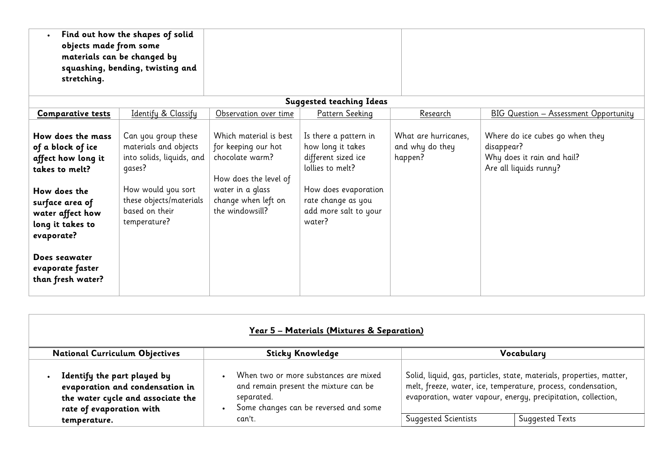| Find out how the shapes of solid<br>objects made from some<br>materials can be changed by<br>squashing, bending, twisting and<br>stretching. |                                                                                                                                                            |                                                                                                                                                         |                                                                                                                                                              |                                                    |                                                                                                       |
|----------------------------------------------------------------------------------------------------------------------------------------------|------------------------------------------------------------------------------------------------------------------------------------------------------------|---------------------------------------------------------------------------------------------------------------------------------------------------------|--------------------------------------------------------------------------------------------------------------------------------------------------------------|----------------------------------------------------|-------------------------------------------------------------------------------------------------------|
|                                                                                                                                              |                                                                                                                                                            |                                                                                                                                                         | <b>Suggested teaching Ideas</b>                                                                                                                              |                                                    |                                                                                                       |
| <b>Comparative tests</b>                                                                                                                     | Identify & Classify                                                                                                                                        | Observation over time                                                                                                                                   | Pattern Seeking                                                                                                                                              | Research                                           | <b>BIG Question - Assessment Opportunity</b>                                                          |
| How does the mass<br>of a block of ice<br>affect how long it<br>takes to melt?<br>How does the<br>surface area of<br>water affect how        | Can you group these<br>materials and objects<br>into solids, liquids, and $ $<br>qases?<br>How would you sort<br>these objects/materials<br>based on their | Which material is best<br>for keeping our hot<br>chocolate warm?<br>How does the level of<br>water in a glass<br>change when left on<br>the windowsill? | Is there a pattern in<br>how long it takes<br>different sized ice<br>lollies to melt?<br>How does evaporation<br>rate change as you<br>add more salt to your | What are hurricanes,<br>and why do they<br>happen? | Where do ice cubes go when they<br>disappear?<br>Why does it rain and hail?<br>Are all liquids runny? |
| long it takes to<br>evaporate?<br>Does seawater<br>evaporate faster<br>than fresh water?                                                     | temperature?                                                                                                                                               |                                                                                                                                                         | water?                                                                                                                                                       |                                                    |                                                                                                       |

| Year 5 - Materials (Mixtures & Separation)                                                                                      |                                                                                                                                       |                                                                                                                                                                                                        |                        |  |  |  |
|---------------------------------------------------------------------------------------------------------------------------------|---------------------------------------------------------------------------------------------------------------------------------------|--------------------------------------------------------------------------------------------------------------------------------------------------------------------------------------------------------|------------------------|--|--|--|
| <b>National Curriculum Objectives</b>                                                                                           | <b>Sticky Knowledge</b>                                                                                                               | Vocabulary                                                                                                                                                                                             |                        |  |  |  |
| Identify the part played by<br>evaporation and condensation in<br>the water cycle and associate the<br>rate of evaporation with | When two or more substances are mixed<br>and remain present the mixture can be<br>separated.<br>Some changes can be reversed and some | Solid, liquid, gas, particles, state, materials, properties, matter,<br>melt, freeze, water, ice, temperature, process, condensation,<br>evaporation, water vapour, energy, precipitation, collection, |                        |  |  |  |
| temperature.                                                                                                                    | can't.                                                                                                                                | <b>Suggested Scientists</b>                                                                                                                                                                            | <b>Suggested Texts</b> |  |  |  |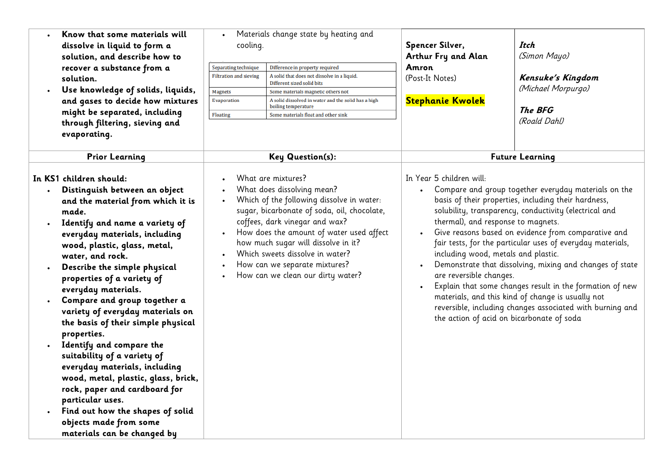| $\bullet$ | Know that some materials will |  |  |  |  |  |
|-----------|-------------------------------|--|--|--|--|--|
|           | dissolve in liquid to form a  |  |  |  |  |  |
|           | solution, and describe how to |  |  |  |  |  |
|           | recover a substance from a    |  |  |  |  |  |
|           | solution.                     |  |  |  |  |  |
|           |                               |  |  |  |  |  |

 **Use knowledge of solids, liquids, and gases to decide how mixtures might be separated, including through filtering, sieving and evaporating.** 

**Distinguish between an object** 

 **Identify and name a variety of everyday materials, including wood, plastic, glass, metal,** 

**water, and rock.** 

**and the material from which it is** 

**In KS1 children should:**

**made.** 

 Materials change state by heating and cooling. **Spencer Silver,**

Senarating technique Difference in property required **Filtration and sieving** A solid that does not dissolve in a liquid. Different sized solid bits **Magnets** Some materials magnetic others not Evaporation A solid dissolved in water and the solid has a high boiling temperature Floating Some materials float and other sink

**Arthur Fry and Alan Amron** (Post-It Notes)

**Stephanie Kwolek**

**Itch** (Simon Mayo)

**Kensuke's Kingdom** (Michael Morpurgo)

**The BFG** (Roald Dahl)

**Prior Learning Key Question(s): Future Learning**

In Year 5 children will:

- Compare and group together everyday materials on the basis of their properties, including their hardness, solubility, transparency, conductivity (electrical and thermal), and response to magnets.
- Give reasons based on evidence from comparative and fair tests, for the particular uses of everyday materials, including wood, metals and plastic.
- Demonstrate that dissolving, mixing and changes of state are reversible changes.
- Explain that some changes result in the formation of new materials, and this kind of change is usually not reversible, including changes associated with burning and the action of acid on bicarbonate of soda

|  |  | What are mixtures? |
|--|--|--------------------|
|  |  |                    |

- What does dissolving mean?
- Which of the following dissolve in water: sugar, bicarbonate of soda, oil, chocolate, coffees, dark vinegar and wax?
- How does the amount of water used affect how much sugar will dissolve in it?
- Which sweets dissolve in water?
- How can we separate mixtures?
- How can we clean our dirty water?
- **properties of a variety of everyday materials. Compare and group together a variety of everyday materials on the basis of their simple physical**

**Describe the simple physical** 

- **properties. Identify and compare the suitability of a variety of everyday materials, including wood, metal, plastic, glass, brick, rock, paper and cardboard for particular uses.**
- **Find out how the shapes of solid objects made from some materials can be changed by**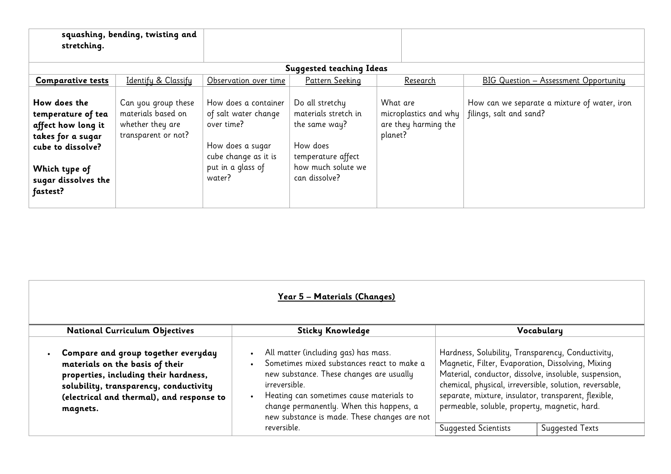| stretching.                                                                                                                                            | squashing, bending, twisting and                                                     |                                                                                                                                       |                                                                                                                                   |                                                                      |                                                                         |
|--------------------------------------------------------------------------------------------------------------------------------------------------------|--------------------------------------------------------------------------------------|---------------------------------------------------------------------------------------------------------------------------------------|-----------------------------------------------------------------------------------------------------------------------------------|----------------------------------------------------------------------|-------------------------------------------------------------------------|
|                                                                                                                                                        |                                                                                      |                                                                                                                                       | <b>Suggested teaching Ideas</b>                                                                                                   |                                                                      |                                                                         |
| <b>Comparative tests</b>                                                                                                                               | Identify & Classify                                                                  | Observation over time                                                                                                                 | Pattern Seeking                                                                                                                   | Research                                                             | BIG Question - Assessment Opportunity                                   |
| How does the<br>temperature of tea<br>affect how long it<br>takes for a sugar<br>cube to dissolve?<br>Which type of<br>sugar dissolves the<br>fastest? | Can you group these<br>materials based on<br>whether they are<br>transparent or not? | How does a container<br>of salt water change<br>over time?<br>How does a sugar<br>cube change as it is<br>put in a glass of<br>water? | Do all stretchy<br>materials stretch in<br>the same way?<br>How does<br>temperature affect<br>how much solute we<br>can dissolve? | What are<br>microplastics and why<br>are they harming the<br>planet? | How can we separate a mixture of water, iron<br>filings, salt and sand? |

| <u> Year 5 – Materials (Changes)</u>                                                                                                                                                                               |                                                                                                                                                                                                                                                                                                      |                                                                                                                                                                                                                                                                                                                                     |  |  |  |  |
|--------------------------------------------------------------------------------------------------------------------------------------------------------------------------------------------------------------------|------------------------------------------------------------------------------------------------------------------------------------------------------------------------------------------------------------------------------------------------------------------------------------------------------|-------------------------------------------------------------------------------------------------------------------------------------------------------------------------------------------------------------------------------------------------------------------------------------------------------------------------------------|--|--|--|--|
| <b>National Curriculum Objectives</b>                                                                                                                                                                              | <b>Sticky Knowledge</b>                                                                                                                                                                                                                                                                              | Vocabulary                                                                                                                                                                                                                                                                                                                          |  |  |  |  |
| Compare and group together everyday<br>materials on the basis of their<br>properties, including their hardness,<br>solubility, transparency, conductivity<br>(electrical and thermal), and response to<br>magnets. | All matter (including gas) has mass.<br>$\bullet$<br>Sometimes mixed substances react to make a<br>new substance. These changes are usually<br>irreversible.<br>Heating can sometimes cause materials to<br>change permanently. When this happens, a<br>new substance is made. These changes are not | Hardness, Solubility, Transparency, Conductivity,<br>Magnetic, Filter, Evaporation, Dissolving, Mixing<br>Material, conductor, dissolve, insoluble, suspension,<br>chemical, physical, irreversible, solution, reversable,<br>separate, mixture, insulator, transparent, flexible,<br>permeable, soluble, property, magnetic, hard. |  |  |  |  |
|                                                                                                                                                                                                                    | reversible.                                                                                                                                                                                                                                                                                          | <b>Suggested Texts</b><br><b>Suggested Scientists</b>                                                                                                                                                                                                                                                                               |  |  |  |  |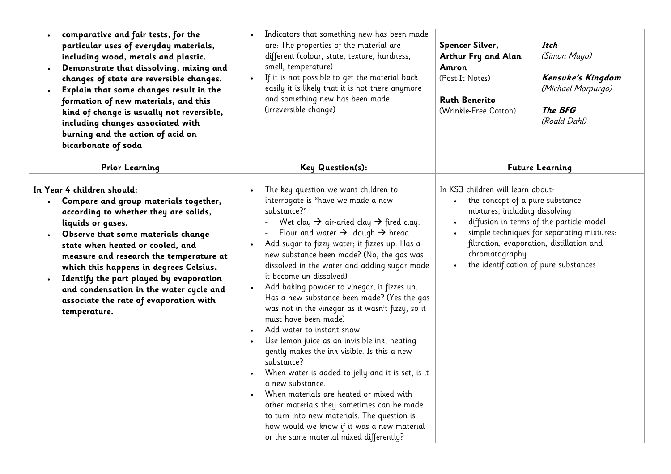| comparative and fair tests, for the<br>particular uses of everyday materials,<br>including wood, metals and plastic.<br>Demonstrate that dissolving, mixing and<br>changes of state are reversible changes.<br>Explain that some changes result in the<br>formation of new materials, and this<br>kind of change is usually not reversible,<br>including changes associated with<br>burning and the action of acid on<br>bicarbonate of soda     | Indicators that something new has been made<br>are: The properties of the material are<br>different (colour, state, texture, hardness,<br>smell, temperature)<br>If it is not possible to get the material back<br>$\bullet$<br>easily it is likely that it is not there anymore<br>and something new has been made<br>(irreversible change)                                                                                                                                                                                                                                                                                                                                                                                                                                                                                                                                                                                                                                                                                                                           | Spencer Silver,<br>Arthur Fry and Alan<br>Amron<br>(Post-It Notes)<br><b>Ruth Benerito</b><br>(Wrinkle-Free Cotton) | Itch<br>(Simon Mayo)<br>Kensuke's Kingdom<br>(Michael Morpurgo)<br>The BFG<br>(Roald Dahl)                                                                                                                                                                                             |
|--------------------------------------------------------------------------------------------------------------------------------------------------------------------------------------------------------------------------------------------------------------------------------------------------------------------------------------------------------------------------------------------------------------------------------------------------|------------------------------------------------------------------------------------------------------------------------------------------------------------------------------------------------------------------------------------------------------------------------------------------------------------------------------------------------------------------------------------------------------------------------------------------------------------------------------------------------------------------------------------------------------------------------------------------------------------------------------------------------------------------------------------------------------------------------------------------------------------------------------------------------------------------------------------------------------------------------------------------------------------------------------------------------------------------------------------------------------------------------------------------------------------------------|---------------------------------------------------------------------------------------------------------------------|----------------------------------------------------------------------------------------------------------------------------------------------------------------------------------------------------------------------------------------------------------------------------------------|
| <b>Prior Learning</b>                                                                                                                                                                                                                                                                                                                                                                                                                            | <b>Key Question(s):</b>                                                                                                                                                                                                                                                                                                                                                                                                                                                                                                                                                                                                                                                                                                                                                                                                                                                                                                                                                                                                                                                |                                                                                                                     | <b>Future Learning</b>                                                                                                                                                                                                                                                                 |
| In Year 4 children should:<br>Compare and group materials together,<br>according to whether they are solids,<br>liquids or gases.<br>Observe that some materials change<br>state when heated or cooled, and<br>measure and research the temperature at<br>which this happens in degrees Celsius.<br>Identify the part played by evaporation<br>and condensation in the water cycle and<br>associate the rate of evaporation with<br>temperature. | The key question we want children to<br>interrogate is "have we made a new<br>substance?"<br>Wet clay $\rightarrow$ air-dried clay $\rightarrow$ fired clay.<br>Flour and water $\rightarrow$ dough $\rightarrow$ bread<br>Add sugar to fizzy water; it fizzes up. Has a<br>$\bullet$<br>new substance been made? (No, the gas was<br>dissolved in the water and adding sugar made<br>it become un dissolved)<br>Add baking powder to vinegar, it fizzes up.<br>$\bullet$<br>Has a new substance been made? (Yes the gas<br>was not in the vinegar as it wasn't fizzy, so it<br>must have been made)<br>Add water to instant snow.<br>Use lemon juice as an invisible ink, heating<br>$\bullet$<br>gently makes the ink visible. Is this a new<br>substance?<br>When water is added to jelly and it is set, is it<br>a new substance.<br>When materials are heated or mixed with<br>other materials they sometimes can be made<br>to turn into new materials. The question is<br>how would we know if it was a new material<br>or the same material mixed differently? |                                                                                                                     | In KS3 children will learn about:<br>the concept of a pure substance<br>mixtures, including dissolving<br>diffusion in terms of the particle model<br>simple techniques for separating mixtures:<br>filtration, evaporation, distillation and<br>the identification of pure substances |